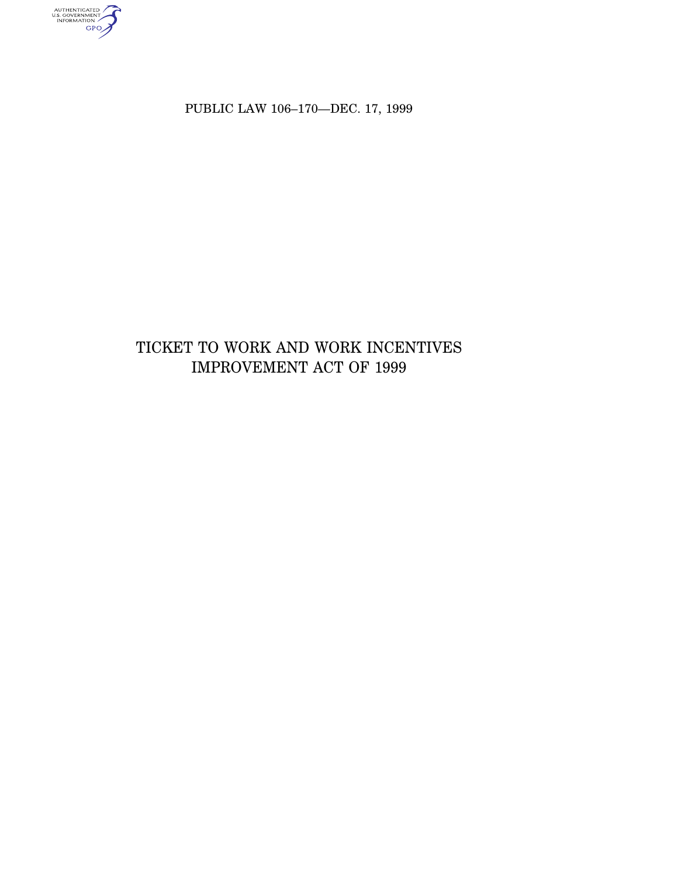AUTHENTICATED<br>U.S. GOVERNMENT<br>INFORMATION

PUBLIC LAW 106–170—DEC. 17, 1999

# TICKET TO WORK AND WORK INCENTIVES IMPROVEMENT ACT OF 1999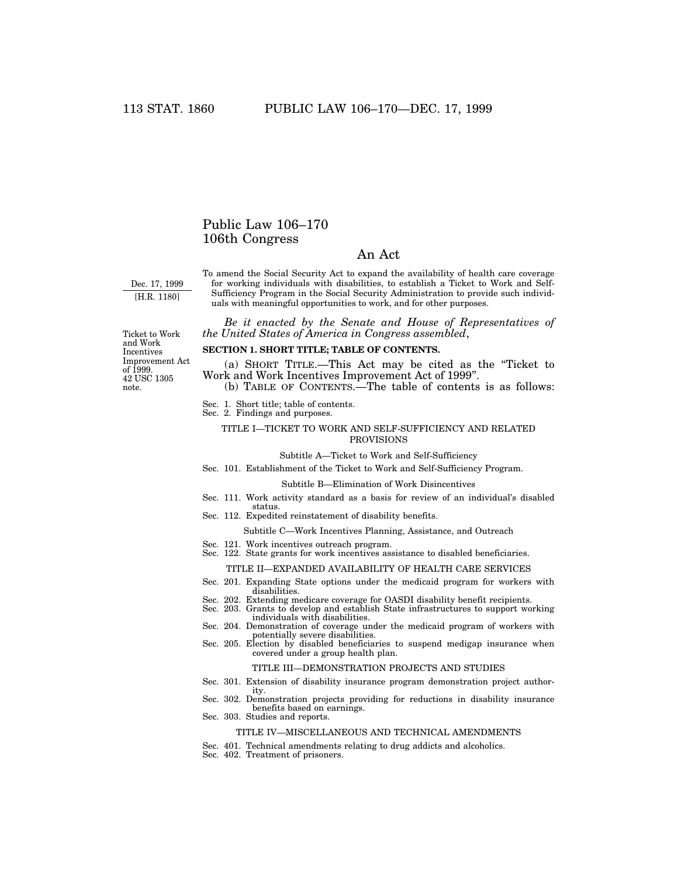# Public Law 106–170 106th Congress

# An Act

Dec. 17, 1999 [H.R. 1180]

To amend the Social Security Act to expand the availability of health care coverage for working individuals with disabilities, to establish a Ticket to Work and Self-Sufficiency Program in the Social Security Administration to provide such individuals with meaningful opportunities to work, and for other purposes.

*Be it enacted by the Senate and House of Representatives of the United States of America in Congress assembled*,

## **SECTION 1. SHORT TITLE; TABLE OF CONTENTS.**

(a) SHORT TITLE.—This Act may be cited as the ''Ticket to Work and Work Incentives Improvement Act of 1999''.

(b) TABLE OF CONTENTS.—The table of contents is as follows:

- Sec. 1. Short title; table of contents.
- Sec. 2. Findings and purposes.

### TITLE I—TICKET TO WORK AND SELF-SUFFICIENCY AND RELATED PROVISIONS

### Subtitle A—Ticket to Work and Self-Sufficiency

Sec. 101. Establishment of the Ticket to Work and Self-Sufficiency Program.

#### Subtitle B—Elimination of Work Disincentives

- Sec. 111. Work activity standard as a basis for review of an individual's disabled status.
- Sec. 112. Expedited reinstatement of disability benefits.

#### Subtitle C—Work Incentives Planning, Assistance, and Outreach

- Sec. 121. Work incentives outreach program.
- Sec. 122. State grants for work incentives assistance to disabled beneficiaries.

## TITLE II—EXPANDED AVAILABILITY OF HEALTH CARE SERVICES

- Sec. 201. Expanding State options under the medicaid program for workers with disabilities.
- Sec. 202. Extending medicare coverage for OASDI disability benefit recipients. Sec. 203. Grants to develop and establish State infrastructures to support working
- individuals with disabilities. Sec. 204. Demonstration of coverage under the medicaid program of workers with potentially severe disabilities.
- Sec. 205. Election by disabled beneficiaries to suspend medigap insurance when covered under a group health plan.

#### TITLE III—DEMONSTRATION PROJECTS AND STUDIES

- Sec. 301. Extension of disability insurance program demonstration project authority.
- Sec. 302. Demonstration projects providing for reductions in disability insurance benefits based on earnings.
- Sec. 303. Studies and reports.

#### TITLE IV—MISCELLANEOUS AND TECHNICAL AMENDMENTS

- Sec. 401. Technical amendments relating to drug addicts and alcoholics.
- Sec. 402. Treatment of prisoners.

42 USC 1305 note. Ticket to Work and Work Incentives Improvement Act of 1999.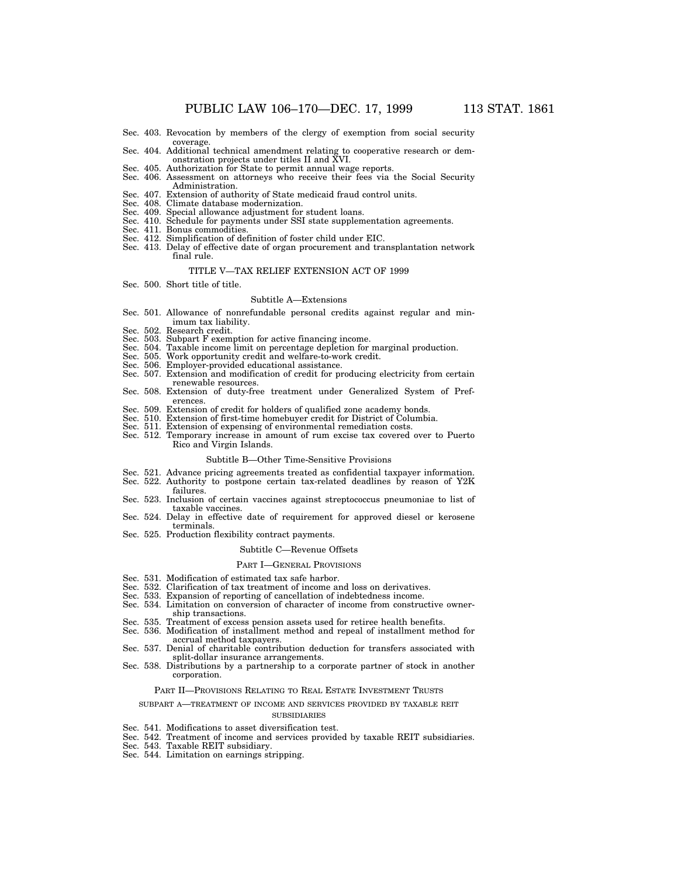- Sec. 404. Additional technical amendment relating to cooperative research or demonstration projects under titles II and XVI.
- Sec. 405. Authorization for State to permit annual wage reports.
- Sec. 406. Assessment on attorneys who receive their fees via the Social Security Administration.
- Sec. 407. Extension of authority of State medicaid fraud control units.
- Sec. 408. Climate database modernization.
- Sec. 409. Special allowance adjustment for student loans.
- Sec. 410. Schedule for payments under SSI state supplementation agreements.
- Sec. 411. Bonus commodities.
- 
- Sec. 412. Simplification of definition of foster child under EIC. Sec. 413. Delay of effective date of organ procurement and transplantation network final rule.

### TITLE V—TAX RELIEF EXTENSION ACT OF 1999

Sec. 500. Short title of title.

### Subtitle A—Extensions

- Sec. 501. Allowance of nonrefundable personal credits against regular and minimum tax liability.
- Sec. 502. Research credit.
- 
- Sec. 503. Subpart F exemption for active financing income. Sec. 504. Taxable income limit on percentage depletion for marginal production.
- Sec. 505. Work opportunity credit and welfare-to-work credit. Sec. 506. Employer-provided educational assistance.
- 
- Sec. 507. Extension and modification of credit for producing electricity from certain renewable resources.
- Sec. 508. Extension of duty-free treatment under Generalized System of Pref-
- Sec. 509. Extension of credit for holders of qualified zone academy bonds.
- Sec. 510. Extension of first-time homebuyer credit for District of Columbia.
- Sec. 511. Extension of expensing of environmental remediation costs.
- Sec. 512. Temporary increase in amount of rum excise tax covered over to Puerto Rico and Virgin Islands.

### Subtitle B—Other Time-Sensitive Provisions

- Sec. 521. Advance pricing agreements treated as confidential taxpayer information. Sec. 522. Authority to postpone certain tax-related deadlines by reason of Y2K
- failures. Sec. 523. Inclusion of certain vaccines against streptococcus pneumoniae to list of
- taxable vaccines. Sec. 524. Delay in effective date of requirement for approved diesel or kerosene
- terminals.
- Sec. 525. Production flexibility contract payments.

# Subtitle C—Revenue Offsets

## PART I—GENERAL PROVISIONS

- 
- Sec. 531. Modification of estimated tax safe harbor. Sec. 532. Clarification of tax treatment of income and loss on derivatives.
- 
- Sec. 533. Expansion of reporting of cancellation of indebtedness income. Sec. 534. Limitation on conversion of character of income from constructive ownership transactions.
- Sec. 535. Treatment of excess pension assets used for retiree health benefits.
- Sec. 536. Modification of installment method and repeal of installment method for accrual method taxpayers.
- Sec. 537. Denial of charitable contribution deduction for transfers associated with split-dollar insurance arrangements.
- Sec. 538. Distributions by a partnership to a corporate partner of stock in another corporation.

### PART II—PROVISIONS RELATING TO REAL ESTATE INVESTMENT TRUSTS

#### SUBPART A—TREATMENT OF INCOME AND SERVICES PROVIDED BY TAXABLE REIT **SUBSIDIARIES**

# Sec. 541. Modifications to asset diversification test.

- 
- Sec. 542. Treatment of income and services provided by taxable REIT subsidiaries. Sec. 543. Taxable REIT subsidiary.
- Sec. 544. Limitation on earnings stripping.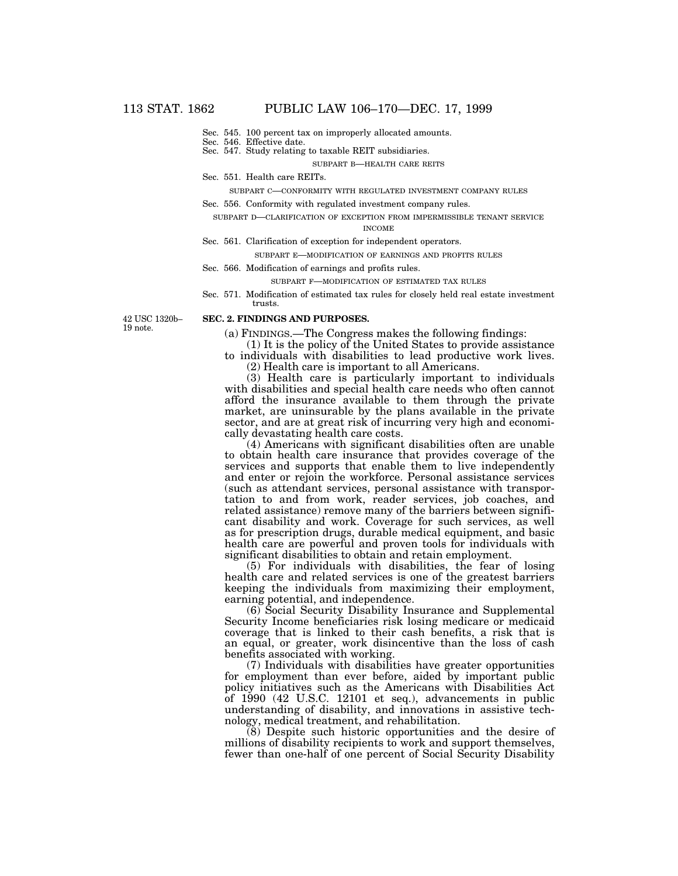- Sec. 545. 100 percent tax on improperly allocated amounts.
- Sec. 546. Effective date.
- Sec. 547. Study relating to taxable REIT subsidiaries.

# SUBPART B—HEALTH CARE REITS

Sec. 551. Health care REITs.

SUBPART C—CONFORMITY WITH REGULATED INVESTMENT COMPANY RULES

Sec. 556. Conformity with regulated investment company rules.

SUBPART D—CLARIFICATION OF EXCEPTION FROM IMPERMISSIBLE TENANT SERVICE

INCOME

Sec. 561. Clarification of exception for independent operators.

SUBPART E—MODIFICATION OF EARNINGS AND PROFITS RULES

Sec. 566. Modification of earnings and profits rules.

SUBPART F—MODIFICATION OF ESTIMATED TAX RULES

Sec. 571. Modification of estimated tax rules for closely held real estate investment trusts.

42 USC 1320b– 19 note.

#### **SEC. 2. FINDINGS AND PURPOSES.**

(a) FINDINGS.—The Congress makes the following findings:

(1) It is the policy of the United States to provide assistance to individuals with disabilities to lead productive work lives.

(2) Health care is important to all Americans.

(3) Health care is particularly important to individuals with disabilities and special health care needs who often cannot afford the insurance available to them through the private market, are uninsurable by the plans available in the private sector, and are at great risk of incurring very high and economically devastating health care costs.

(4) Americans with significant disabilities often are unable to obtain health care insurance that provides coverage of the services and supports that enable them to live independently and enter or rejoin the workforce. Personal assistance services (such as attendant services, personal assistance with transportation to and from work, reader services, job coaches, and related assistance) remove many of the barriers between significant disability and work. Coverage for such services, as well as for prescription drugs, durable medical equipment, and basic health care are powerful and proven tools for individuals with significant disabilities to obtain and retain employment.

(5) For individuals with disabilities, the fear of losing health care and related services is one of the greatest barriers keeping the individuals from maximizing their employment, earning potential, and independence.

(6) Social Security Disability Insurance and Supplemental Security Income beneficiaries risk losing medicare or medicaid coverage that is linked to their cash benefits, a risk that is an equal, or greater, work disincentive than the loss of cash benefits associated with working.

(7) Individuals with disabilities have greater opportunities for employment than ever before, aided by important public policy initiatives such as the Americans with Disabilities Act of 1990 (42 U.S.C. 12101 et seq.), advancements in public understanding of disability, and innovations in assistive technology, medical treatment, and rehabilitation.

(8) Despite such historic opportunities and the desire of millions of disability recipients to work and support themselves, fewer than one-half of one percent of Social Security Disability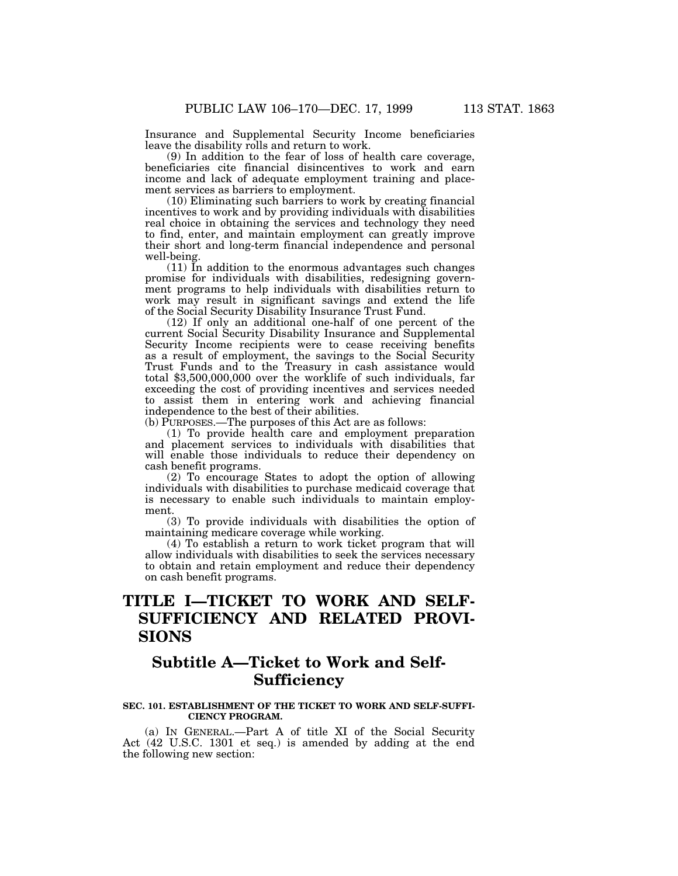Insurance and Supplemental Security Income beneficiaries leave the disability rolls and return to work.

(9) In addition to the fear of loss of health care coverage, beneficiaries cite financial disincentives to work and earn income and lack of adequate employment training and placement services as barriers to employment.

(10) Eliminating such barriers to work by creating financial incentives to work and by providing individuals with disabilities real choice in obtaining the services and technology they need to find, enter, and maintain employment can greatly improve their short and long-term financial independence and personal well-being.

(11) In addition to the enormous advantages such changes promise for individuals with disabilities, redesigning government programs to help individuals with disabilities return to work may result in significant savings and extend the life of the Social Security Disability Insurance Trust Fund.

(12) If only an additional one-half of one percent of the current Social Security Disability Insurance and Supplemental Security Income recipients were to cease receiving benefits as a result of employment, the savings to the Social Security Trust Funds and to the Treasury in cash assistance would total \$3,500,000,000 over the worklife of such individuals, far exceeding the cost of providing incentives and services needed to assist them in entering work and achieving financial independence to the best of their abilities.

(b) PURPOSES.—The purposes of this Act are as follows:

(1) To provide health care and employment preparation and placement services to individuals with disabilities that will enable those individuals to reduce their dependency on cash benefit programs.

(2) To encourage States to adopt the option of allowing individuals with disabilities to purchase medicaid coverage that is necessary to enable such individuals to maintain employment.

(3) To provide individuals with disabilities the option of maintaining medicare coverage while working.

(4) To establish a return to work ticket program that will allow individuals with disabilities to seek the services necessary to obtain and retain employment and reduce their dependency on cash benefit programs.

# **TITLE I—TICKET TO WORK AND SELF-SUFFICIENCY AND RELATED PROVI-SIONS**

# **Subtitle A—Ticket to Work and Self-Sufficiency**

# **SEC. 101. ESTABLISHMENT OF THE TICKET TO WORK AND SELF-SUFFI-CIENCY PROGRAM.**

(a) IN GENERAL.—Part A of title XI of the Social Security Act (42 U.S.C. 1301 et seq.) is amended by adding at the end the following new section: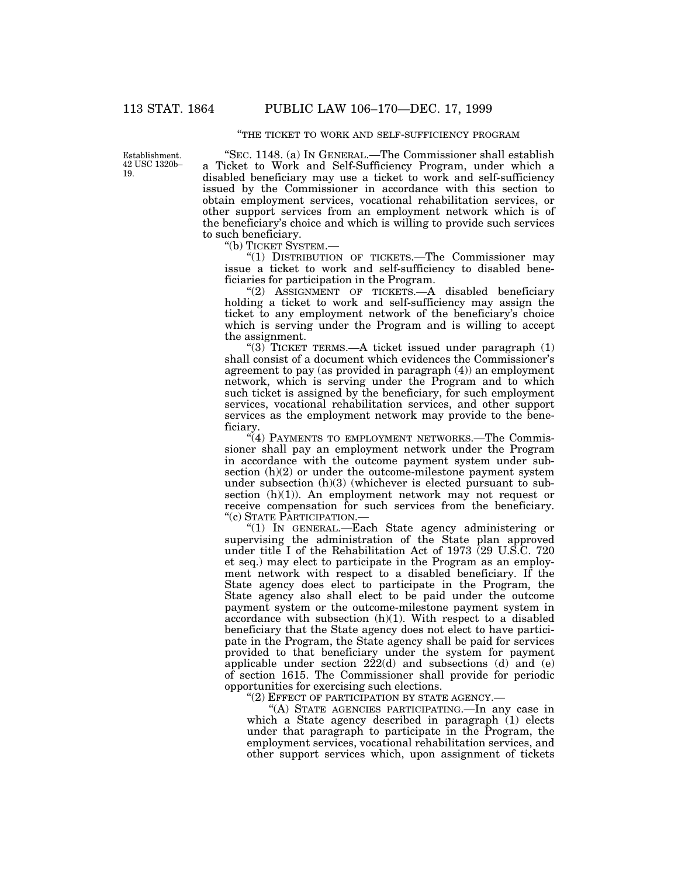# ''THE TICKET TO WORK AND SELF-SUFFICIENCY PROGRAM

Establishment. 42 USC 1320b– 19.

''SEC. 1148. (a) IN GENERAL.—The Commissioner shall establish a Ticket to Work and Self-Sufficiency Program, under which a disabled beneficiary may use a ticket to work and self-sufficiency issued by the Commissioner in accordance with this section to obtain employment services, vocational rehabilitation services, or other support services from an employment network which is of the beneficiary's choice and which is willing to provide such services to such beneficiary.

''(b) TICKET SYSTEM.—

''(1) DISTRIBUTION OF TICKETS.—The Commissioner may issue a ticket to work and self-sufficiency to disabled beneficiaries for participation in the Program.

"(2) ASSIGNMENT OF TICKETS. A disabled beneficiary holding a ticket to work and self-sufficiency may assign the ticket to any employment network of the beneficiary's choice which is serving under the Program and is willing to accept the assignment.

" $(3)$ <sup>"</sup>TICKET TERMS.—A ticket issued under paragraph  $(1)$ shall consist of a document which evidences the Commissioner's agreement to pay (as provided in paragraph (4)) an employment network, which is serving under the Program and to which such ticket is assigned by the beneficiary, for such employment services, vocational rehabilitation services, and other support services as the employment network may provide to the beneficiary.

"(4) PAYMENTS TO EMPLOYMENT NETWORKS.—The Commissioner shall pay an employment network under the Program in accordance with the outcome payment system under subsection (h)(2) or under the outcome-milestone payment system under subsection (h)(3) (whichever is elected pursuant to subsection (h)(1)). An employment network may not request or receive compensation for such services from the beneficiary. ''(c) STATE PARTICIPATION.—

''(1) IN GENERAL.—Each State agency administering or supervising the administration of the State plan approved under title I of the Rehabilitation Act of 1973 (29 U.S.C. 720 et seq.) may elect to participate in the Program as an employment network with respect to a disabled beneficiary. If the State agency does elect to participate in the Program, the State agency also shall elect to be paid under the outcome payment system or the outcome-milestone payment system in accordance with subsection (h)(1). With respect to a disabled beneficiary that the State agency does not elect to have participate in the Program, the State agency shall be paid for services provided to that beneficiary under the system for payment applicable under section  $222(d)$  and subsections (d) and (e) of section 1615. The Commissioner shall provide for periodic opportunities for exercising such elections.

''(2) EFFECT OF PARTICIPATION BY STATE AGENCY.—

"(A) STATE AGENCIES PARTICIPATING.—In any case in which a State agency described in paragraph (1) elects under that paragraph to participate in the Program, the employment services, vocational rehabilitation services, and other support services which, upon assignment of tickets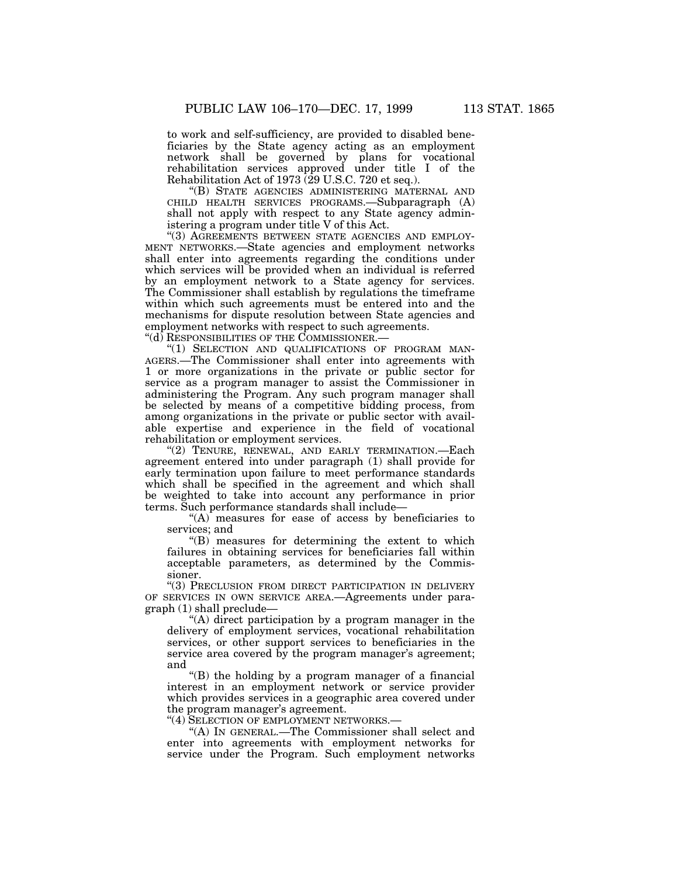to work and self-sufficiency, are provided to disabled beneficiaries by the State agency acting as an employment network shall be governed by plans for vocational rehabilitation services approved under title I of the Rehabilitation Act of 1973  $(29 \text{ U.S.C. } 720 \text{ et seq.}).$ 

''(B) STATE AGENCIES ADMINISTERING MATERNAL AND CHILD HEALTH SERVICES PROGRAMS.—Subparagraph (A) shall not apply with respect to any State agency administering a program under title V of this Act.

"(3) AGREEMENTS BETWEEN STATE AGENCIES AND EMPLOY-MENT NETWORKS.—State agencies and employment networks shall enter into agreements regarding the conditions under which services will be provided when an individual is referred by an employment network to a State agency for services. The Commissioner shall establish by regulations the timeframe within which such agreements must be entered into and the mechanisms for dispute resolution between State agencies and employment networks with respect to such agreements.

"(d) RESPONSIBILITIES OF THE COMMISSIONER.

"(1) SELECTION AND QUALIFICATIONS OF PROGRAM MAN-AGERS.—The Commissioner shall enter into agreements with 1 or more organizations in the private or public sector for service as a program manager to assist the Commissioner in administering the Program. Any such program manager shall be selected by means of a competitive bidding process, from among organizations in the private or public sector with available expertise and experience in the field of vocational rehabilitation or employment services.

"(2) TENURE, RENEWAL, AND EARLY TERMINATION.-Each agreement entered into under paragraph (1) shall provide for early termination upon failure to meet performance standards which shall be specified in the agreement and which shall be weighted to take into account any performance in prior terms. Such performance standards shall include—

 $(A)$  measures for ease of access by beneficiaries to services; and

''(B) measures for determining the extent to which failures in obtaining services for beneficiaries fall within acceptable parameters, as determined by the Commissioner.

"(3) PRECLUSION FROM DIRECT PARTICIPATION IN DELIVERY OF SERVICES IN OWN SERVICE AREA.—Agreements under paragraph (1) shall preclude—

''(A) direct participation by a program manager in the delivery of employment services, vocational rehabilitation services, or other support services to beneficiaries in the service area covered by the program manager's agreement; and

''(B) the holding by a program manager of a financial interest in an employment network or service provider which provides services in a geographic area covered under the program manager's agreement.

"(4) SELECTION OF EMPLOYMENT NETWORKS.—

''(A) IN GENERAL.—The Commissioner shall select and enter into agreements with employment networks for service under the Program. Such employment networks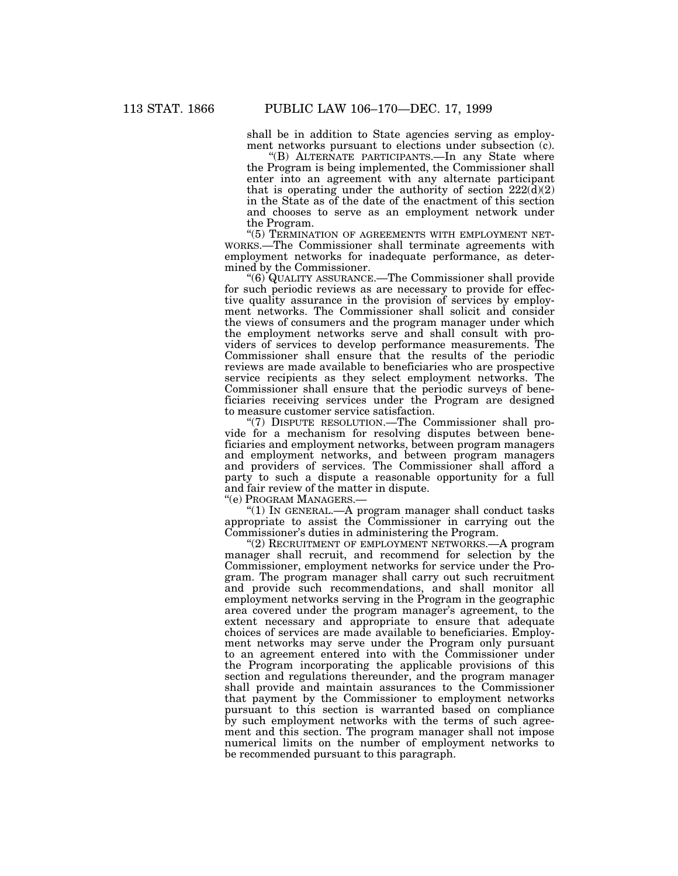shall be in addition to State agencies serving as employment networks pursuant to elections under subsection (c).

''(B) ALTERNATE PARTICIPANTS.—In any State where the Program is being implemented, the Commissioner shall enter into an agreement with any alternate participant that is operating under the authority of section  $222(\bar{d})(2)$ in the State as of the date of the enactment of this section and chooses to serve as an employment network under the Program.

"(5) TERMINATION OF AGREEMENTS WITH EMPLOYMENT NET-WORKS.—The Commissioner shall terminate agreements with employment networks for inadequate performance, as determined by the Commissioner.

''(6) QUALITY ASSURANCE.—The Commissioner shall provide for such periodic reviews as are necessary to provide for effective quality assurance in the provision of services by employment networks. The Commissioner shall solicit and consider the views of consumers and the program manager under which the employment networks serve and shall consult with providers of services to develop performance measurements. The Commissioner shall ensure that the results of the periodic reviews are made available to beneficiaries who are prospective service recipients as they select employment networks. The Commissioner shall ensure that the periodic surveys of beneficiaries receiving services under the Program are designed to measure customer service satisfaction.

''(7) DISPUTE RESOLUTION.—The Commissioner shall provide for a mechanism for resolving disputes between beneficiaries and employment networks, between program managers and employment networks, and between program managers and providers of services. The Commissioner shall afford a party to such a dispute a reasonable opportunity for a full and fair review of the matter in dispute.

''(e) PROGRAM MANAGERS.—

" $(1)$  In GENERAL.—A program manager shall conduct tasks appropriate to assist the Commissioner in carrying out the Commissioner's duties in administering the Program.

"(2) RECRUITMENT OF EMPLOYMENT NETWORKS.—A program manager shall recruit, and recommend for selection by the Commissioner, employment networks for service under the Program. The program manager shall carry out such recruitment and provide such recommendations, and shall monitor all employment networks serving in the Program in the geographic area covered under the program manager's agreement, to the extent necessary and appropriate to ensure that adequate choices of services are made available to beneficiaries. Employment networks may serve under the Program only pursuant to an agreement entered into with the Commissioner under the Program incorporating the applicable provisions of this section and regulations thereunder, and the program manager shall provide and maintain assurances to the Commissioner that payment by the Commissioner to employment networks pursuant to this section is warranted based on compliance by such employment networks with the terms of such agreement and this section. The program manager shall not impose numerical limits on the number of employment networks to be recommended pursuant to this paragraph.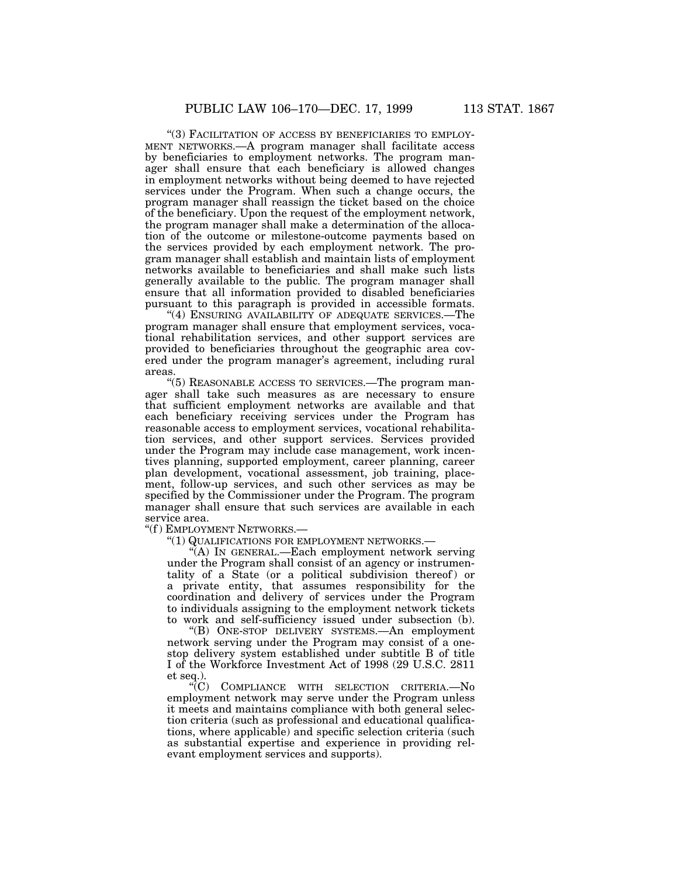''(3) FACILITATION OF ACCESS BY BENEFICIARIES TO EMPLOY-MENT NETWORKS.—A program manager shall facilitate access by beneficiaries to employment networks. The program manager shall ensure that each beneficiary is allowed changes in employment networks without being deemed to have rejected services under the Program. When such a change occurs, the program manager shall reassign the ticket based on the choice of the beneficiary. Upon the request of the employment network, the program manager shall make a determination of the allocation of the outcome or milestone-outcome payments based on the services provided by each employment network. The program manager shall establish and maintain lists of employment networks available to beneficiaries and shall make such lists generally available to the public. The program manager shall ensure that all information provided to disabled beneficiaries pursuant to this paragraph is provided in accessible formats.

"(4) ENSURING AVAILABILITY OF ADEQUATE SERVICES.—The program manager shall ensure that employment services, vocational rehabilitation services, and other support services are provided to beneficiaries throughout the geographic area covered under the program manager's agreement, including rural areas.

''(5) REASONABLE ACCESS TO SERVICES.—The program manager shall take such measures as are necessary to ensure that sufficient employment networks are available and that each beneficiary receiving services under the Program has reasonable access to employment services, vocational rehabilitation services, and other support services. Services provided under the Program may include case management, work incentives planning, supported employment, career planning, career plan development, vocational assessment, job training, placement, follow-up services, and such other services as may be specified by the Commissioner under the Program. The program manager shall ensure that such services are available in each service area.

"(f) EMPLOYMENT NETWORKS.-

''(1) QUALIFICATIONS FOR EMPLOYMENT NETWORKS.—

''(A) IN GENERAL.—Each employment network serving under the Program shall consist of an agency or instrumentality of a State (or a political subdivision thereof) or a private entity, that assumes responsibility for the coordination and delivery of services under the Program to individuals assigning to the employment network tickets to work and self-sufficiency issued under subsection (b).

''(B) ONE-STOP DELIVERY SYSTEMS.—An employment network serving under the Program may consist of a onestop delivery system established under subtitle B of title I of the Workforce Investment Act of 1998 (29 U.S.C. 2811 et seq.).

''(C) COMPLIANCE WITH SELECTION CRITERIA.—No employment network may serve under the Program unless it meets and maintains compliance with both general selection criteria (such as professional and educational qualifications, where applicable) and specific selection criteria (such as substantial expertise and experience in providing relevant employment services and supports).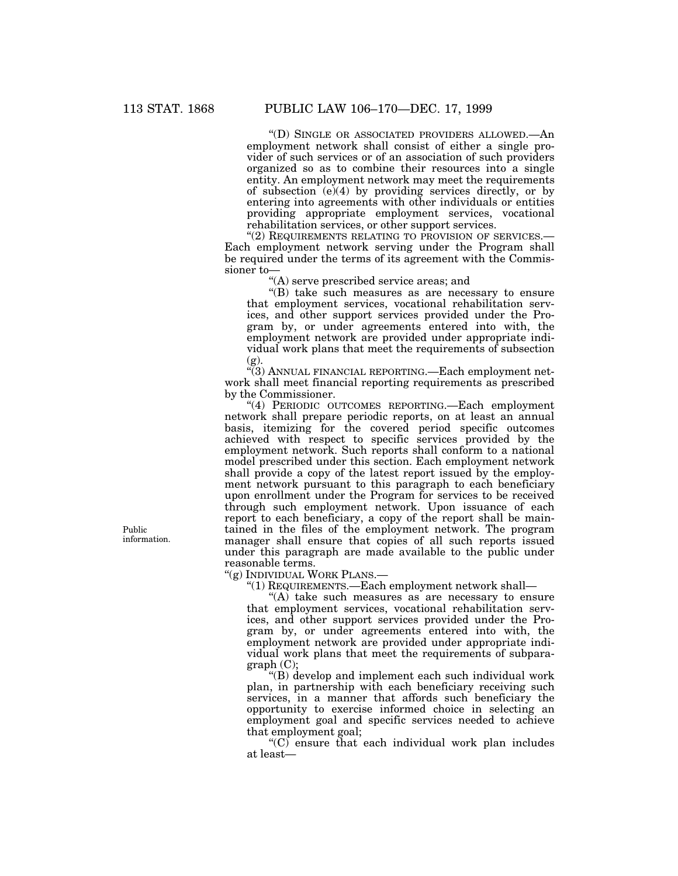''(D) SINGLE OR ASSOCIATED PROVIDERS ALLOWED.—An employment network shall consist of either a single provider of such services or of an association of such providers organized so as to combine their resources into a single entity. An employment network may meet the requirements of subsection  $(e)(4)$  by providing services directly, or by entering into agreements with other individuals or entities providing appropriate employment services, vocational rehabilitation services, or other support services.

"(2) REQUIREMENTS RELATING TO PROVISION OF SERVICES.-Each employment network serving under the Program shall be required under the terms of its agreement with the Commissioner to—

''(A) serve prescribed service areas; and

''(B) take such measures as are necessary to ensure that employment services, vocational rehabilitation services, and other support services provided under the Program by, or under agreements entered into with, the employment network are provided under appropriate individual work plans that meet the requirements of subsection (g).

''(3) ANNUAL FINANCIAL REPORTING.—Each employment network shall meet financial reporting requirements as prescribed by the Commissioner.

"(4) PERIODIC OUTCOMES REPORTING.—Each employment network shall prepare periodic reports, on at least an annual basis, itemizing for the covered period specific outcomes achieved with respect to specific services provided by the employment network. Such reports shall conform to a national model prescribed under this section. Each employment network shall provide a copy of the latest report issued by the employment network pursuant to this paragraph to each beneficiary upon enrollment under the Program for services to be received through such employment network. Upon issuance of each report to each beneficiary, a copy of the report shall be maintained in the files of the employment network. The program manager shall ensure that copies of all such reports issued under this paragraph are made available to the public under reasonable terms.

''(g) INDIVIDUAL WORK PLANS.—

''(1) REQUIREMENTS.—Each employment network shall—

"(A) take such measures as are necessary to ensure that employment services, vocational rehabilitation services, and other support services provided under the Program by, or under agreements entered into with, the employment network are provided under appropriate individual work plans that meet the requirements of subparagraph (C);

''(B) develop and implement each such individual work plan, in partnership with each beneficiary receiving such services, in a manner that affords such beneficiary the opportunity to exercise informed choice in selecting an employment goal and specific services needed to achieve that employment goal;

 $(C)$  ensure that each individual work plan includes at least—

Public information.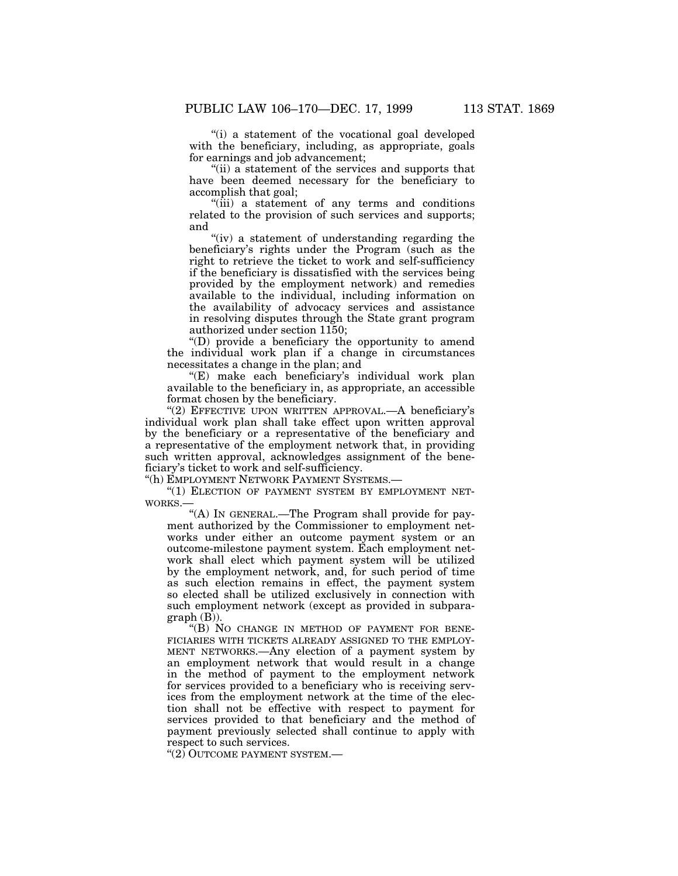''(i) a statement of the vocational goal developed with the beneficiary, including, as appropriate, goals for earnings and job advancement;

''(ii) a statement of the services and supports that have been deemed necessary for the beneficiary to accomplish that goal;

''(iii) a statement of any terms and conditions related to the provision of such services and supports; and

" $(iv)$  a statement of understanding regarding the beneficiary's rights under the Program (such as the right to retrieve the ticket to work and self-sufficiency if the beneficiary is dissatisfied with the services being provided by the employment network) and remedies available to the individual, including information on the availability of advocacy services and assistance in resolving disputes through the State grant program authorized under section 1150;

 $'(D)$  provide a beneficiary the opportunity to amend the individual work plan if a change in circumstances necessitates a change in the plan; and

''(E) make each beneficiary's individual work plan available to the beneficiary in, as appropriate, an accessible format chosen by the beneficiary.

"(2) EFFECTIVE UPON WRITTEN APPROVAL.—A beneficiary's individual work plan shall take effect upon written approval by the beneficiary or a representative of the beneficiary and a representative of the employment network that, in providing such written approval, acknowledges assignment of the beneficiary's ticket to work and self-sufficiency.

''(h) EMPLOYMENT NETWORK PAYMENT SYSTEMS.—

"(1) ELECTION OF PAYMENT SYSTEM BY EMPLOYMENT NET-WORKS.

"(A) IN GENERAL.—The Program shall provide for payment authorized by the Commissioner to employment networks under either an outcome payment system or an outcome-milestone payment system. Each employment network shall elect which payment system will be utilized by the employment network, and, for such period of time as such election remains in effect, the payment system so elected shall be utilized exclusively in connection with such employment network (except as provided in subparagraph (B)).

''(B) NO CHANGE IN METHOD OF PAYMENT FOR BENE-FICIARIES WITH TICKETS ALREADY ASSIGNED TO THE EMPLOY-MENT NETWORKS.—Any election of a payment system by an employment network that would result in a change in the method of payment to the employment network for services provided to a beneficiary who is receiving services from the employment network at the time of the election shall not be effective with respect to payment for services provided to that beneficiary and the method of payment previously selected shall continue to apply with respect to such services.

 $\sqrt[4]{(2)}$  Outcome payment system.—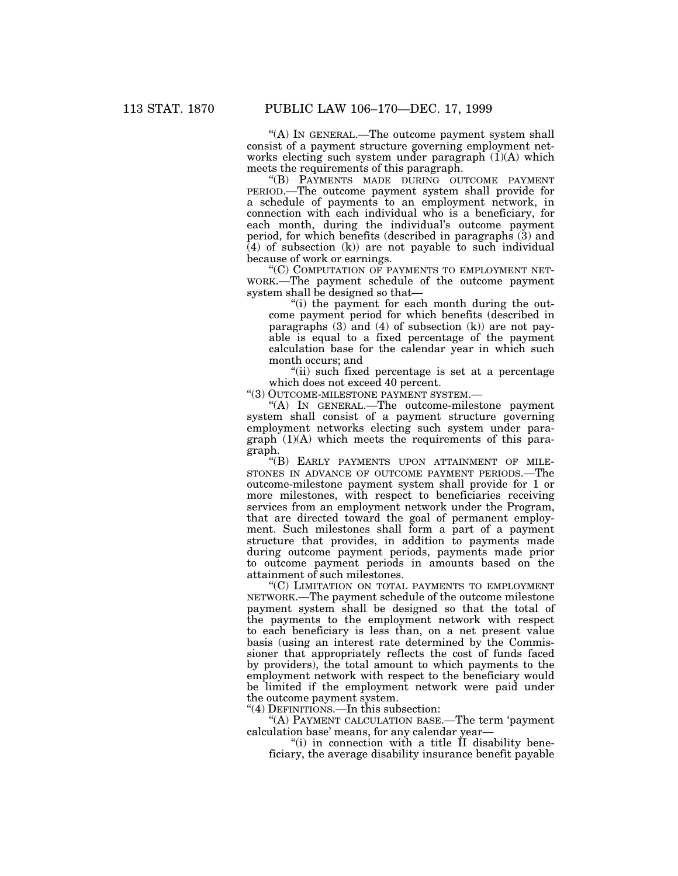''(A) IN GENERAL.—The outcome payment system shall consist of a payment structure governing employment networks electing such system under paragraph  $(1)(A)$  which meets the requirements of this paragraph.

''(B) PAYMENTS MADE DURING OUTCOME PAYMENT PERIOD.—The outcome payment system shall provide for a schedule of payments to an employment network, in connection with each individual who is a beneficiary, for each month, during the individual's outcome payment period, for which benefits (described in paragraphs (3) and (4) of subsection (k)) are not payable to such individual because of work or earnings.

''(C) COMPUTATION OF PAYMENTS TO EMPLOYMENT NET-WORK.—The payment schedule of the outcome payment system shall be designed so that—

''(i) the payment for each month during the outcome payment period for which benefits (described in paragraphs  $(3)$  and  $(4)$  of subsection  $(k)$  are not payable is equal to a fixed percentage of the payment calculation base for the calendar year in which such month occurs; and

''(ii) such fixed percentage is set at a percentage which does not exceed 40 percent.

''(3) OUTCOME-MILESTONE PAYMENT SYSTEM.—

''(A) IN GENERAL.—The outcome-milestone payment system shall consist of a payment structure governing employment networks electing such system under paragraph (1)(A) which meets the requirements of this paragraph.

"(B) EARLY PAYMENTS UPON ATTAINMENT OF MILE-STONES IN ADVANCE OF OUTCOME PAYMENT PERIODS.—The outcome-milestone payment system shall provide for 1 or more milestones, with respect to beneficiaries receiving services from an employment network under the Program, that are directed toward the goal of permanent employment. Such milestones shall form a part of a payment structure that provides, in addition to payments made during outcome payment periods, payments made prior to outcome payment periods in amounts based on the attainment of such milestones.

''(C) LIMITATION ON TOTAL PAYMENTS TO EMPLOYMENT NETWORK.—The payment schedule of the outcome milestone payment system shall be designed so that the total of the payments to the employment network with respect to each beneficiary is less than, on a net present value basis (using an interest rate determined by the Commissioner that appropriately reflects the cost of funds faced by providers), the total amount to which payments to the employment network with respect to the beneficiary would be limited if the employment network were paid under the outcome payment system.

''(4) DEFINITIONS.—In this subsection:

''(A) PAYMENT CALCULATION BASE.—The term 'payment calculation base' means, for any calendar year—

"(i) in connection with a title II disability beneficiary, the average disability insurance benefit payable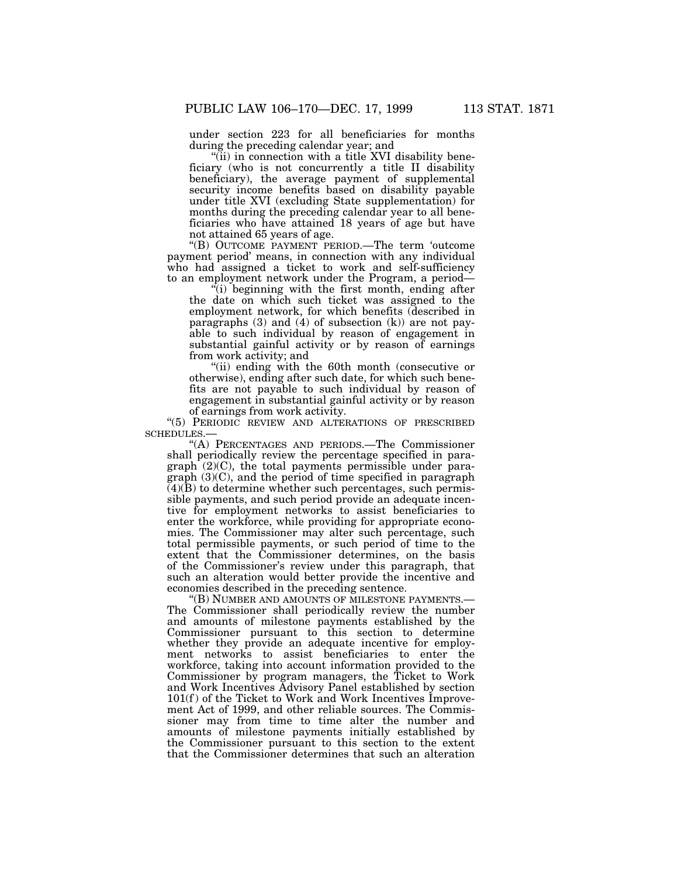under section 223 for all beneficiaries for months during the preceding calendar year; and

''(ii) in connection with a title XVI disability beneficiary (who is not concurrently a title II disability beneficiary), the average payment of supplemental security income benefits based on disability payable under title XVI (excluding State supplementation) for months during the preceding calendar year to all beneficiaries who have attained 18 years of age but have not attained 65 years of age.

''(B) OUTCOME PAYMENT PERIOD.—The term 'outcome payment period' means, in connection with any individual who had assigned a ticket to work and self-sufficiency to an employment network under the Program, a period—

 $\ddot{r}(i)$  beginning with the first month, ending after the date on which such ticket was assigned to the employment network, for which benefits (described in paragraphs (3) and (4) of subsection (k)) are not payable to such individual by reason of engagement in substantial gainful activity or by reason of earnings from work activity; and

''(ii) ending with the 60th month (consecutive or otherwise), ending after such date, for which such benefits are not payable to such individual by reason of engagement in substantial gainful activity or by reason of earnings from work activity.

''(5) PERIODIC REVIEW AND ALTERATIONS OF PRESCRIBED SCHEDULES.—

''(A) PERCENTAGES AND PERIODS.—The Commissioner shall periodically review the percentage specified in paragraph  $(2)(C)$ , the total payments permissible under paragraph (3)(C), and the period of time specified in paragraph  $(4)(\overline{B})$  to determine whether such percentages, such permissible payments, and such period provide an adequate incentive for employment networks to assist beneficiaries to enter the workforce, while providing for appropriate economies. The Commissioner may alter such percentage, such total permissible payments, or such period of time to the extent that the Commissioner determines, on the basis of the Commissioner's review under this paragraph, that such an alteration would better provide the incentive and economies described in the preceding sentence.

''(B) NUMBER AND AMOUNTS OF MILESTONE PAYMENTS.— The Commissioner shall periodically review the number and amounts of milestone payments established by the Commissioner pursuant to this section to determine whether they provide an adequate incentive for employment networks to assist beneficiaries to enter the workforce, taking into account information provided to the Commissioner by program managers, the Ticket to Work and Work Incentives Advisory Panel established by section  $101(f)$  of the Ticket to Work and Work Incentives Improvement Act of 1999, and other reliable sources. The Commissioner may from time to time alter the number and amounts of milestone payments initially established by the Commissioner pursuant to this section to the extent that the Commissioner determines that such an alteration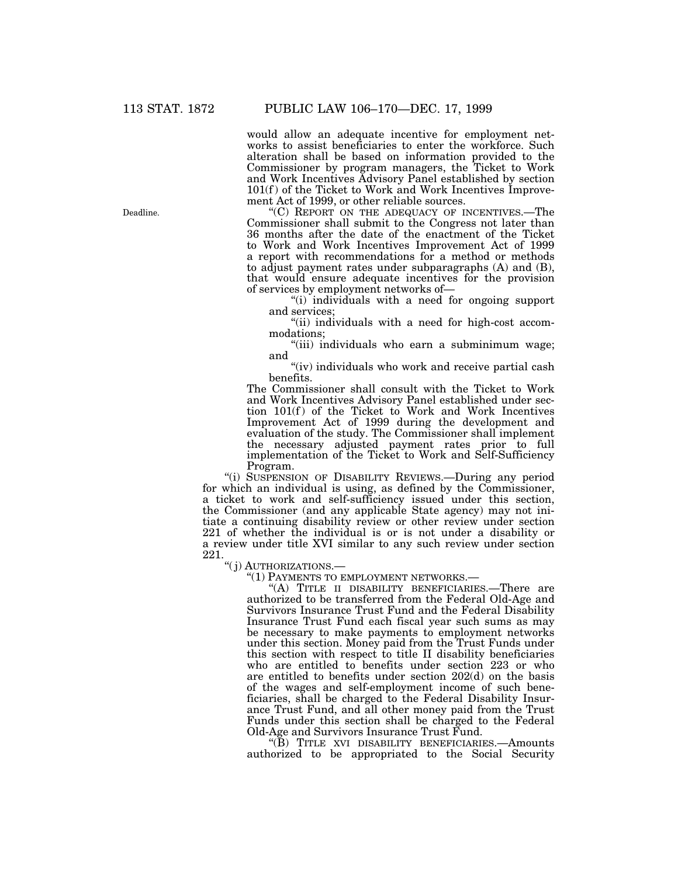would allow an adequate incentive for employment networks to assist beneficiaries to enter the workforce. Such alteration shall be based on information provided to the Commissioner by program managers, the Ticket to Work and Work Incentives Advisory Panel established by section  $101(f)$  of the Ticket to Work and Work Incentives Improvement Act of 1999, or other reliable sources.

"(C) REPORT ON THE ADEQUACY OF INCENTIVES.—The Commissioner shall submit to the Congress not later than 36 months after the date of the enactment of the Ticket to Work and Work Incentives Improvement Act of 1999 a report with recommendations for a method or methods to adjust payment rates under subparagraphs (A) and (B), that would ensure adequate incentives for the provision of services by employment networks of—

''(i) individuals with a need for ongoing support and services;

"(ii) individuals with a need for high-cost accommodations;

''(iii) individuals who earn a subminimum wage; and

"(iv) individuals who work and receive partial cash benefits.

The Commissioner shall consult with the Ticket to Work and Work Incentives Advisory Panel established under section  $101(f)$  of the Ticket to Work and Work Incentives Improvement Act of 1999 during the development and evaluation of the study. The Commissioner shall implement the necessary adjusted payment rates prior to full implementation of the Ticket to Work and Self-Sufficiency Program.

"(i) SUSPENSION OF DISABILITY REVIEWS.—During any period for which an individual is using, as defined by the Commissioner, a ticket to work and self-sufficiency issued under this section, the Commissioner (and any applicable State agency) may not initiate a continuing disability review or other review under section 221 of whether the individual is or is not under a disability or a review under title XVI similar to any such review under section 221.

''( j) AUTHORIZATIONS.—

''(1) PAYMENTS TO EMPLOYMENT NETWORKS.—

"(A) TITLE II DISABILITY BENEFICIARIES.—There are authorized to be transferred from the Federal Old-Age and Survivors Insurance Trust Fund and the Federal Disability Insurance Trust Fund each fiscal year such sums as may be necessary to make payments to employment networks under this section. Money paid from the Trust Funds under this section with respect to title II disability beneficiaries who are entitled to benefits under section 223 or who are entitled to benefits under section 202(d) on the basis of the wages and self-employment income of such beneficiaries, shall be charged to the Federal Disability Insurance Trust Fund, and all other money paid from the Trust Funds under this section shall be charged to the Federal Old-Age and Survivors Insurance Trust Fund.

''(B) TITLE XVI DISABILITY BENEFICIARIES.—Amounts authorized to be appropriated to the Social Security

Deadline.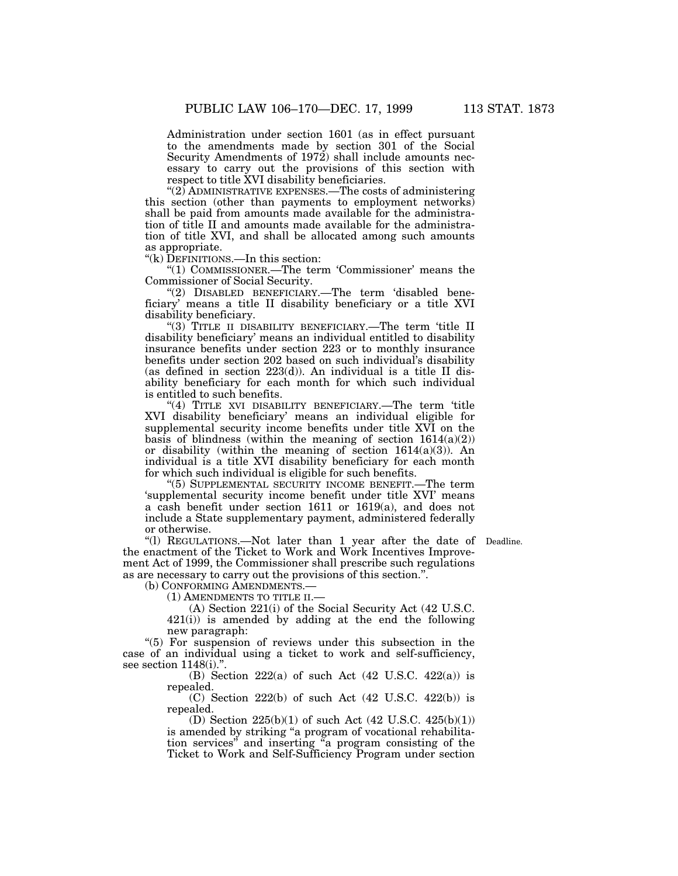Administration under section 1601 (as in effect pursuant to the amendments made by section 301 of the Social Security Amendments of 1972) shall include amounts necessary to carry out the provisions of this section with respect to title XVI disability beneficiaries.

''(2) ADMINISTRATIVE EXPENSES.—The costs of administering this section (other than payments to employment networks) shall be paid from amounts made available for the administration of title II and amounts made available for the administration of title XVI, and shall be allocated among such amounts as appropriate.

"(k) DEFINITIONS.—In this section:

''(1) COMMISSIONER.—The term 'Commissioner' means the Commissioner of Social Security.

"(2) DISABLED BENEFICIARY.—The term 'disabled beneficiary' means a title II disability beneficiary or a title XVI disability beneficiary.

"(3) TITLE II DISABILITY BENEFICIARY.—The term 'title II disability beneficiary' means an individual entitled to disability insurance benefits under section 223 or to monthly insurance benefits under section 202 based on such individual's disability (as defined in section 223(d)). An individual is a title II disability beneficiary for each month for which such individual is entitled to such benefits.

"(4) TITLE XVI DISABILITY BENEFICIARY.—The term 'title XVI disability beneficiary' means an individual eligible for supplemental security income benefits under title XVI on the basis of blindness (within the meaning of section  $1614(a)(2)$ ) or disability (within the meaning of section  $1614(a)(3)$ ). An individual is a title XVI disability beneficiary for each month for which such individual is eligible for such benefits.

"(5) SUPPLEMENTAL SECURITY INCOME BENEFIT.—The term 'supplemental security income benefit under title XVI' means a cash benefit under section 1611 or 1619(a), and does not include a State supplementary payment, administered federally or otherwise.

''(l) REGULATIONS.—Not later than 1 year after the date of Deadline. the enactment of the Ticket to Work and Work Incentives Improvement Act of 1999, the Commissioner shall prescribe such regulations as are necessary to carry out the provisions of this section.''.

(b) CONFORMING AMENDMENTS.—

(1) AMENDMENTS TO TITLE II.—

(A) Section 221(i) of the Social Security Act (42 U.S.C. 421(i)) is amended by adding at the end the following new paragraph:

''(5) For suspension of reviews under this subsection in the case of an individual using a ticket to work and self-sufficiency, see section 1148(i).".

(B) Section 222(a) of such Act (42 U.S.C. 422(a)) is repealed.

(C) Section 222(b) of such Act (42 U.S.C. 422(b)) is repealed.

(D) Section 225(b)(1) of such Act (42 U.S.C. 425(b)(1)) is amended by striking "a program of vocational rehabilitation services'' and inserting ''a program consisting of the Ticket to Work and Self-Sufficiency Program under section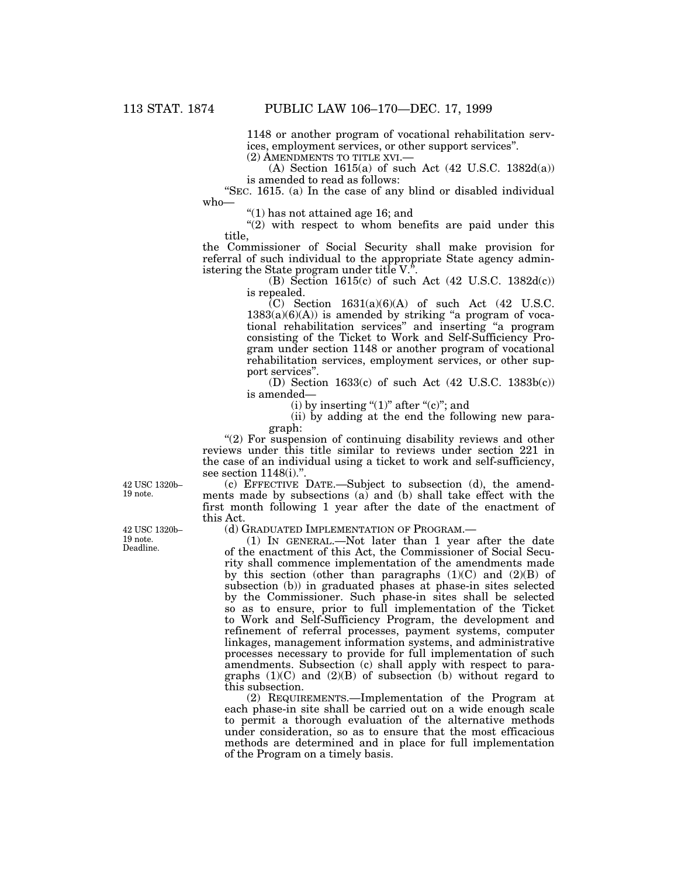1148 or another program of vocational rehabilitation services, employment services, or other support services''.

(2) AMENDMENTS TO TITLE XVI.—

(A) Section 1615(a) of such Act (42 U.S.C. 1382d(a)) is amended to read as follows:

"SEC. 1615. (a) In the case of any blind or disabled individual who—

''(1) has not attained age 16; and

 $''(2)$  with respect to whom benefits are paid under this title,

the Commissioner of Social Security shall make provision for referral of such individual to the appropriate State agency administering the State program under title  $V$ .".

(B) Section  $1615(c)$  of such Act (42 U.S.C.  $1382d(c)$ ) is repealed.

(C) Section 1631(a)(6)(A) of such Act (42 U.S.C.  $1383(a)(6)(A)$  is amended by striking "a program of vocational rehabilitation services'' and inserting ''a program consisting of the Ticket to Work and Self-Sufficiency Program under section 1148 or another program of vocational rehabilitation services, employment services, or other support services''.

(D) Section 1633(c) of such Act (42 U.S.C. 1383b(c)) is amended—

(i) by inserting " $(1)$ " after " $(c)$ "; and

(ii) by adding at the end the following new paragraph:

"(2) For suspension of continuing disability reviews and other reviews under this title similar to reviews under section 221 in the case of an individual using a ticket to work and self-sufficiency, see section 1148(i).''.

(c) EFFECTIVE DATE.—Subject to subsection (d), the amendments made by subsections (a) and (b) shall take effect with the first month following 1 year after the date of the enactment of this Act.

(d) GRADUATED IMPLEMENTATION OF PROGRAM.—

(1) IN GENERAL.—Not later than 1 year after the date of the enactment of this Act, the Commissioner of Social Security shall commence implementation of the amendments made by this section (other than paragraphs  $(1)(C)$  and  $(2)(B)$  of subsection (b)) in graduated phases at phase-in sites selected by the Commissioner. Such phase-in sites shall be selected so as to ensure, prior to full implementation of the Ticket to Work and Self-Sufficiency Program, the development and refinement of referral processes, payment systems, computer linkages, management information systems, and administrative processes necessary to provide for full implementation of such amendments. Subsection (c) shall apply with respect to paragraphs  $(1)(C)$  and  $(2)(B)$  of subsection (b) without regard to this subsection.

(2) REQUIREMENTS.—Implementation of the Program at each phase-in site shall be carried out on a wide enough scale to permit a thorough evaluation of the alternative methods under consideration, so as to ensure that the most efficacious methods are determined and in place for full implementation of the Program on a timely basis.

42 USC 1320b– 19 note.

Deadline. 42 USC 1320b– 19 note.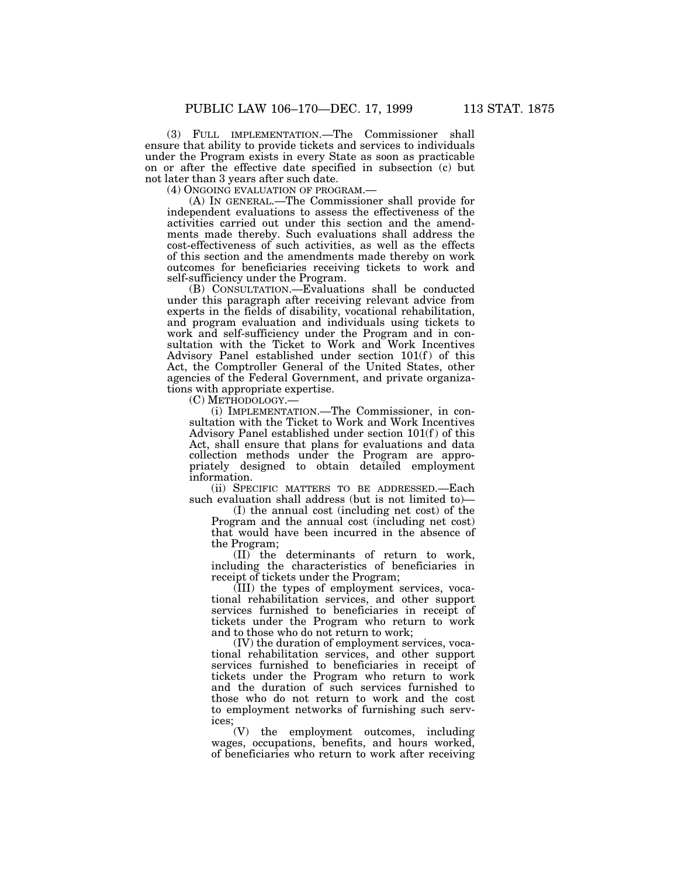(3) FULL IMPLEMENTATION.—The Commissioner shall ensure that ability to provide tickets and services to individuals under the Program exists in every State as soon as practicable on or after the effective date specified in subsection (c) but not later than 3 years after such date.

(4) ONGOING EVALUATION OF PROGRAM.—

(A) IN GENERAL.—The Commissioner shall provide for independent evaluations to assess the effectiveness of the activities carried out under this section and the amendments made thereby. Such evaluations shall address the cost-effectiveness of such activities, as well as the effects of this section and the amendments made thereby on work outcomes for beneficiaries receiving tickets to work and self-sufficiency under the Program.

(B) CONSULTATION.—Evaluations shall be conducted under this paragraph after receiving relevant advice from experts in the fields of disability, vocational rehabilitation, and program evaluation and individuals using tickets to work and self-sufficiency under the Program and in consultation with the Ticket to Work and Work Incentives Advisory Panel established under section  $101(f)$  of this Act, the Comptroller General of the United States, other agencies of the Federal Government, and private organizations with appropriate expertise.

(C) METHODOLOGY.—

(i) IMPLEMENTATION.—The Commissioner, in consultation with the Ticket to Work and Work Incentives Advisory Panel established under section  $101(f)$  of this Act, shall ensure that plans for evaluations and data collection methods under the Program are appropriately designed to obtain detailed employment information.

(ii) SPECIFIC MATTERS TO BE ADDRESSED.—Each such evaluation shall address (but is not limited to)—

(I) the annual cost (including net cost) of the Program and the annual cost (including net cost) that would have been incurred in the absence of the Program;

(II) the determinants of return to work, including the characteristics of beneficiaries in receipt of tickets under the Program;

(III) the types of employment services, vocational rehabilitation services, and other support services furnished to beneficiaries in receipt of tickets under the Program who return to work and to those who do not return to work;

(IV) the duration of employment services, vocational rehabilitation services, and other support services furnished to beneficiaries in receipt of tickets under the Program who return to work and the duration of such services furnished to those who do not return to work and the cost to employment networks of furnishing such services;

(V) the employment outcomes, including wages, occupations, benefits, and hours worked, of beneficiaries who return to work after receiving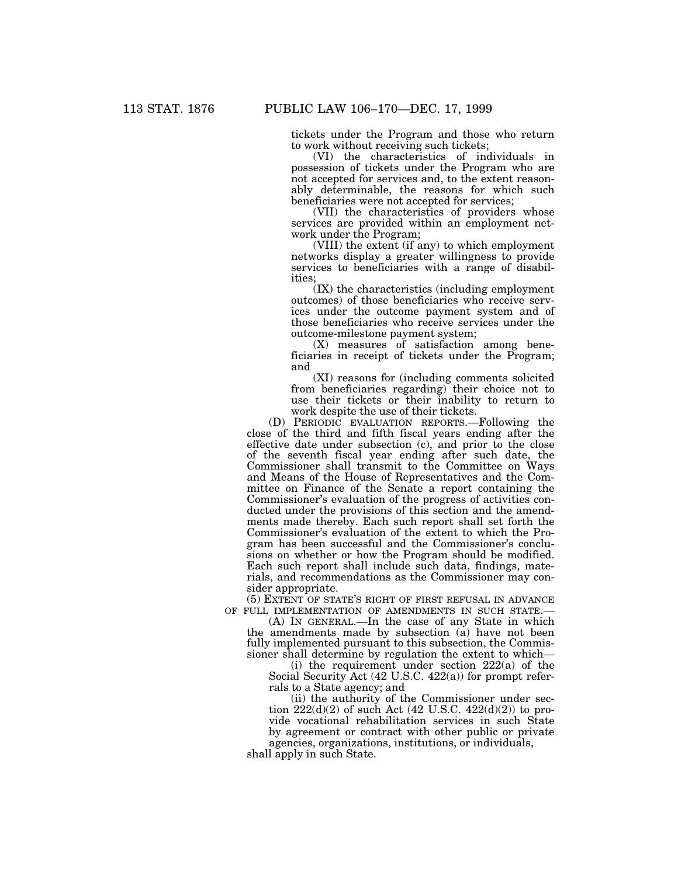tickets under the Program and those who return to work without receiving such tickets;

(VI) the characteristics of individuals in possession of tickets under the Program who are not accepted for services and, to the extent reasonably determinable, the reasons for which such beneficiaries were not accepted for services;

(VII) the characteristics of providers whose services are provided within an employment network under the Program;

(VIII) the extent (if any) to which employment networks display a greater willingness to provide services to beneficiaries with a range of disabilities;

(IX) the characteristics (including employment outcomes) of those beneficiaries who receive services under the outcome payment system and of those beneficiaries who receive services under the outcome-milestone payment system;

(X) measures of satisfaction among beneficiaries in receipt of tickets under the Program; and

(XI) reasons for (including comments solicited from beneficiaries regarding) their choice not to use their tickets or their inability to return to work despite the use of their tickets.

(D) PERIODIC EVALUATION REPORTS.—Following the close of the third and fifth fiscal years ending after the effective date under subsection (c), and prior to the close of the seventh fiscal year ending after such date, the Commissioner shall transmit to the Committee on Ways and Means of the House of Representatives and the Committee on Finance of the Senate a report containing the Commissioner's evaluation of the progress of activities conducted under the provisions of this section and the amendments made thereby. Each such report shall set forth the Commissioner's evaluation of the extent to which the Program has been successful and the Commissioner's conclusions on whether or how the Program should be modified. Each such report shall include such data, findings, materials, and recommendations as the Commissioner may consider appropriate.

(5) EXTENT OF STATE'S RIGHT OF FIRST REFUSAL IN ADVANCE OF FULL IMPLEMENTATION OF AMENDMENTS IN SUCH STATE.-

(A) IN GENERAL.—In the case of any State in which the amendments made by subsection (a) have not been fully implemented pursuant to this subsection, the Commissioner shall determine by regulation the extent to which—

(i) the requirement under section 222(a) of the Social Security Act (42 U.S.C. 422(a)) for prompt referrals to a State agency; and

(ii) the authority of the Commissioner under section  $222(d)(2)$  of such Act (42 U.S.C. 422(d)(2)) to provide vocational rehabilitation services in such State by agreement or contract with other public or private agencies, organizations, institutions, or individuals,

shall apply in such State.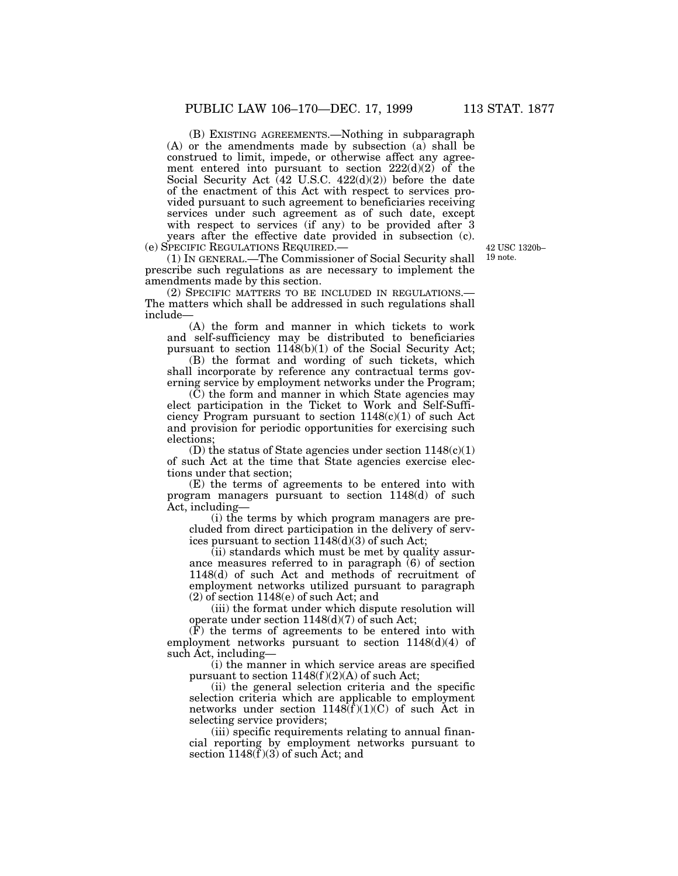(B) EXISTING AGREEMENTS.—Nothing in subparagraph (A) or the amendments made by subsection (a) shall be construed to limit, impede, or otherwise affect any agreement entered into pursuant to section  $222(d)(2)$  of the Social Security Act (42 U.S.C. 422(d)(2)) before the date of the enactment of this Act with respect to services provided pursuant to such agreement to beneficiaries receiving services under such agreement as of such date, except with respect to services (if any) to be provided after 3 years after the effective date provided in subsection (c).

(e) SPECIFIC REGULATIONS REQUIRED.—

42 USC 1320b– 19 note.

(1) IN GENERAL.—The Commissioner of Social Security shall prescribe such regulations as are necessary to implement the amendments made by this section.

(2) SPECIFIC MATTERS TO BE INCLUDED IN REGULATIONS.— The matters which shall be addressed in such regulations shall include—

(A) the form and manner in which tickets to work and self-sufficiency may be distributed to beneficiaries pursuant to section 1148(b)(1) of the Social Security Act;

(B) the format and wording of such tickets, which shall incorporate by reference any contractual terms governing service by employment networks under the Program;

 $(\tilde{C})$  the form and manner in which State agencies may elect participation in the Ticket to Work and Self-Sufficiency Program pursuant to section  $1148(c)(1)$  of such Act and provision for periodic opportunities for exercising such elections;

(D) the status of State agencies under section  $1148(c)(1)$ of such Act at the time that State agencies exercise elections under that section;

(E) the terms of agreements to be entered into with program managers pursuant to section 1148(d) of such Act, including—

(i) the terms by which program managers are precluded from direct participation in the delivery of services pursuant to section 1148(d)(3) of such Act;

(ii) standards which must be met by quality assurance measures referred to in paragraph (6) of section 1148(d) of such Act and methods of recruitment of employment networks utilized pursuant to paragraph (2) of section 1148(e) of such Act; and

(iii) the format under which dispute resolution will operate under section 1148(d)(7) of such Act;

(F) the terms of agreements to be entered into with employment networks pursuant to section 1148(d)(4) of such Act, including—

(i) the manner in which service areas are specified pursuant to section  $1148(f)(2)(A)$  of such Act;

(ii) the general selection criteria and the specific selection criteria which are applicable to employment networks under section  $1148(f)(1)(C)$  of such Act in selecting service providers;

(iii) specific requirements relating to annual financial reporting by employment networks pursuant to section  $1148(f)(3)$  of such Act; and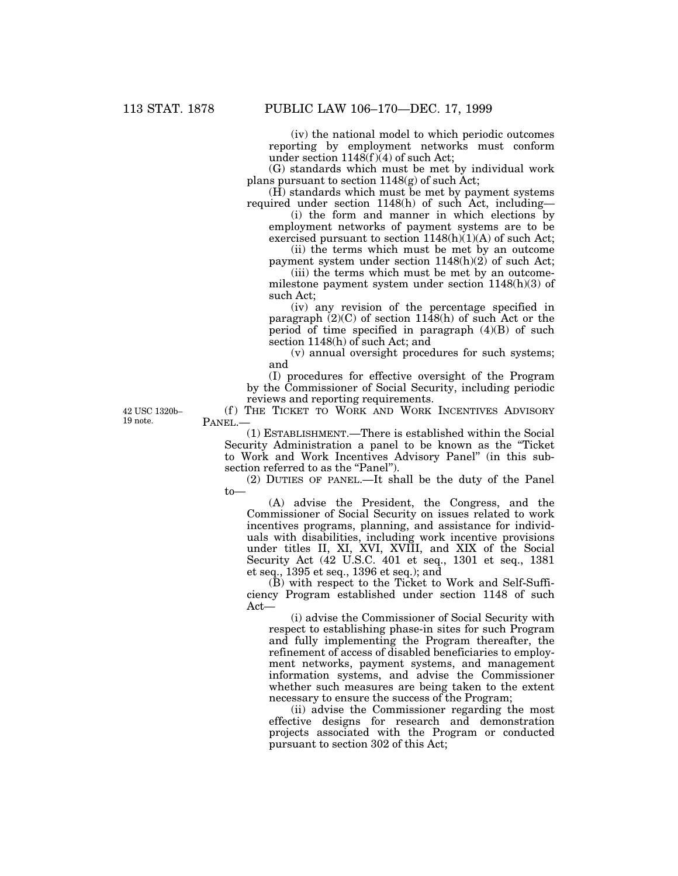(iv) the national model to which periodic outcomes reporting by employment networks must conform under section  $1148(f)(4)$  of such Act;

(G) standards which must be met by individual work plans pursuant to section  $1148(g)$  of such Act;

(H) standards which must be met by payment systems required under section 1148(h) of such Act, including—

(i) the form and manner in which elections by employment networks of payment systems are to be exercised pursuant to section  $1148(h)(1)(A)$  of such Act;

(ii) the terms which must be met by an outcome payment system under section 1148(h)(2) of such Act;

(iii) the terms which must be met by an outcomemilestone payment system under section 1148(h)(3) of such Act;

(iv) any revision of the percentage specified in paragraph  $(2)(C)$  of section 1148(h) of such Act or the period of time specified in paragraph (4)(B) of such section 1148(h) of such Act; and

(v) annual oversight procedures for such systems; and

(I) procedures for effective oversight of the Program by the Commissioner of Social Security, including periodic reviews and reporting requirements.

42 USC 1320b– 19 note.

(f) THE TICKET TO WORK AND WORK INCENTIVES ADVISORY PANEL.—

(1) ESTABLISHMENT.—There is established within the Social Security Administration a panel to be known as the "Ticket" to Work and Work Incentives Advisory Panel'' (in this subsection referred to as the "Panel").

(2) DUTIES OF PANEL.—It shall be the duty of the Panel to—

(A) advise the President, the Congress, and the Commissioner of Social Security on issues related to work incentives programs, planning, and assistance for individuals with disabilities, including work incentive provisions under titles II, XI, XVI, XVIII, and XIX of the Social Security Act (42 U.S.C. 401 et seq., 1301 et seq., 1381 et seq., 1395 et seq., 1396 et seq.); and

(B) with respect to the Ticket to Work and Self-Sufficiency Program established under section 1148 of such Act—

(i) advise the Commissioner of Social Security with respect to establishing phase-in sites for such Program and fully implementing the Program thereafter, the refinement of access of disabled beneficiaries to employment networks, payment systems, and management information systems, and advise the Commissioner whether such measures are being taken to the extent necessary to ensure the success of the Program;

(ii) advise the Commissioner regarding the most effective designs for research and demonstration projects associated with the Program or conducted pursuant to section 302 of this Act;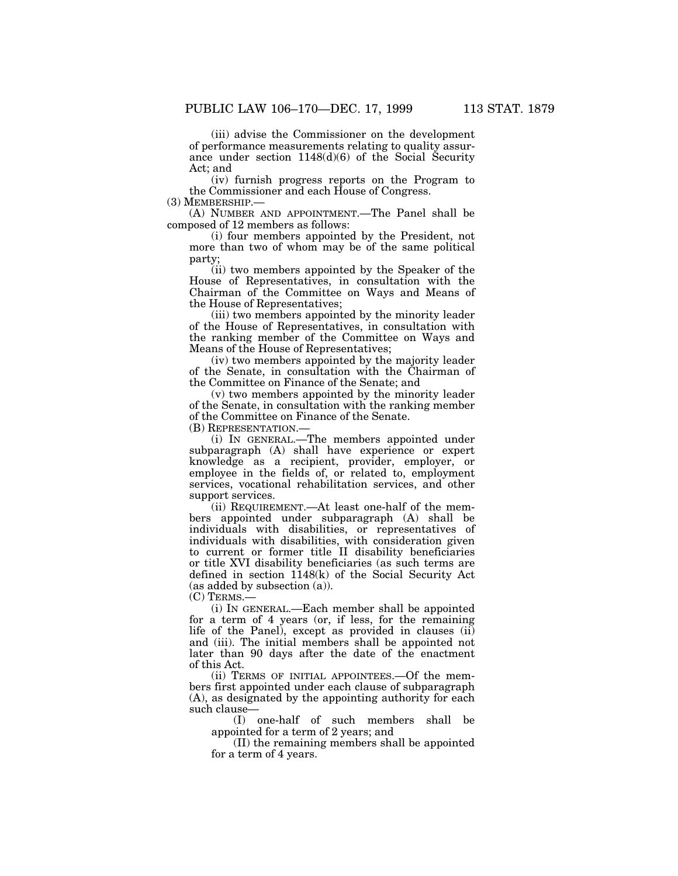(iii) advise the Commissioner on the development of performance measurements relating to quality assurance under section 1148(d)(6) of the Social Security Act; and

(iv) furnish progress reports on the Program to the Commissioner and each House of Congress. (3) MEMBERSHIP.—

(A) NUMBER AND APPOINTMENT.—The Panel shall be composed of 12 members as follows:

(i) four members appointed by the President, not more than two of whom may be of the same political party;

(ii) two members appointed by the Speaker of the House of Representatives, in consultation with the Chairman of the Committee on Ways and Means of the House of Representatives;

(iii) two members appointed by the minority leader of the House of Representatives, in consultation with the ranking member of the Committee on Ways and Means of the House of Representatives;

(iv) two members appointed by the majority leader of the Senate, in consultation with the Chairman of the Committee on Finance of the Senate; and

(v) two members appointed by the minority leader of the Senate, in consultation with the ranking member of the Committee on Finance of the Senate.

(B) REPRESENTATION.—

(i) IN GENERAL.—The members appointed under subparagraph (A) shall have experience or expert knowledge as a recipient, provider, employer, or employee in the fields of, or related to, employment services, vocational rehabilitation services, and other support services.

(ii) REQUIREMENT.—At least one-half of the members appointed under subparagraph (A) shall be individuals with disabilities, or representatives of individuals with disabilities, with consideration given to current or former title II disability beneficiaries or title XVI disability beneficiaries (as such terms are defined in section 1148(k) of the Social Security Act (as added by subsection (a)).

(C) TERMS.—

(i) IN GENERAL.—Each member shall be appointed for a term of 4 years (or, if less, for the remaining life of the Panel), except as provided in clauses (ii) and (iii). The initial members shall be appointed not later than 90 days after the date of the enactment of this Act.

(ii) TERMS OF INITIAL APPOINTEES.—Of the members first appointed under each clause of subparagraph (A), as designated by the appointing authority for each such clause—

(I) one-half of such members shall be appointed for a term of 2 years; and

(II) the remaining members shall be appointed for a term of 4 years.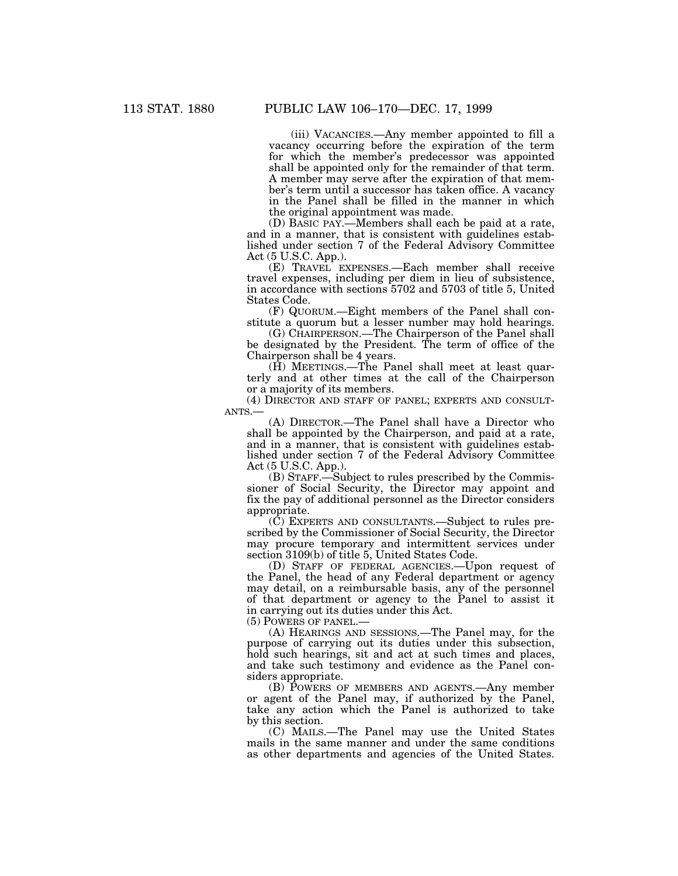(iii) VACANCIES.—Any member appointed to fill a vacancy occurring before the expiration of the term for which the member's predecessor was appointed shall be appointed only for the remainder of that term. A member may serve after the expiration of that member's term until a successor has taken office. A vacancy in the Panel shall be filled in the manner in which the original appointment was made.

(D) BASIC PAY.—Members shall each be paid at a rate, and in a manner, that is consistent with guidelines established under section 7 of the Federal Advisory Committee Act (5 U.S.C. App.).

(E) TRAVEL EXPENSES.—Each member shall receive travel expenses, including per diem in lieu of subsistence, in accordance with sections 5702 and 5703 of title 5, United States Code.

(F) QUORUM.—Eight members of the Panel shall constitute a quorum but a lesser number may hold hearings.

(G) CHAIRPERSON.—The Chairperson of the Panel shall be designated by the President. The term of office of the Chairperson shall be 4 years.

(H) MEETINGS.—The Panel shall meet at least quarterly and at other times at the call of the Chairperson or a majority of its members.

(4) DIRECTOR AND STAFF OF PANEL; EXPERTS AND CONSULT-ANTS.—

(A) DIRECTOR.—The Panel shall have a Director who shall be appointed by the Chairperson, and paid at a rate, and in a manner, that is consistent with guidelines established under section 7 of the Federal Advisory Committee Act (5 U.S.C. App.).

(B) STAFF.—Subject to rules prescribed by the Commissioner of Social Security, the Director may appoint and fix the pay of additional personnel as the Director considers appropriate.

 $(\tilde{C})$  EXPERTS AND CONSULTANTS.—Subject to rules prescribed by the Commissioner of Social Security, the Director may procure temporary and intermittent services under section 3109(b) of title 5, United States Code.

(D) STAFF OF FEDERAL AGENCIES.—Upon request of the Panel, the head of any Federal department or agency may detail, on a reimbursable basis, any of the personnel of that department or agency to the Panel to assist it in carrying out its duties under this Act.

(5) POWERS OF PANEL.—

(A) HEARINGS AND SESSIONS.—The Panel may, for the purpose of carrying out its duties under this subsection, hold such hearings, sit and act at such times and places, and take such testimony and evidence as the Panel considers appropriate.

(B) POWERS OF MEMBERS AND AGENTS.—Any member or agent of the Panel may, if authorized by the Panel, take any action which the Panel is authorized to take by this section.

(C) MAILS.—The Panel may use the United States mails in the same manner and under the same conditions as other departments and agencies of the United States.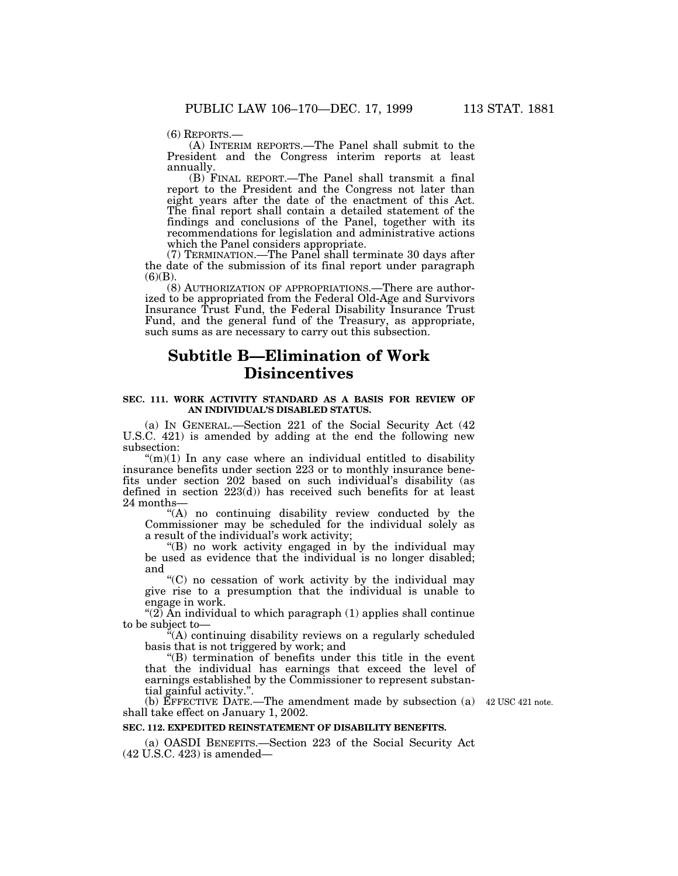(6) REPORTS.— (A) INTERIM REPORTS.—The Panel shall submit to the President and the Congress interim reports at least annually.

(B) FINAL REPORT.—The Panel shall transmit a final report to the President and the Congress not later than eight years after the date of the enactment of this Act. The final report shall contain a detailed statement of the findings and conclusions of the Panel, together with its recommendations for legislation and administrative actions which the Panel considers appropriate.

(7) TERMINATION.—The Panel shall terminate 30 days after the date of the submission of its final report under paragraph  $(6)(B)$ .

(8) AUTHORIZATION OF APPROPRIATIONS.—There are authorized to be appropriated from the Federal Old-Age and Survivors Insurance Trust Fund, the Federal Disability Insurance Trust Fund, and the general fund of the Treasury, as appropriate, such sums as are necessary to carry out this subsection.

# **Subtitle B—Elimination of Work Disincentives**

### **SEC. 111. WORK ACTIVITY STANDARD AS A BASIS FOR REVIEW OF AN INDIVIDUAL'S DISABLED STATUS.**

(a) IN GENERAL.—Section 221 of the Social Security Act (42 U.S.C. 421) is amended by adding at the end the following new subsection:

 $\rm{m}(1)$  In any case where an individual entitled to disability insurance benefits under section 223 or to monthly insurance benefits under section 202 based on such individual's disability (as defined in section 223(d)) has received such benefits for at least 24 months—

''(A) no continuing disability review conducted by the Commissioner may be scheduled for the individual solely as a result of the individual's work activity;

''(B) no work activity engaged in by the individual may be used as evidence that the individual is no longer disabled; and

''(C) no cessation of work activity by the individual may give rise to a presumption that the individual is unable to engage in work.

" $(2)$  An individual to which paragraph  $(1)$  applies shall continue to be subject to—

''(A) continuing disability reviews on a regularly scheduled basis that is not triggered by work; and

''(B) termination of benefits under this title in the event that the individual has earnings that exceed the level of earnings established by the Commissioner to represent substantial gainful activity.''.

(b) EFFECTIVE DATE.—The amendment made by subsection (a) 42 USC 421 note. shall take effect on January 1, 2002.

## **SEC. 112. EXPEDITED REINSTATEMENT OF DISABILITY BENEFITS.**

(a) OASDI BENEFITS.—Section 223 of the Social Security Act (42 U.S.C. 423) is amended—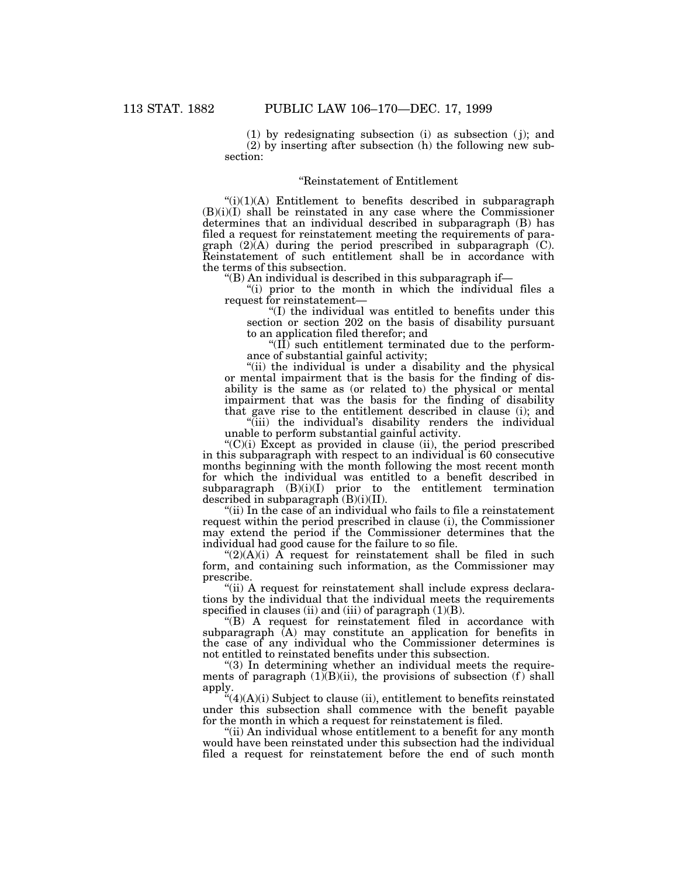$(1)$  by redesignating subsection  $(i)$  as subsection  $(j)$ ; and (2) by inserting after subsection (h) the following new subsection:

# ''Reinstatement of Entitlement

 $(ii)(1)(A)$  Entitlement to benefits described in subparagraph (B)(i)(I) shall be reinstated in any case where the Commissioner determines that an individual described in subparagraph (B) has filed a request for reinstatement meeting the requirements of paragraph (2)(A) during the period prescribed in subparagraph (C). Reinstatement of such entitlement shall be in accordance with the terms of this subsection.

''(B) An individual is described in this subparagraph if—

"(i) prior to the month in which the individual files a request for reinstatement—

''(I) the individual was entitled to benefits under this section or section 202 on the basis of disability pursuant to an application filed therefor; and

 $\sqrt{\text{III}}$  such entitlement terminated due to the performance of substantial gainful activity;

"(ii) the individual is under a disability and the physical or mental impairment that is the basis for the finding of disability is the same as (or related to) the physical or mental impairment that was the basis for the finding of disability that gave rise to the entitlement described in clause (i); and

"(iii) the individual's disability renders the individual unable to perform substantial gainful activity.

''(C)(i) Except as provided in clause (ii), the period prescribed in this subparagraph with respect to an individual is 60 consecutive months beginning with the month following the most recent month for which the individual was entitled to a benefit described in subparagraph (B)(i)(I) prior to the entitlement termination described in subparagraph  $(B)(i)(II)$ .

''(ii) In the case of an individual who fails to file a reinstatement request within the period prescribed in clause (i), the Commissioner may extend the period if the Commissioner determines that the individual had good cause for the failure to so file.

" $(2)(A)(i)$  A request for reinstatement shall be filed in such form, and containing such information, as the Commissioner may prescribe.

"(ii) A request for reinstatement shall include express declarations by the individual that the individual meets the requirements specified in clauses (ii) and (iii) of paragraph  $(1)(B)$ .

''(B) A request for reinstatement filed in accordance with subparagraph (A) may constitute an application for benefits in the case of any individual who the Commissioner determines is not entitled to reinstated benefits under this subsection.

" $(3)$  In determining whether an individual meets the requirements of paragraph  $(1)(B)(ii)$ , the provisions of subsection  $(f)$  shall apply.

 $*(4)(A)(i)$  Subject to clause (ii), entitlement to benefits reinstated under this subsection shall commence with the benefit payable for the month in which a request for reinstatement is filed.

''(ii) An individual whose entitlement to a benefit for any month would have been reinstated under this subsection had the individual filed a request for reinstatement before the end of such month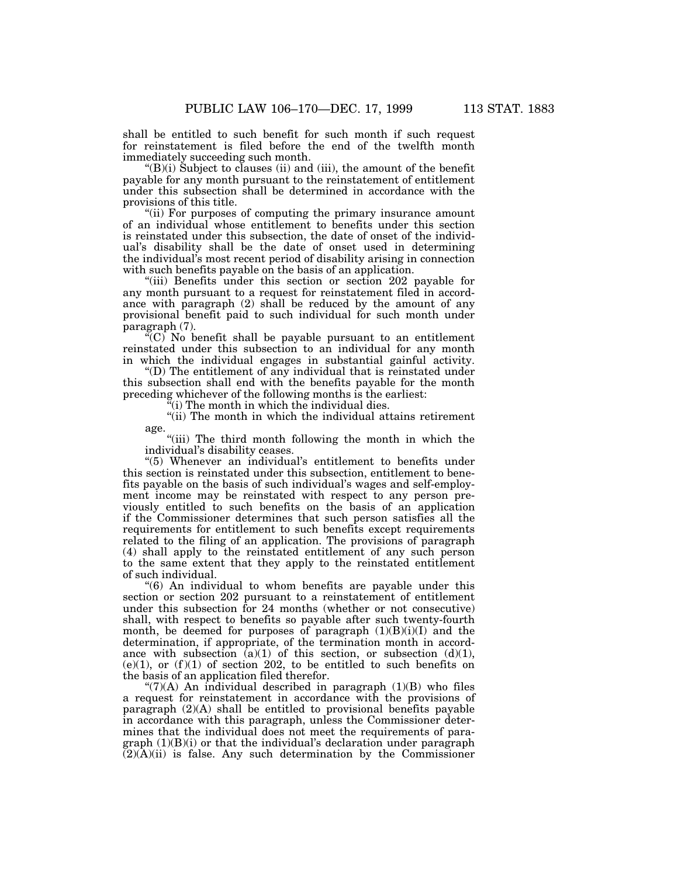shall be entitled to such benefit for such month if such request for reinstatement is filed before the end of the twelfth month immediately succeeding such month.

" $(B)(i)$  Subject to clauses (ii) and (iii), the amount of the benefit payable for any month pursuant to the reinstatement of entitlement under this subsection shall be determined in accordance with the provisions of this title.

"(ii) For purposes of computing the primary insurance amount of an individual whose entitlement to benefits under this section is reinstated under this subsection, the date of onset of the individual's disability shall be the date of onset used in determining the individual's most recent period of disability arising in connection with such benefits payable on the basis of an application.

"(iii) Benefits under this section or section 202 payable for any month pursuant to a request for reinstatement filed in accordance with paragraph (2) shall be reduced by the amount of any provisional benefit paid to such individual for such month under paragraph (7).

 $C<sup>n</sup>(C)$  No benefit shall be payable pursuant to an entitlement reinstated under this subsection to an individual for any month in which the individual engages in substantial gainful activity.

''(D) The entitlement of any individual that is reinstated under this subsection shall end with the benefits payable for the month preceding whichever of the following months is the earliest:

''(i) The month in which the individual dies.

"(ii) The month in which the individual attains retirement age.

"(iii) The third month following the month in which the individual's disability ceases.

''(5) Whenever an individual's entitlement to benefits under this section is reinstated under this subsection, entitlement to benefits payable on the basis of such individual's wages and self-employment income may be reinstated with respect to any person previously entitled to such benefits on the basis of an application if the Commissioner determines that such person satisfies all the requirements for entitlement to such benefits except requirements related to the filing of an application. The provisions of paragraph (4) shall apply to the reinstated entitlement of any such person to the same extent that they apply to the reinstated entitlement of such individual.

''(6) An individual to whom benefits are payable under this section or section 202 pursuant to a reinstatement of entitlement under this subsection for 24 months (whether or not consecutive) shall, with respect to benefits so payable after such twenty-fourth month, be deemed for purposes of paragraph  $(1)(B)(i)(I)$  and the determination, if appropriate, of the termination month in accordance with subsection  $(a)(1)$  of this section, or subsection  $(d)(1)$ ,  $(e)(1)$ , or  $(f)(1)$  of section 202, to be entitled to such benefits on the basis of an application filed therefor.

" $(7)(A)$  An individual described in paragraph  $(1)(B)$  who files a request for reinstatement in accordance with the provisions of paragraph  $(2)(A)$  shall be entitled to provisional benefits payable in accordance with this paragraph, unless the Commissioner determines that the individual does not meet the requirements of paragraph (1)(B)(i) or that the individual's declaration under paragraph  $(2)(A)(ii)$  is false. Any such determination by the Commissioner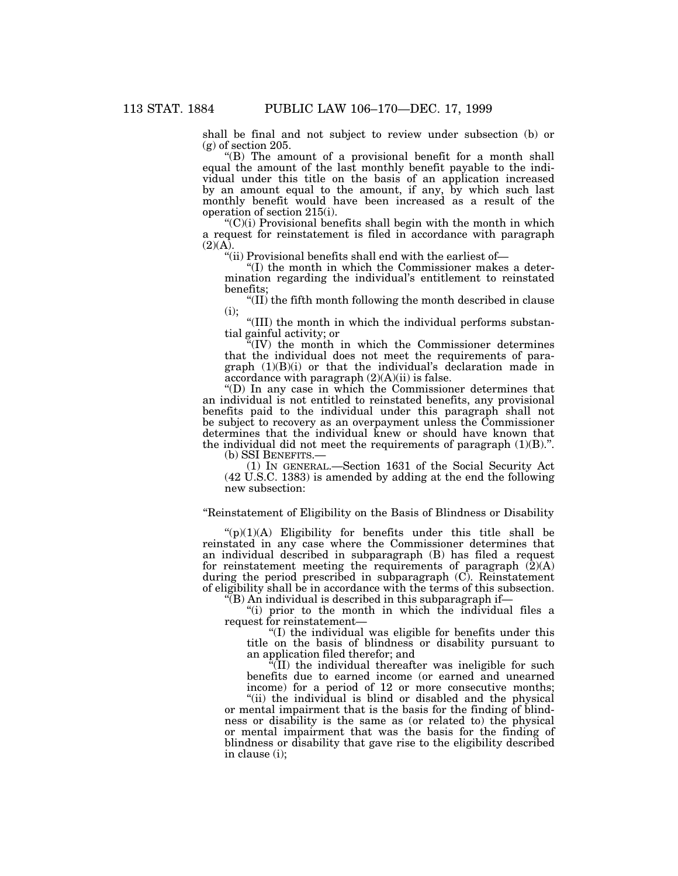shall be final and not subject to review under subsection (b) or  $(g)$  of section 205.

''(B) The amount of a provisional benefit for a month shall equal the amount of the last monthly benefit payable to the individual under this title on the basis of an application increased by an amount equal to the amount, if any, by which such last monthly benefit would have been increased as a result of the operation of section 215(i).

 $(C)(i)$  Provisional benefits shall begin with the month in which a request for reinstatement is filed in accordance with paragraph  $(2)(\overline{A}).$ 

''(ii) Provisional benefits shall end with the earliest of—

''(I) the month in which the Commissioner makes a determination regarding the individual's entitlement to reinstated benefits;

''(II) the fifth month following the month described in clause (i);

''(III) the month in which the individual performs substantial gainful activity; or

''(IV) the month in which the Commissioner determines that the individual does not meet the requirements of paragraph  $(1)(B)(i)$  or that the individual's declaration made in accordance with paragraph  $(2)(A)(ii)$  is false.

''(D) In any case in which the Commissioner determines that an individual is not entitled to reinstated benefits, any provisional benefits paid to the individual under this paragraph shall not be subject to recovery as an overpayment unless the Commissioner determines that the individual knew or should have known that the individual did not meet the requirements of paragraph  $(1)(B)$ .". (b) SSI BENEFITS.—

(1) IN GENERAL.—Section 1631 of the Social Security Act (42 U.S.C. 1383) is amended by adding at the end the following new subsection:

''Reinstatement of Eligibility on the Basis of Blindness or Disability

" $(p)(1)(A)$  Eligibility for benefits under this title shall be reinstated in any case where the Commissioner determines that an individual described in subparagraph (B) has filed a request for reinstatement meeting the requirements of paragraph  $(2)(A)$ during the period prescribed in subparagraph (C). Reinstatement of eligibility shall be in accordance with the terms of this subsection.

''(B) An individual is described in this subparagraph if—

''(i) prior to the month in which the individual files a request for reinstatement—

''(I) the individual was eligible for benefits under this title on the basis of blindness or disability pursuant to an application filed therefor; and

''(II) the individual thereafter was ineligible for such benefits due to earned income (or earned and unearned income) for a period of 12 or more consecutive months;

"(ii) the individual is blind or disabled and the physical or mental impairment that is the basis for the finding of blindness or disability is the same as (or related to) the physical or mental impairment that was the basis for the finding of blindness or disability that gave rise to the eligibility described in clause (i);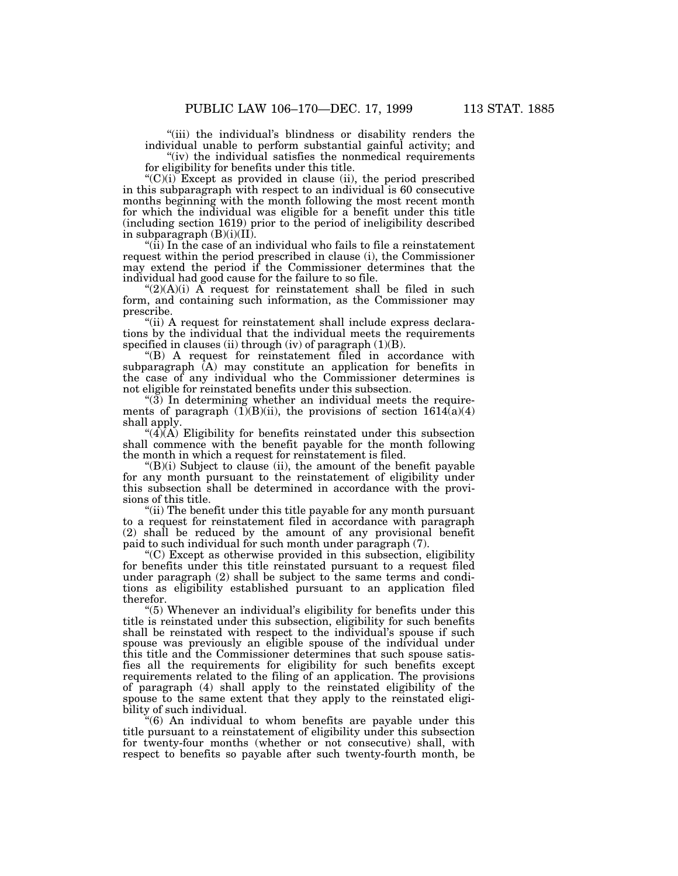"(iii) the individual's blindness or disability renders the individual unable to perform substantial gainful activity; and

"(iv) the individual satisfies the nonmedical requirements for eligibility for benefits under this title.

 $(C)(i)$  Except as provided in clause (ii), the period prescribed in this subparagraph with respect to an individual is 60 consecutive months beginning with the month following the most recent month for which the individual was eligible for a benefit under this title (including section 1619) prior to the period of ineligibility described in subparagraph (B)(i)(II).

''(ii) In the case of an individual who fails to file a reinstatement request within the period prescribed in clause (i), the Commissioner may extend the period if the Commissioner determines that the individual had good cause for the failure to so file.

" $(2)(A)(i)$  A request for reinstatement shall be filed in such form, and containing such information, as the Commissioner may prescribe.

"(ii) A request for reinstatement shall include express declarations by the individual that the individual meets the requirements specified in clauses (ii) through (iv) of paragraph (1)(B).

''(B) A request for reinstatement filed in accordance with subparagraph (A) may constitute an application for benefits in the case of any individual who the Commissioner determines is not eligible for reinstated benefits under this subsection.

 $\degree$ (3) In determining whether an individual meets the requirements of paragraph  $(1)(B)(ii)$ , the provisions of section  $1614(a)(4)$ shall apply.

"(4)(A) Eligibility for benefits reinstated under this subsection shall commence with the benefit payable for the month following the month in which a request for reinstatement is filed.

 $'(B)(i)$  Subject to clause (ii), the amount of the benefit payable for any month pursuant to the reinstatement of eligibility under this subsection shall be determined in accordance with the provisions of this title.

"(ii) The benefit under this title payable for any month pursuant to a request for reinstatement filed in accordance with paragraph (2) shall be reduced by the amount of any provisional benefit paid to such individual for such month under paragraph (7).

''(C) Except as otherwise provided in this subsection, eligibility for benefits under this title reinstated pursuant to a request filed under paragraph (2) shall be subject to the same terms and conditions as eligibility established pursuant to an application filed therefor.

''(5) Whenever an individual's eligibility for benefits under this title is reinstated under this subsection, eligibility for such benefits shall be reinstated with respect to the individual's spouse if such spouse was previously an eligible spouse of the individual under this title and the Commissioner determines that such spouse satisfies all the requirements for eligibility for such benefits except requirements related to the filing of an application. The provisions of paragraph (4) shall apply to the reinstated eligibility of the spouse to the same extent that they apply to the reinstated eligibility of such individual.

''(6) An individual to whom benefits are payable under this title pursuant to a reinstatement of eligibility under this subsection for twenty-four months (whether or not consecutive) shall, with respect to benefits so payable after such twenty-fourth month, be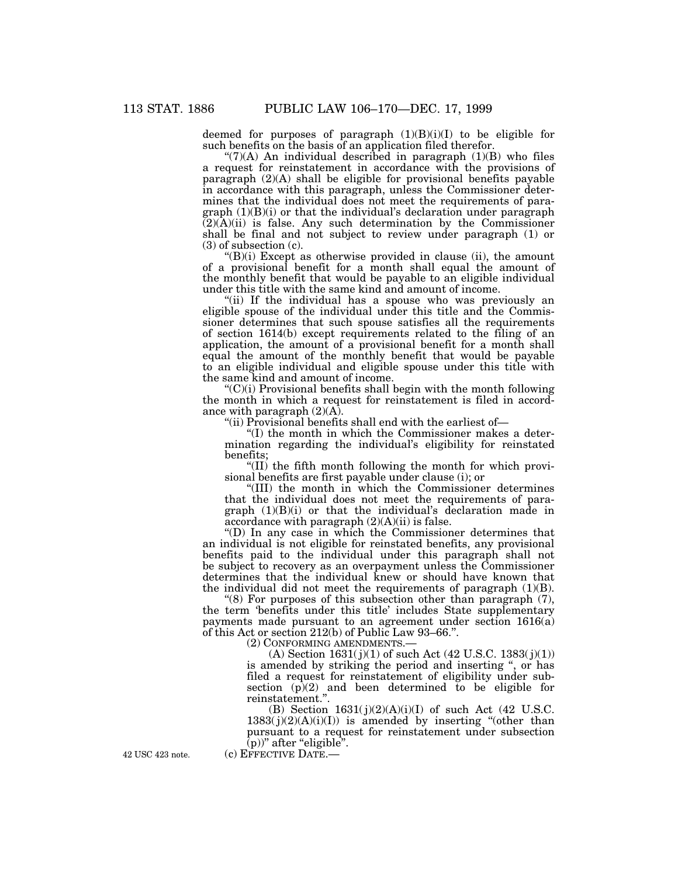deemed for purposes of paragraph  $(1)(B)(i)(I)$  to be eligible for such benefits on the basis of an application filed therefor.

" $(7)(A)$  An individual described in paragraph  $(1)(B)$  who files a request for reinstatement in accordance with the provisions of paragraph (2)(A) shall be eligible for provisional benefits payable in accordance with this paragraph, unless the Commissioner determines that the individual does not meet the requirements of paragraph (1)(B)(i) or that the individual's declaration under paragraph  $(2)(\overline{A})(ii)$  is false. Any such determination by the Commissioner shall be final and not subject to review under paragraph (1) or (3) of subsection (c).

''(B)(i) Except as otherwise provided in clause (ii), the amount of a provisional benefit for a month shall equal the amount of the monthly benefit that would be payable to an eligible individual under this title with the same kind and amount of income.

"(ii) If the individual has a spouse who was previously an eligible spouse of the individual under this title and the Commissioner determines that such spouse satisfies all the requirements of section 1614(b) except requirements related to the filing of an application, the amount of a provisional benefit for a month shall equal the amount of the monthly benefit that would be payable to an eligible individual and eligible spouse under this title with the same kind and amount of income.

''(C)(i) Provisional benefits shall begin with the month following the month in which a request for reinstatement is filed in accordance with paragraph  $(2)(A)$ .

''(ii) Provisional benefits shall end with the earliest of—

''(I) the month in which the Commissioner makes a determination regarding the individual's eligibility for reinstated benefits;

''(II) the fifth month following the month for which provisional benefits are first payable under clause (i); or

''(III) the month in which the Commissioner determines that the individual does not meet the requirements of paragraph  $(1)(B)(i)$  or that the individual's declaration made in accordance with paragraph  $(2)(A)(ii)$  is false.

''(D) In any case in which the Commissioner determines that an individual is not eligible for reinstated benefits, any provisional benefits paid to the individual under this paragraph shall not be subject to recovery as an overpayment unless the Commissioner determines that the individual knew or should have known that the individual did not meet the requirements of paragraph  $(1)(B)$ .

"(8) For purposes of this subsection other than paragraph  $(7)$ , the term 'benefits under this title' includes State supplementary payments made pursuant to an agreement under section 1616(a) of this Act or section 212(b) of Public Law 93–66.''.

(2) CONFORMING AMENDMENTS.—

(A) Section  $1631(j)(1)$  of such Act  $(42 \text{ U.S.C. } 1383(j)(1))$ is amended by striking the period and inserting '', or has filed a request for reinstatement of eligibility under subsection  $(p)(2)$  and been determined to be eligible for reinstatement.''.

(B) Section  $1631(j)(2)(A)(i)(I)$  of such Act (42 U.S.C.  $1383(j)(2)(A)(i)(I))$  is amended by inserting "(other than pursuant to a request for reinstatement under subsection  $(p)$ " after "eligible".

42 USC 423 note. (c) EFFECTIVE DATE.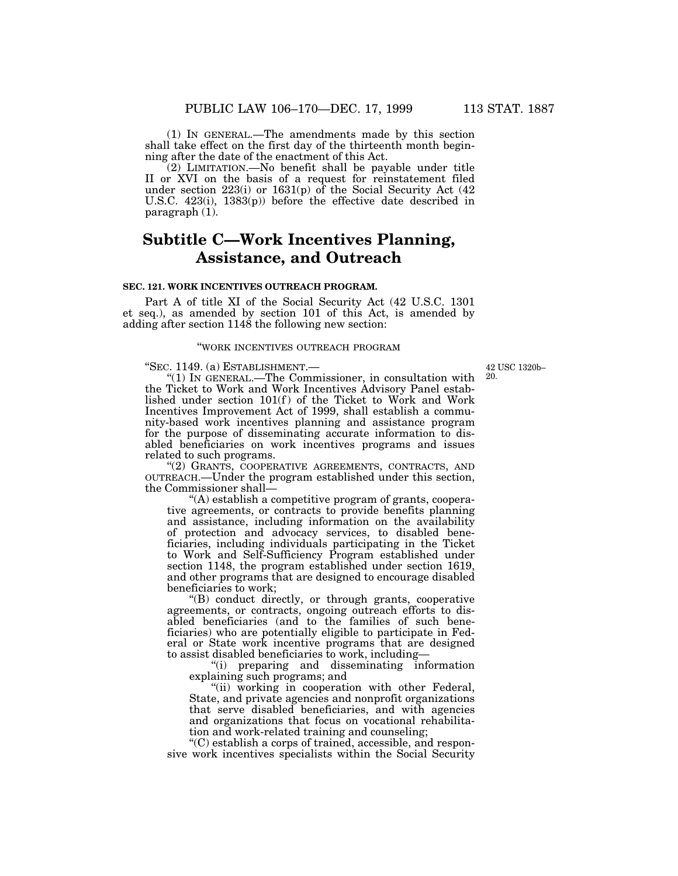(1) IN GENERAL.—The amendments made by this section shall take effect on the first day of the thirteenth month beginning after the date of the enactment of this Act.

(2) LIMITATION.—No benefit shall be payable under title II or XVI on the basis of a request for reinstatement filed under section 223(i) or 1631(p) of the Social Security Act (42 U.S.C. 423(i), 1383(p)) before the effective date described in paragraph (1).

# **Subtitle C—Work Incentives Planning, Assistance, and Outreach**

# **SEC. 121. WORK INCENTIVES OUTREACH PROGRAM.**

Part A of title XI of the Social Security Act (42 U.S.C. 1301 et seq.), as amended by section 101 of this Act, is amended by adding after section 1148 the following new section:

### ''WORK INCENTIVES OUTREACH PROGRAM

''SEC. 1149. (a) ESTABLISHMENT.—

''(1) IN GENERAL.—The Commissioner, in consultation with the Ticket to Work and Work Incentives Advisory Panel established under section  $101(f)$  of the Ticket to Work and Work Incentives Improvement Act of 1999, shall establish a community-based work incentives planning and assistance program for the purpose of disseminating accurate information to disabled beneficiaries on work incentives programs and issues related to such programs.

''(2) GRANTS, COOPERATIVE AGREEMENTS, CONTRACTS, AND OUTREACH.—Under the program established under this section, the Commissioner shall—

''(A) establish a competitive program of grants, cooperative agreements, or contracts to provide benefits planning and assistance, including information on the availability of protection and advocacy services, to disabled beneficiaries, including individuals participating in the Ticket to Work and Self-Sufficiency Program established under section 1148, the program established under section 1619, and other programs that are designed to encourage disabled beneficiaries to work;

''(B) conduct directly, or through grants, cooperative agreements, or contracts, ongoing outreach efforts to disabled beneficiaries (and to the families of such beneficiaries) who are potentially eligible to participate in Federal or State work incentive programs that are designed to assist disabled beneficiaries to work, including—

''(i) preparing and disseminating information explaining such programs; and

"(ii) working in cooperation with other Federal, State, and private agencies and nonprofit organizations that serve disabled beneficiaries, and with agencies and organizations that focus on vocational rehabilitation and work-related training and counseling;

''(C) establish a corps of trained, accessible, and responsive work incentives specialists within the Social Security

42 USC 1320b– 20.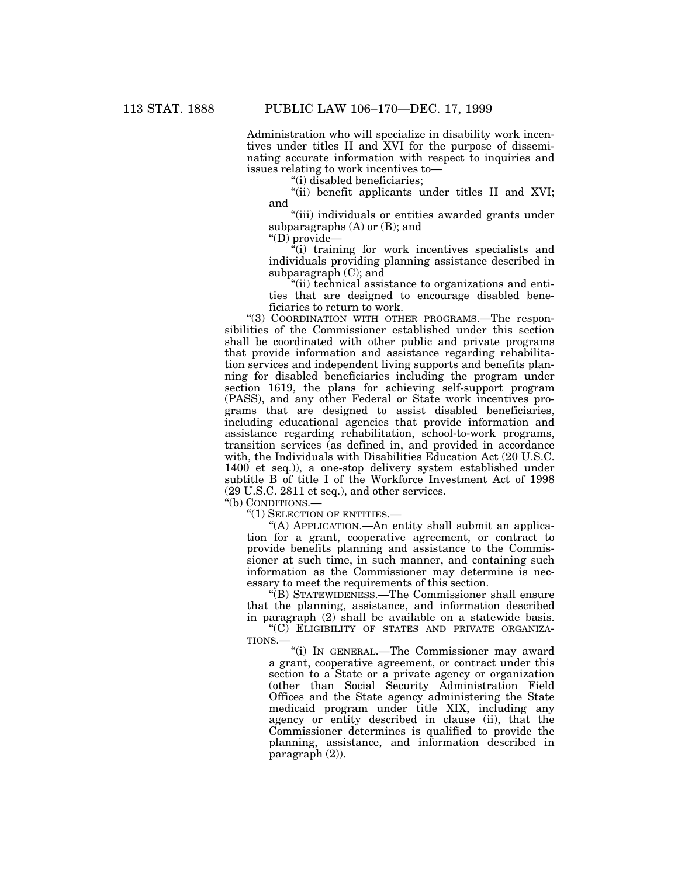Administration who will specialize in disability work incentives under titles II and XVI for the purpose of disseminating accurate information with respect to inquiries and issues relating to work incentives to—

''(i) disabled beneficiaries;

"(ii) benefit applicants under titles II and XVI; and

''(iii) individuals or entities awarded grants under subparagraphs (A) or (B); and

''(D) provide—

 $\ddot{a}$ (i) training for work incentives specialists and individuals providing planning assistance described in subparagraph (C); and

"(ii) technical assistance to organizations and entities that are designed to encourage disabled beneficiaries to return to work.

"(3) COORDINATION WITH OTHER PROGRAMS.—The responsibilities of the Commissioner established under this section shall be coordinated with other public and private programs that provide information and assistance regarding rehabilitation services and independent living supports and benefits planning for disabled beneficiaries including the program under section 1619, the plans for achieving self-support program (PASS), and any other Federal or State work incentives programs that are designed to assist disabled beneficiaries, including educational agencies that provide information and assistance regarding rehabilitation, school-to-work programs, transition services (as defined in, and provided in accordance with, the Individuals with Disabilities Education Act (20 U.S.C. 1400 et seq.)), a one-stop delivery system established under subtitle B of title I of the Workforce Investment Act of 1998 (29 U.S.C. 2811 et seq.), and other services.

''(b) CONDITIONS.—

''(1) SELECTION OF ENTITIES.—

''(A) APPLICATION.—An entity shall submit an application for a grant, cooperative agreement, or contract to provide benefits planning and assistance to the Commissioner at such time, in such manner, and containing such information as the Commissioner may determine is necessary to meet the requirements of this section.

''(B) STATEWIDENESS.—The Commissioner shall ensure that the planning, assistance, and information described in paragraph (2) shall be available on a statewide basis.

"(C) ELIGIBILITY OF STATES AND PRIVATE ORGANIZA-TIONS.—

''(i) IN GENERAL.—The Commissioner may award a grant, cooperative agreement, or contract under this section to a State or a private agency or organization (other than Social Security Administration Field Offices and the State agency administering the State medicaid program under title XIX, including any agency or entity described in clause (ii), that the Commissioner determines is qualified to provide the planning, assistance, and information described in paragraph (2)).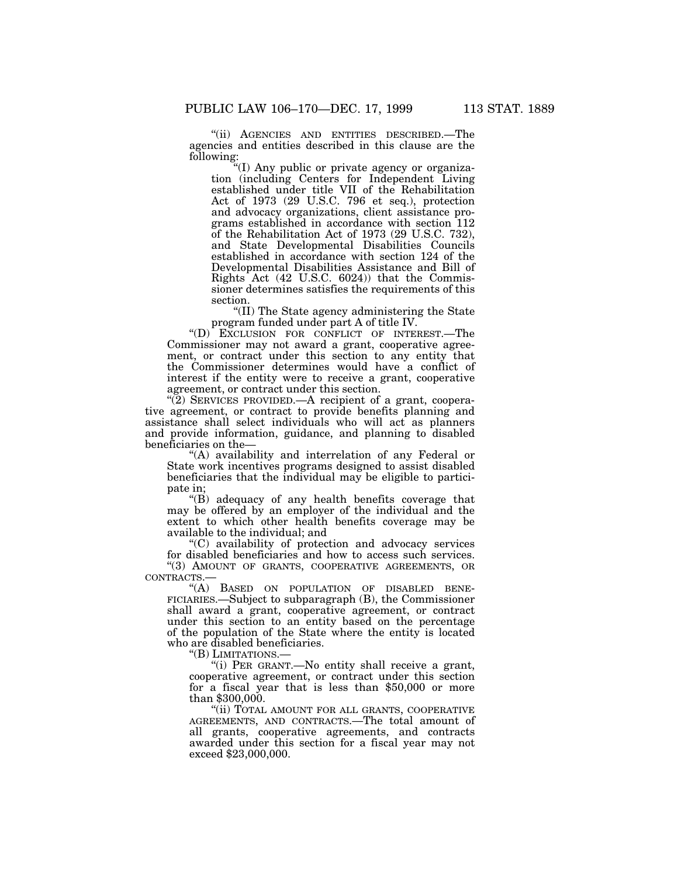''(ii) AGENCIES AND ENTITIES DESCRIBED.—The agencies and entities described in this clause are the following:

''(I) Any public or private agency or organization (including Centers for Independent Living established under title VII of the Rehabilitation Act of 1973 (29 U.S.C. 796 et seq.), protection and advocacy organizations, client assistance programs established in accordance with section 112 of the Rehabilitation Act of 1973 (29 U.S.C. 732), and State Developmental Disabilities Councils established in accordance with section 124 of the Developmental Disabilities Assistance and Bill of Rights Act (42 U.S.C. 6024)) that the Commissioner determines satisfies the requirements of this section.

''(II) The State agency administering the State program funded under part A of title IV.

''(D) EXCLUSION FOR CONFLICT OF INTEREST.—The Commissioner may not award a grant, cooperative agreement, or contract under this section to any entity that the Commissioner determines would have a conflict of interest if the entity were to receive a grant, cooperative agreement, or contract under this section.

"(2) SERVICES PROVIDED.—A recipient of a grant, cooperative agreement, or contract to provide benefits planning and assistance shall select individuals who will act as planners and provide information, guidance, and planning to disabled beneficiaries on the—

''(A) availability and interrelation of any Federal or State work incentives programs designed to assist disabled beneficiaries that the individual may be eligible to participate in;

" $(B)$  adequacy of any health benefits coverage that may be offered by an employer of the individual and the extent to which other health benefits coverage may be available to the individual; and

''(C) availability of protection and advocacy services for disabled beneficiaries and how to access such services. ''(3) AMOUNT OF GRANTS, COOPERATIVE AGREEMENTS, OR CONTRACTS.—

"(A) BASED ON POPULATION OF DISABLED BENE-FICIARIES.—Subject to subparagraph (B), the Commissioner shall award a grant, cooperative agreement, or contract under this section to an entity based on the percentage of the population of the State where the entity is located who are disabled beneficiaries.

''(B) LIMITATIONS.—

''(i) PER GRANT.—No entity shall receive a grant, cooperative agreement, or contract under this section for a fiscal year that is less than \$50,000 or more than \$300,000.

"(ii) TOTAL AMOUNT FOR ALL GRANTS, COOPERATIVE AGREEMENTS, AND CONTRACTS.—The total amount of all grants, cooperative agreements, and contracts awarded under this section for a fiscal year may not exceed \$23,000,000.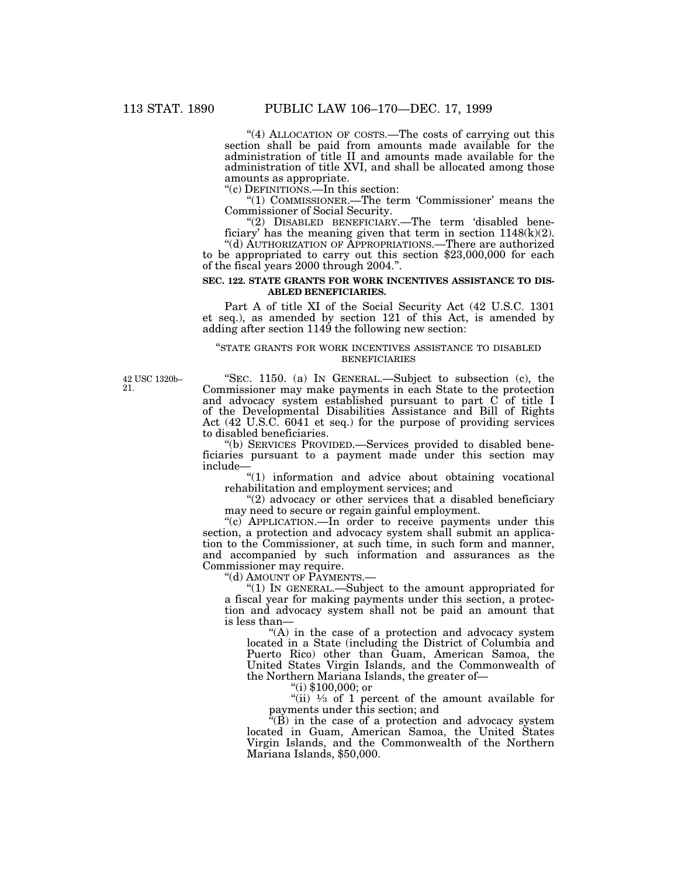"(4) ALLOCATION OF COSTS.—The costs of carrying out this section shall be paid from amounts made available for the administration of title II and amounts made available for the administration of title XVI, and shall be allocated among those amounts as appropriate.

''(c) DEFINITIONS.—In this section:

"(1) COMMISSIONER.—The term 'Commissioner' means the Commissioner of Social Security.

"(2) DISABLED BENEFICIARY.—The term 'disabled beneficiary' has the meaning given that term in section 1148(k)(2).

''(d) AUTHORIZATION OF APPROPRIATIONS.—There are authorized to be appropriated to carry out this section \$23,000,000 for each of the fiscal years 2000 through 2004.''.

## **SEC. 122. STATE GRANTS FOR WORK INCENTIVES ASSISTANCE TO DIS-ABLED BENEFICIARIES.**

Part A of title XI of the Social Security Act (42 U.S.C. 1301 et seq.), as amended by section 121 of this Act, is amended by adding after section 1149 the following new section:

## ''STATE GRANTS FOR WORK INCENTIVES ASSISTANCE TO DISABLED BENEFICIARIES

42 USC 1320b– 21.

''SEC. 1150. (a) IN GENERAL.—Subject to subsection (c), the Commissioner may make payments in each State to the protection and advocacy system established pursuant to part C of title I of the Developmental Disabilities Assistance and Bill of Rights Act (42 U.S.C. 6041 et seq.) for the purpose of providing services to disabled beneficiaries.

''(b) SERVICES PROVIDED.—Services provided to disabled beneficiaries pursuant to a payment made under this section may include—

"(1) information and advice about obtaining vocational rehabilitation and employment services; and

" $(2)$  advocacy or other services that a disabled beneficiary may need to secure or regain gainful employment.

"(c) APPLICATION.—In order to receive payments under this section, a protection and advocacy system shall submit an application to the Commissioner, at such time, in such form and manner, and accompanied by such information and assurances as the Commissioner may require.

''(d) AMOUNT OF PAYMENTS.—

''(1) IN GENERAL.—Subject to the amount appropriated for a fiscal year for making payments under this section, a protection and advocacy system shall not be paid an amount that is less than—

"(A) in the case of a protection and advocacy system located in a State (including the District of Columbia and Puerto Rico) other than Guam, American Samoa, the United States Virgin Islands, and the Commonwealth of the Northern Mariana Islands, the greater of—

''(i) \$100,000; or

"(ii)  $\frac{1}{3}$  of 1 percent of the amount available for payments under this section; and

 $\sqrt{f(B)}$  in the case of a protection and advocacy system located in Guam, American Samoa, the United States Virgin Islands, and the Commonwealth of the Northern Mariana Islands, \$50,000.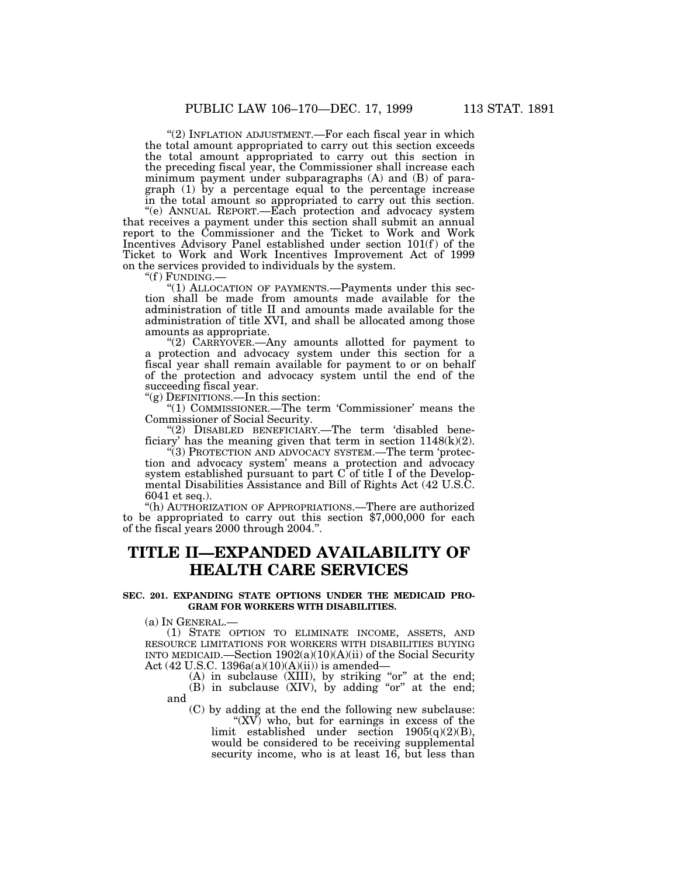"(2) INFLATION ADJUSTMENT.—For each fiscal year in which the total amount appropriated to carry out this section exceeds the total amount appropriated to carry out this section in the preceding fiscal year, the Commissioner shall increase each minimum payment under subparagraphs (A) and (B) of paragraph (1) by a percentage equal to the percentage increase in the total amount so appropriated to carry out this section.

''(e) ANNUAL REPORT.—Each protection and advocacy system that receives a payment under this section shall submit an annual report to the Commissioner and the Ticket to Work and Work Incentives Advisory Panel established under section  $101(f)$  of the Ticket to Work and Work Incentives Improvement Act of 1999 on the services provided to individuals by the system.

"(f) FUNDING.—<br>"(1) ALLOCATION OF PAYMENTS.—Payments under this section shall be made from amounts made available for the administration of title II and amounts made available for the administration of title XVI, and shall be allocated among those amounts as appropriate.

''(2) CARRYOVER.—Any amounts allotted for payment to a protection and advocacy system under this section for a fiscal year shall remain available for payment to or on behalf of the protection and advocacy system until the end of the succeeding fiscal year.

''(g) DEFINITIONS.—In this section:

"(1) COMMISSIONER.—The term 'Commissioner' means the Commissioner of Social Security.

"(2) DISABLED BENEFICIARY.—The term 'disabled beneficiary' has the meaning given that term in section  $1148(k)(2)$ .

"(3) PROTECTION AND ADVOCACY SYSTEM.—The term 'protection and advocacy system' means a protection and advocacy system established pursuant to part C of title I of the Developmental Disabilities Assistance and Bill of Rights Act (42 U.S.C. 6041 et seq.).

''(h) AUTHORIZATION OF APPROPRIATIONS.—There are authorized to be appropriated to carry out this section \$7,000,000 for each of the fiscal years 2000 through 2004.''.

# **TITLE II—EXPANDED AVAILABILITY OF HEALTH CARE SERVICES**

## **SEC. 201. EXPANDING STATE OPTIONS UNDER THE MEDICAID PRO-GRAM FOR WORKERS WITH DISABILITIES.**

(a) IN GENERAL.— (1) STATE OPTION TO ELIMINATE INCOME, ASSETS, AND RESOURCE LIMITATIONS FOR WORKERS WITH DISABILITIES BUYING INTO MEDICAID.—Section  $1902(a)(10)(A)(ii)$  of the Social Security Act (42 U.S.C. 1396a(a)(10)(A)(ii)) is amended—

(A) in subclause (XIII), by striking "or" at the end; (B) in subclause (XIV), by adding "or" at the end; and

(C) by adding at the end the following new subclause: " $(XV)$  who, but for earnings in excess of the

limit established under section 1905(q)(2)(B), would be considered to be receiving supplemental security income, who is at least 16, but less than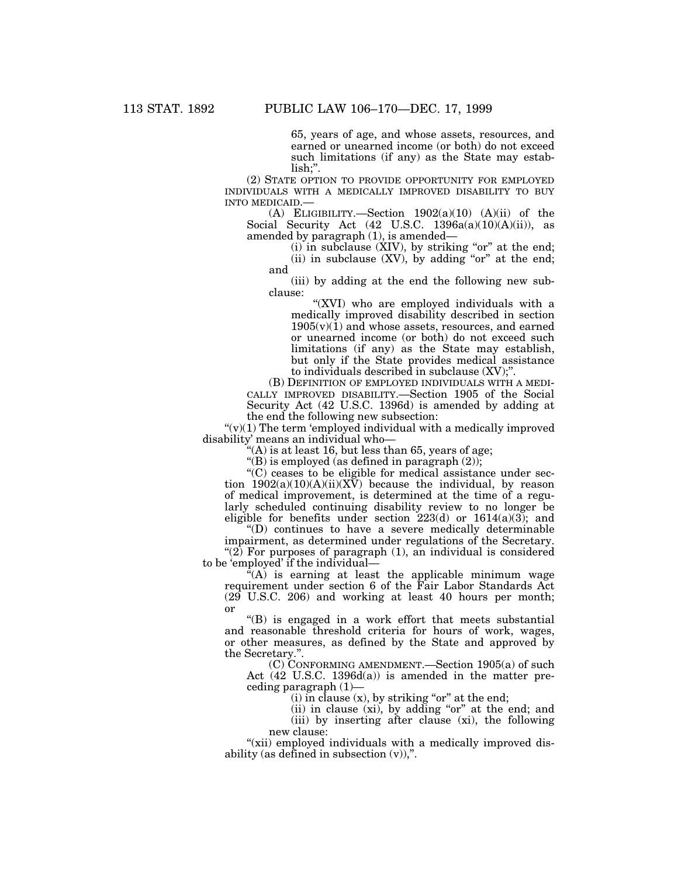65, years of age, and whose assets, resources, and earned or unearned income (or both) do not exceed such limitations (if any) as the State may establish;"

(2) STATE OPTION TO PROVIDE OPPORTUNITY FOR EMPLOYED INDIVIDUALS WITH A MEDICALLY IMPROVED DISABILITY TO BUY INTO MEDICAID.—

(A) ELIGIBILITY.—Section  $1902(a)(10)$  (A)(ii) of the Social Security Act  $(42 \text{ U.S.C. } 1396a(a)(10)(A)(ii))$ , as amended by paragraph (1), is amended—

(i) in subclause  $(XIV)$ , by striking "or" at the end;

(ii) in subclause  $(XV)$ , by adding "or" at the end; and

(iii) by adding at the end the following new subclause:

"(XVI) who are employed individuals with a medically improved disability described in section  $1905(v)(1)$  and whose assets, resources, and earned or unearned income (or both) do not exceed such limitations (if any) as the State may establish, but only if the State provides medical assistance to individuals described in subclause (XV);''.

(B) DEFINITION OF EMPLOYED INDIVIDUALS WITH A MEDI-CALLY IMPROVED DISABILITY.—Section 1905 of the Social Security Act (42 U.S.C. 1396d) is amended by adding at the end the following new subsection:

 $\mathcal{L}(v)(1)$  The term 'employed individual with a medically improved disability' means an individual who—

 $(A)$  is at least 16, but less than 65, years of age;

" $(B)$  is employed (as defined in paragraph  $(2)$ );

''(C) ceases to be eligible for medical assistance under section  $1902(a)(10)(A)(ii)(X\bar{V})$  because the individual, by reason of medical improvement, is determined at the time of a regularly scheduled continuing disability review to no longer be eligible for benefits under section  $223(d)$  or  $1614(a)(3)$ ; and

''(D) continues to have a severe medically determinable impairment, as determined under regulations of the Secretary. " $(2)$  For purposes of paragraph  $(1)$ , an individual is considered

to be 'employed' if the individual—  $\sqrt[a]{(A)}$  is earning at least the applicable minimum wage requirement under section 6 of the Fair Labor Standards Act  $(29 \text{ U.S.C. } 206)$  and working at least 40 hours per month;

or

''(B) is engaged in a work effort that meets substantial and reasonable threshold criteria for hours of work, wages, or other measures, as defined by the State and approved by the Secretary.''.

(C) CONFORMING AMENDMENT.—Section 1905(a) of such Act (42 U.S.C. 1396d(a)) is amended in the matter preceding paragraph (1)—

 $(i)$  in clause  $(x)$ , by striking "or" at the end;

(ii) in clause  $(x_i)$ , by adding "or" at the end; and (iii) by inserting after clause (xi), the following new clause:

"(xii) employed individuals with a medically improved disability (as defined in subsection  $(v)$ ),".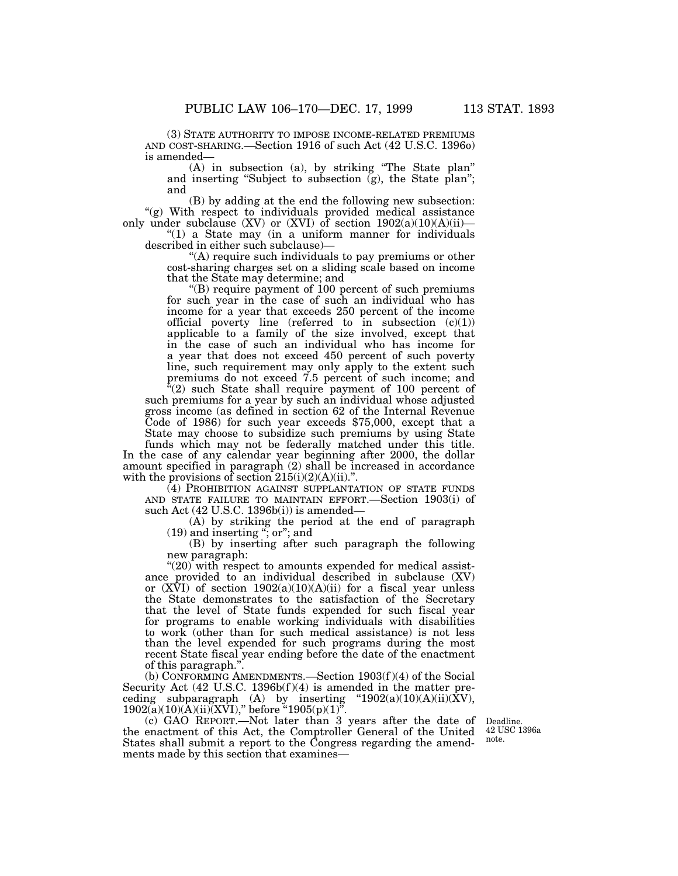(3) STATE AUTHORITY TO IMPOSE INCOME-RELATED PREMIUMS AND COST-SHARING.—Section 1916 of such Act (42 U.S.C. 1396o) is amended—

(A) in subsection (a), by striking ''The State plan'' and inserting "Subject to subsection  $\tilde{g}$ ), the State plan"; and

(B) by adding at the end the following new subsection: " $(g)$  With respect to individuals provided medical assistance only under subclause (XV) or (XVI) of section 1902(a)(10)(A)(ii)—

" $(1)$  a State may  $(in a uniform manner for individuals)$ described in either such subclause)—

''(A) require such individuals to pay premiums or other cost-sharing charges set on a sliding scale based on income that the State may determine; and

''(B) require payment of 100 percent of such premiums for such year in the case of such an individual who has income for a year that exceeds 250 percent of the income official poverty line (referred to in subsection  $(c)(1)$ ) applicable to a family of the size involved, except that in the case of such an individual who has income for a year that does not exceed 450 percent of such poverty line, such requirement may only apply to the extent such premiums do not exceed 7.5 percent of such income; and

 $\sqrt[4]{(2)}$  such State shall require payment of 100 percent of such premiums for a year by such an individual whose adjusted gross income (as defined in section 62 of the Internal Revenue Code of 1986) for such year exceeds \$75,000, except that a State may choose to subsidize such premiums by using State

funds which may not be federally matched under this title. In the case of any calendar year beginning after 2000, the dollar amount specified in paragraph (2) shall be increased in accordance with the provisions of section  $215(i)(2)(A)(ii)$ ."

(4) PROHIBITION AGAINST SUPPLANTATION OF STATE FUNDS AND STATE FAILURE TO MAINTAIN EFFORT.—Section 1903(i) of such Act (42 U.S.C. 1396b(i)) is amended-

(A) by striking the period at the end of paragraph (19) and inserting ''; or''; and

(B) by inserting after such paragraph the following new paragraph:

 $''(20)$  with respect to amounts expended for medical assistance provided to an individual described in subclause (XV) or  $(X\hat{V}I)$  of section  $1902(a)(10)(A)(ii)$  for a fiscal year unless the State demonstrates to the satisfaction of the Secretary that the level of State funds expended for such fiscal year for programs to enable working individuals with disabilities to work (other than for such medical assistance) is not less than the level expended for such programs during the most recent State fiscal year ending before the date of the enactment of this paragraph.''.

(b) CONFORMING AMENDMENTS.—Section 1903(f )(4) of the Social Security Act (42 U.S.C. 1396b(f)(4) is amended in the matter preceding subparagraph (A) by inserting "1902(a)(10)(A)(ii)(XV),  $1902(a)(10)(A)(ii)(XVI),'$  before " $1905(p)(1)$ ".

(c) GAO REPORT.—Not later than 3 years after the date of the enactment of this Act, the Comptroller General of the United States shall submit a report to the Congress regarding the amendments made by this section that examines—

Deadline. 42 USC 1396a note.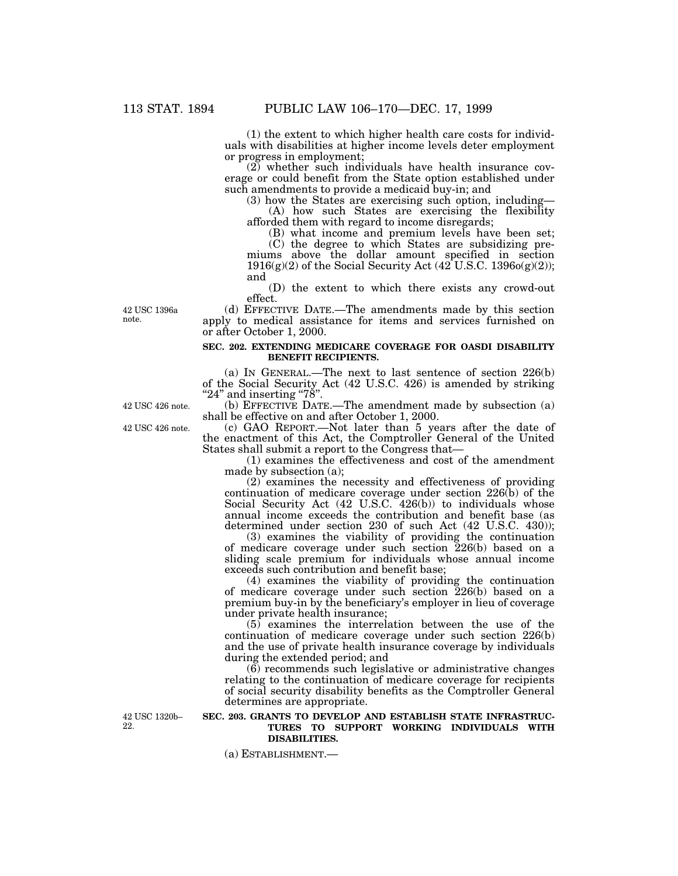(1) the extent to which higher health care costs for individuals with disabilities at higher income levels deter employment or progress in employment;

 $(2)$  whether such individuals have health insurance coverage or could benefit from the State option established under such amendments to provide a medicaid buy-in; and

(3) how the States are exercising such option, including— (A) how such States are exercising the flexibility afforded them with regard to income disregards;

(B) what income and premium levels have been set;

(C) the degree to which States are subsidizing premiums above the dollar amount specified in section 1916(g)(2) of the Social Security Act  $(42^{\circ}$ U.S.C. 1396 $o(g)(2)$ ); and

(D) the extent to which there exists any crowd-out effect.

(d) EFFECTIVE DATE.—The amendments made by this section apply to medical assistance for items and services furnished on or after October 1, 2000.

## **SEC. 202. EXTENDING MEDICARE COVERAGE FOR OASDI DISABILITY BENEFIT RECIPIENTS.**

(a) IN GENERAL.—The next to last sentence of section 226(b) of the Social Security Act (42 U.S.C. 426) is amended by striking " $24$ " and inserting " $78$ ".

(b) EFFECTIVE DATE.—The amendment made by subsection (a) shall be effective on and after October 1, 2000.

(c) GAO REPORT.—Not later than 5 years after the date of the enactment of this Act, the Comptroller General of the United States shall submit a report to the Congress that—

(1) examines the effectiveness and cost of the amendment made by subsection (a);

(2) examines the necessity and effectiveness of providing continuation of medicare coverage under section 226(b) of the Social Security Act (42 U.S.C. 426(b)) to individuals whose annual income exceeds the contribution and benefit base (as determined under section 230 of such Act (42 U.S.C. 430));

(3) examines the viability of providing the continuation of medicare coverage under such section 226(b) based on a sliding scale premium for individuals whose annual income exceeds such contribution and benefit base;

(4) examines the viability of providing the continuation of medicare coverage under such section 226(b) based on a premium buy-in by the beneficiary's employer in lieu of coverage under private health insurance;

(5) examines the interrelation between the use of the continuation of medicare coverage under such section 226(b) and the use of private health insurance coverage by individuals during the extended period; and

 $(6)$  recommends such legislative or administrative changes relating to the continuation of medicare coverage for recipients of social security disability benefits as the Comptroller General determines are appropriate.

42 USC 1320b– 22.

## **SEC. 203. GRANTS TO DEVELOP AND ESTABLISH STATE INFRASTRUC-TURES TO SUPPORT WORKING INDIVIDUALS WITH DISABILITIES.**

(a) ESTABLISHMENT.—

42 USC 1396a note.

42 USC 426 note.

42 USC 426 note.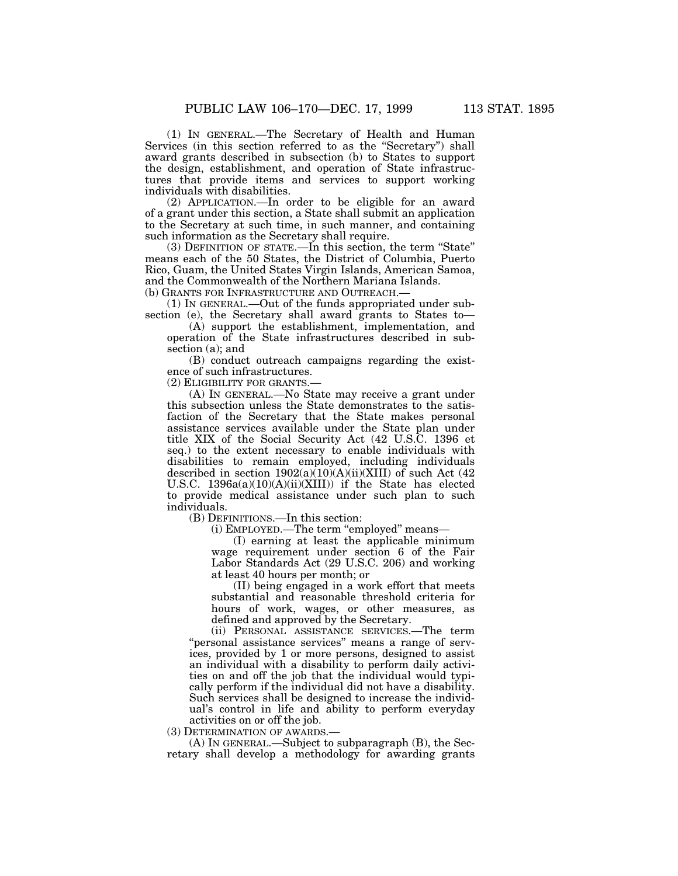(1) IN GENERAL.—The Secretary of Health and Human Services (in this section referred to as the "Secretary") shall award grants described in subsection (b) to States to support the design, establishment, and operation of State infrastructures that provide items and services to support working individuals with disabilities.

(2) APPLICATION.—In order to be eligible for an award of a grant under this section, a State shall submit an application to the Secretary at such time, in such manner, and containing such information as the Secretary shall require.

(3) DEFINITION OF STATE.—In this section, the term ''State'' means each of the 50 States, the District of Columbia, Puerto Rico, Guam, the United States Virgin Islands, American Samoa, and the Commonwealth of the Northern Mariana Islands.

(b) GRANTS FOR INFRASTRUCTURE AND OUTREACH.—

(1) IN GENERAL.—Out of the funds appropriated under subsection (e), the Secretary shall award grants to States to—

(A) support the establishment, implementation, and operation of the State infrastructures described in subsection (a); and

(B) conduct outreach campaigns regarding the existence of such infrastructures.

(2) ELIGIBILITY FOR GRANTS.—

(A) IN GENERAL.—No State may receive a grant under this subsection unless the State demonstrates to the satisfaction of the Secretary that the State makes personal assistance services available under the State plan under title XIX of the Social Security Act (42 U.S.C. 1396 et seq.) to the extent necessary to enable individuals with disabilities to remain employed, including individuals described in section  $1902(a)(10)(A)(ii)(XIII)$  of such Act (42) U.S.C. 1396a(a)(10)(A)(ii)(XIII)) if the State has elected to provide medical assistance under such plan to such individuals.

(B) DEFINITIONS.—In this section:

(i) EMPLOYED.—The term ''employed'' means—

(I) earning at least the applicable minimum wage requirement under section 6 of the Fair Labor Standards Act (29 U.S.C. 206) and working at least 40 hours per month; or

(II) being engaged in a work effort that meets substantial and reasonable threshold criteria for hours of work, wages, or other measures, as defined and approved by the Secretary.

(ii) PERSONAL ASSISTANCE SERVICES.—The term "personal assistance services" means a range of services, provided by 1 or more persons, designed to assist an individual with a disability to perform daily activities on and off the job that the individual would typically perform if the individual did not have a disability. Such services shall be designed to increase the individual's control in life and ability to perform everyday activities on or off the job.

(3) DETERMINATION OF AWARDS.—

(A) IN GENERAL.—Subject to subparagraph (B), the Secretary shall develop a methodology for awarding grants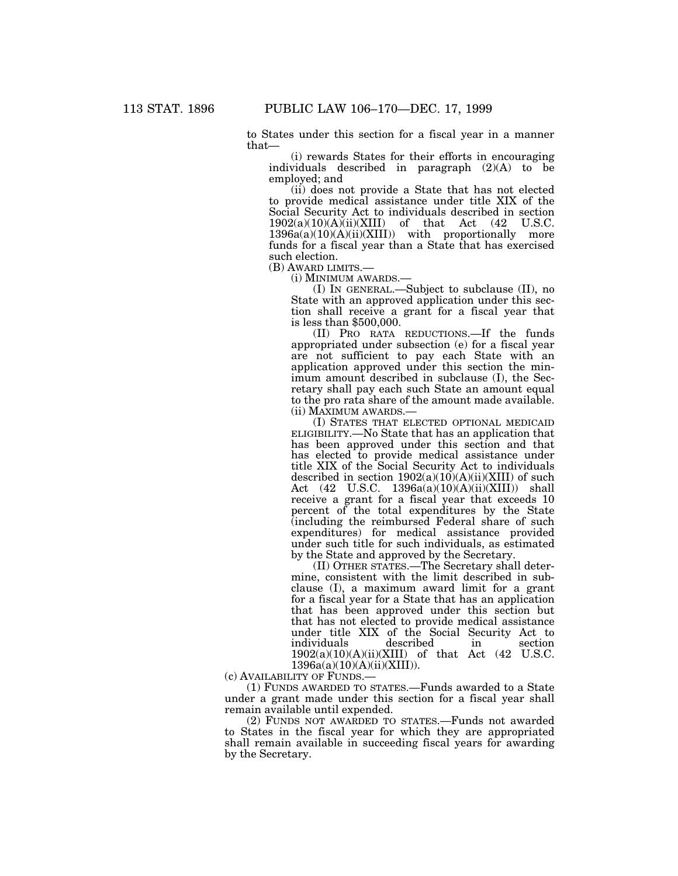to States under this section for a fiscal year in a manner that—

(i) rewards States for their efforts in encouraging individuals described in paragraph (2)(A) to be employed; and

(ii) does not provide a State that has not elected to provide medical assistance under title XIX of the Social Security Act to individuals described in section  $1902(a)(10)(A)(ii)(XIII)$  of that Act (42 U.S.C. 1396a(a)(10)(A)(ii)(XIII)) with proportionally more funds for a fiscal year than a State that has exercised such election.

(B) AWARD LIMITS.—

(i) MINIMUM AWARDS.—

(I) IN GENERAL.—Subject to subclause (II), no State with an approved application under this section shall receive a grant for a fiscal year that is less than \$500,000.

(II) PRO RATA REDUCTIONS.—If the funds appropriated under subsection (e) for a fiscal year are not sufficient to pay each State with an application approved under this section the minimum amount described in subclause (I), the Secretary shall pay each such State an amount equal to the pro rata share of the amount made available. (ii) MAXIMUM AWARDS.—

(I) STATES THAT ELECTED OPTIONAL MEDICAID ELIGIBILITY.—No State that has an application that has been approved under this section and that has elected to provide medical assistance under title XIX of the Social Security Act to individuals described in section  $1902(a)(10)(A)(ii)(XIII)$  of such Act (42 U.S.C. 1396a(a)(10)(A)(ii)(XIII)) shall receive a grant for a fiscal year that exceeds 10 percent of the total expenditures by the State (including the reimbursed Federal share of such expenditures) for medical assistance provided under such title for such individuals, as estimated by the State and approved by the Secretary.

(II) OTHER STATES.—The Secretary shall determine, consistent with the limit described in subclause (I), a maximum award limit for a grant for a fiscal year for a State that has an application that has been approved under this section but that has not elected to provide medical assistance under title XIX of the Social Security Act to individuals described in section  $1902(a)(10)(A)(ii)(XIII)$  of that Act (42 U.S.C.  $1396a(a)(10)(A)(ii)(XIII)$ .

(c) AVAILABILITY OF FUNDS.—

(1) FUNDS AWARDED TO STATES.—Funds awarded to a State under a grant made under this section for a fiscal year shall remain available until expended.

(2) FUNDS NOT AWARDED TO STATES.—Funds not awarded to States in the fiscal year for which they are appropriated shall remain available in succeeding fiscal years for awarding by the Secretary.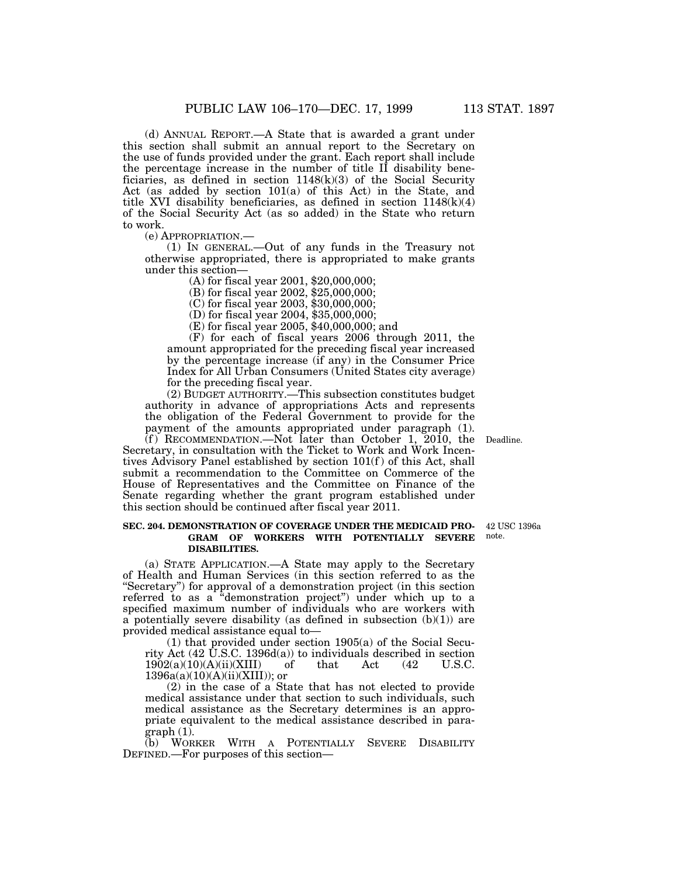(d) ANNUAL REPORT.—A State that is awarded a grant under this section shall submit an annual report to the Secretary on the use of funds provided under the grant. Each report shall include the percentage increase in the number of title II disability beneficiaries, as defined in section  $1148(k)(3)$  of the Social Security Act (as added by section 101(a) of this Act) in the State, and title XVI disability beneficiaries, as defined in section  $1148(k)(4)$ of the Social Security Act (as so added) in the State who return to work.

(e) APPROPRIATION.—

(1) IN GENERAL.—Out of any funds in the Treasury not otherwise appropriated, there is appropriated to make grants under this section—

(A) for fiscal year 2001, \$20,000,000;

(B) for fiscal year 2002, \$25,000,000;

(C) for fiscal year 2003, \$30,000,000;

(D) for fiscal year 2004, \$35,000,000;

(E) for fiscal year 2005, \$40,000,000; and

(F) for each of fiscal years 2006 through 2011, the amount appropriated for the preceding fiscal year increased by the percentage increase (if any) in the Consumer Price Index for All Urban Consumers (United States city average) for the preceding fiscal year.

(2) BUDGET AUTHORITY.—This subsection constitutes budget authority in advance of appropriations Acts and represents the obligation of the Federal Government to provide for the payment of the amounts appropriated under paragraph (1).

 $(f)$  RECOMMENDATION.—Not later than October 1, 2010, the Deadline. Secretary, in consultation with the Ticket to Work and Work Incentives Advisory Panel established by section 101(f) of this Act, shall submit a recommendation to the Committee on Commerce of the House of Representatives and the Committee on Finance of the Senate regarding whether the grant program established under this section should be continued after fiscal year 2011.

## **SEC. 204. DEMONSTRATION OF COVERAGE UNDER THE MEDICAID PRO-GRAM OF WORKERS WITH POTENTIALLY SEVERE DISABILITIES.**

(a) STATE APPLICATION.—A State may apply to the Secretary of Health and Human Services (in this section referred to as the ''Secretary'') for approval of a demonstration project (in this section referred to as a "demonstration project") under which up to a specified maximum number of individuals who are workers with a potentially severe disability (as defined in subsection  $(b)(1)$ ) are provided medical assistance equal to—

(1) that provided under section 1905(a) of the Social Security Act (42 U.S.C. 1396d(a)) to individuals described in section  $1902(a)(10)(A)(ii)(XIII)$  of that Act  $(42 \text{ U.S.C.})$  $1396a(a)(10)(A)(ii)(XIII)$ ; or

(2) in the case of a State that has not elected to provide medical assistance under that section to such individuals, such medical assistance as the Secretary determines is an appropriate equivalent to the medical assistance described in para $graph (1)$ .

(b) WORKER WITH A POTENTIALLY SEVERE DISABILITY DEFINED.—For purposes of this section—

42 USC 1396a note.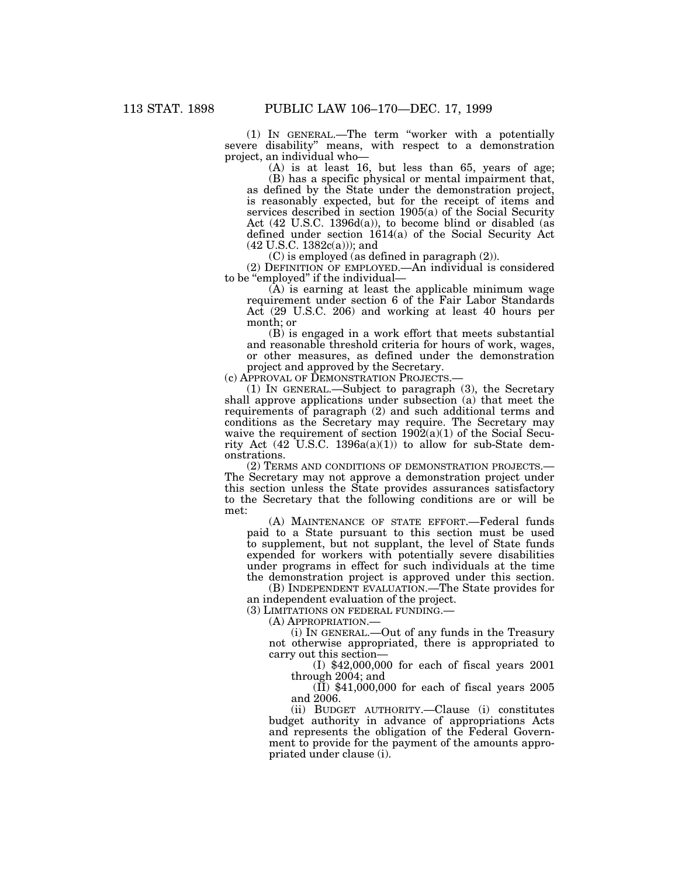(1) IN GENERAL.—The term ''worker with a potentially severe disability'' means, with respect to a demonstration project, an individual who—

(A) is at least 16, but less than 65, years of age; (B) has a specific physical or mental impairment that,

as defined by the State under the demonstration project, is reasonably expected, but for the receipt of items and services described in section 1905(a) of the Social Security Act (42 U.S.C. 1396d(a)), to become blind or disabled (as defined under section 1614(a) of the Social Security Act (42 U.S.C. 1382c(a))); and

(C) is employed (as defined in paragraph (2)).

(2) DEFINITION OF EMPLOYED.—An individual is considered to be "employed" if the individual-

(A) is earning at least the applicable minimum wage requirement under section 6 of the Fair Labor Standards Act (29 U.S.C. 206) and working at least 40 hours per month; or

(B) is engaged in a work effort that meets substantial and reasonable threshold criteria for hours of work, wages, or other measures, as defined under the demonstration project and approved by the Secretary.

(c) APPROVAL OF DEMONSTRATION PROJECTS.—

(1) IN GENERAL.—Subject to paragraph (3), the Secretary shall approve applications under subsection (a) that meet the requirements of paragraph (2) and such additional terms and conditions as the Secretary may require. The Secretary may waive the requirement of section 1902(a)(1) of the Social Security Act  $(42 \text{ U.S.C. } 1396a(a)(1))$  to allow for sub-State demonstrations.

(2) TERMS AND CONDITIONS OF DEMONSTRATION PROJECTS.— The Secretary may not approve a demonstration project under this section unless the State provides assurances satisfactory to the Secretary that the following conditions are or will be met:

(A) MAINTENANCE OF STATE EFFORT.—Federal funds paid to a State pursuant to this section must be used to supplement, but not supplant, the level of State funds expended for workers with potentially severe disabilities under programs in effect for such individuals at the time the demonstration project is approved under this section.

(B) INDEPENDENT EVALUATION.—The State provides for an independent evaluation of the project.

(3) LIMITATIONS ON FEDERAL FUNDING.—

(A) APPROPRIATION.—

(i) IN GENERAL.—Out of any funds in the Treasury not otherwise appropriated, there is appropriated to carry out this section—

(I) \$42,000,000 for each of fiscal years 2001 through 2004; and

 $(\tilde{II})$  \$41,000,000 for each of fiscal years 2005 and 2006.

(ii) BUDGET AUTHORITY.—Clause (i) constitutes budget authority in advance of appropriations Acts and represents the obligation of the Federal Government to provide for the payment of the amounts appropriated under clause (i).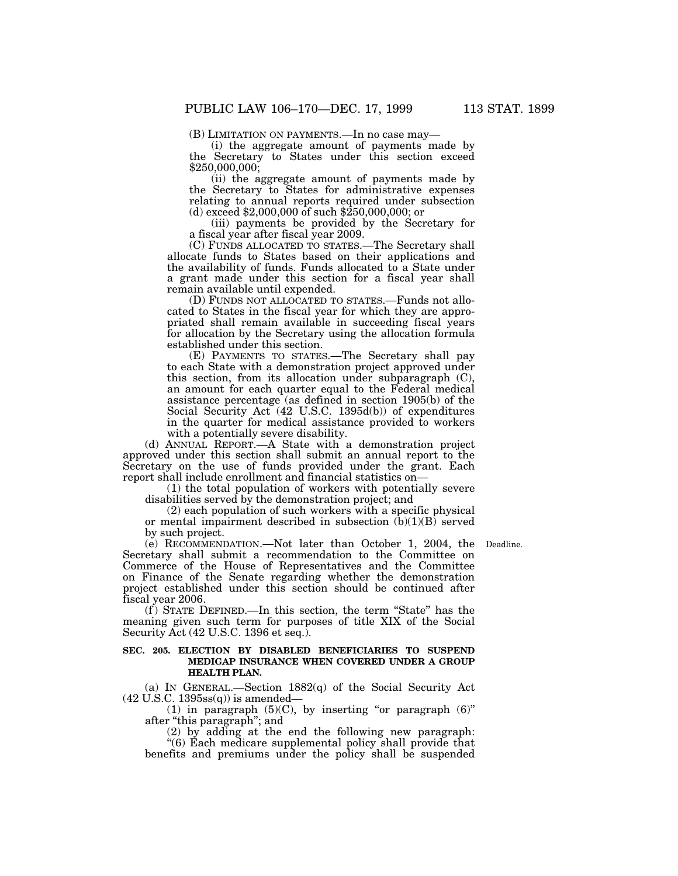(B) LIMITATION ON PAYMENTS.—In no case may—

(i) the aggregate amount of payments made by the Secretary to States under this section exceed \$250,000,000;

(ii) the aggregate amount of payments made by the Secretary to States for administrative expenses relating to annual reports required under subsection (d) exceed \$2,000,000 of such \$250,000,000; or

(iii) payments be provided by the Secretary for a fiscal year after fiscal year 2009.

(C) FUNDS ALLOCATED TO STATES.—The Secretary shall allocate funds to States based on their applications and the availability of funds. Funds allocated to a State under a grant made under this section for a fiscal year shall remain available until expended.

(D) FUNDS NOT ALLOCATED TO STATES.—Funds not allocated to States in the fiscal year for which they are appropriated shall remain available in succeeding fiscal years for allocation by the Secretary using the allocation formula established under this section.

(E) PAYMENTS TO STATES.—The Secretary shall pay to each State with a demonstration project approved under this section, from its allocation under subparagraph (C), an amount for each quarter equal to the Federal medical assistance percentage (as defined in section 1905(b) of the Social Security Act (42 U.S.C. 1395d(b)) of expenditures in the quarter for medical assistance provided to workers with a potentially severe disability.

(d) ANNUAL REPORT.—A State with a demonstration project approved under this section shall submit an annual report to the Secretary on the use of funds provided under the grant. Each report shall include enrollment and financial statistics on—

(1) the total population of workers with potentially severe disabilities served by the demonstration project; and

(2) each population of such workers with a specific physical or mental impairment described in subsection  $(b)(1)(B)$  served by such project.

(e) RECOMMENDATION.—Not later than October 1, 2004, the Deadline. Secretary shall submit a recommendation to the Committee on Commerce of the House of Representatives and the Committee on Finance of the Senate regarding whether the demonstration project established under this section should be continued after fiscal year 2006.

 $(f)$  STATE DEFINED.—In this section, the term "State" has the meaning given such term for purposes of title XIX of the Social Security Act (42 U.S.C. 1396 et seq.).

## **SEC. 205. ELECTION BY DISABLED BENEFICIARIES TO SUSPEND MEDIGAP INSURANCE WHEN COVERED UNDER A GROUP HEALTH PLAN.**

(a) IN GENERAL.—Section 1882(q) of the Social Security Act (42 U.S.C. 1395ss(q)) is amended—

(1) in paragraph  $(5)(C)$ , by inserting "or paragraph  $(6)$ " after ''this paragraph''; and

(2) by adding at the end the following new paragraph: ''(6) Each medicare supplemental policy shall provide that benefits and premiums under the policy shall be suspended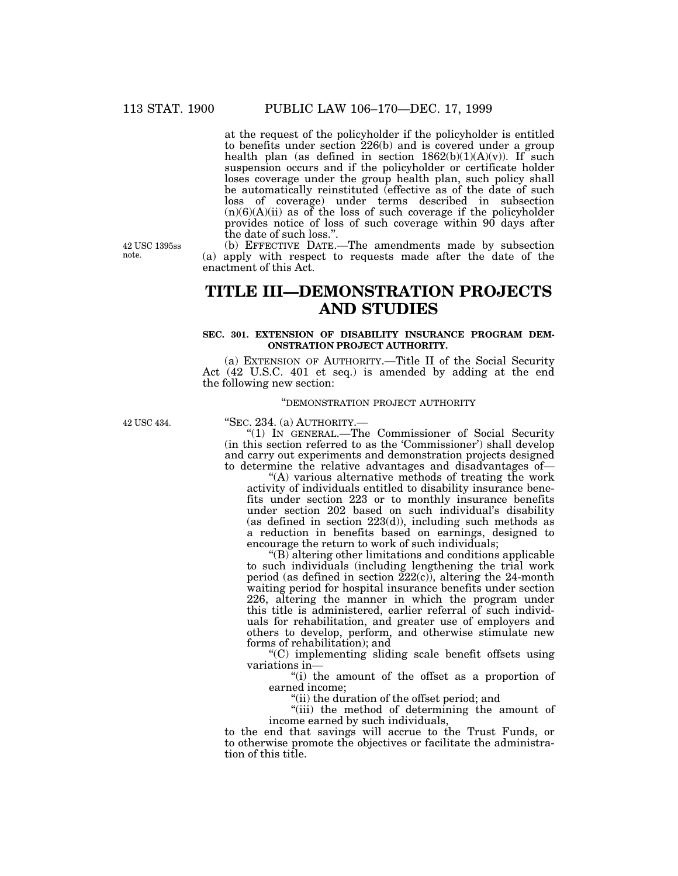at the request of the policyholder if the policyholder is entitled to benefits under section 226(b) and is covered under a group health plan (as defined in section  $1862(b)(1)(A)(v)$ ). If such suspension occurs and if the policyholder or certificate holder loses coverage under the group health plan, such policy shall be automatically reinstituted (effective as of the date of such loss of coverage) under terms described in subsection  $(n)(6)(A)(ii)$  as of the loss of such coverage if the policyholder provides notice of loss of such coverage within 90 days after the date of such loss.''.

42 USC 1395ss note.

(b) EFFECTIVE DATE.—The amendments made by subsection (a) apply with respect to requests made after the date of the enactment of this Act.

# **TITLE III—DEMONSTRATION PROJECTS AND STUDIES**

## **SEC. 301. EXTENSION OF DISABILITY INSURANCE PROGRAM DEM-ONSTRATION PROJECT AUTHORITY.**

(a) EXTENSION OF AUTHORITY.—Title II of the Social Security Act (42 U.S.C. 401 et seq.) is amended by adding at the end the following new section:

## ''DEMONSTRATION PROJECT AUTHORITY

42 USC 434.

''SEC. 234. (a) AUTHORITY.—

''(1) IN GENERAL.—The Commissioner of Social Security (in this section referred to as the 'Commissioner') shall develop and carry out experiments and demonstration projects designed to determine the relative advantages and disadvantages of—

"(A) various alternative methods of treating the work activity of individuals entitled to disability insurance benefits under section 223 or to monthly insurance benefits under section 202 based on such individual's disability (as defined in section 223(d)), including such methods as a reduction in benefits based on earnings, designed to encourage the return to work of such individuals;

''(B) altering other limitations and conditions applicable to such individuals (including lengthening the trial work period (as defined in section 222(c)), altering the 24-month waiting period for hospital insurance benefits under section 226, altering the manner in which the program under this title is administered, earlier referral of such individuals for rehabilitation, and greater use of employers and others to develop, perform, and otherwise stimulate new forms of rehabilitation); and

''(C) implementing sliding scale benefit offsets using variations in—

 $\dddot{ }$ (i) the amount of the offset as a proportion of earned income;

''(ii) the duration of the offset period; and

''(iii) the method of determining the amount of income earned by such individuals,

to the end that savings will accrue to the Trust Funds, or to otherwise promote the objectives or facilitate the administration of this title.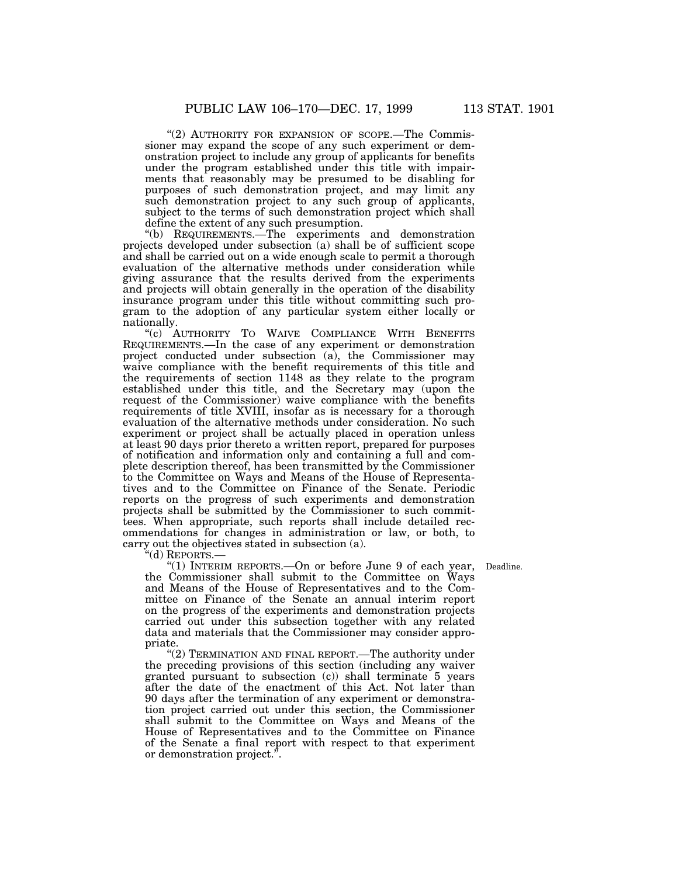"(2) AUTHORITY FOR EXPANSION OF SCOPE.—The Commissioner may expand the scope of any such experiment or demonstration project to include any group of applicants for benefits under the program established under this title with impairments that reasonably may be presumed to be disabling for purposes of such demonstration project, and may limit any such demonstration project to any such group of applicants, subject to the terms of such demonstration project which shall define the extent of any such presumption.

''(b) REQUIREMENTS.—The experiments and demonstration projects developed under subsection (a) shall be of sufficient scope and shall be carried out on a wide enough scale to permit a thorough evaluation of the alternative methods under consideration while giving assurance that the results derived from the experiments and projects will obtain generally in the operation of the disability insurance program under this title without committing such program to the adoption of any particular system either locally or nationally.

"(c) AUTHORITY TO WAIVE COMPLIANCE WITH BENEFITS REQUIREMENTS.—In the case of any experiment or demonstration project conducted under subsection (a), the Commissioner may waive compliance with the benefit requirements of this title and the requirements of section 1148 as they relate to the program established under this title, and the Secretary may (upon the request of the Commissioner) waive compliance with the benefits requirements of title XVIII, insofar as is necessary for a thorough evaluation of the alternative methods under consideration. No such experiment or project shall be actually placed in operation unless at least 90 days prior thereto a written report, prepared for purposes of notification and information only and containing a full and complete description thereof, has been transmitted by the Commissioner to the Committee on Ways and Means of the House of Representatives and to the Committee on Finance of the Senate. Periodic reports on the progress of such experiments and demonstration projects shall be submitted by the Commissioner to such committees. When appropriate, such reports shall include detailed recommendations for changes in administration or law, or both, to carry out the objectives stated in subsection (a).

''(d) REPORTS.—

(1) INTERIM REPORTS.—On or before June 9 of each year, the Commissioner shall submit to the Committee on Ways and Means of the House of Representatives and to the Committee on Finance of the Senate an annual interim report on the progress of the experiments and demonstration projects carried out under this subsection together with any related data and materials that the Commissioner may consider appropriate.

"(2) TERMINATION AND FINAL REPORT.—The authority under the preceding provisions of this section (including any waiver granted pursuant to subsection (c)) shall terminate 5 years after the date of the enactment of this Act. Not later than 90 days after the termination of any experiment or demonstration project carried out under this section, the Commissioner shall submit to the Committee on Ways and Means of the House of Representatives and to the Committee on Finance of the Senate a final report with respect to that experiment or demonstration project.".

Deadline.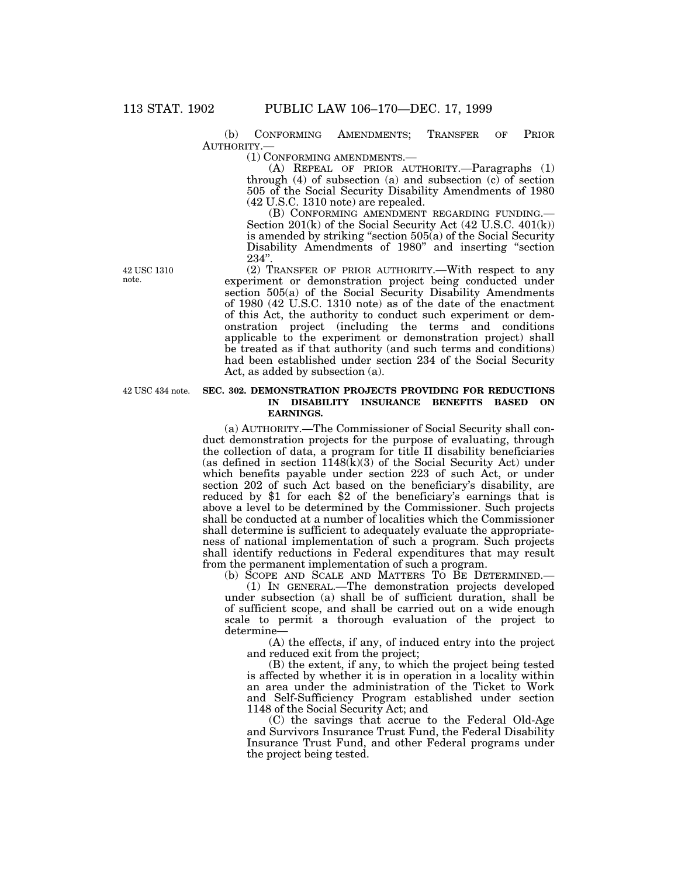(b) CONFORMING AMENDMENTS; TRANSFER OF PRIOR AUTHORITY.—

(1) CONFORMING AMENDMENTS.—

(A) REPEAL OF PRIOR AUTHORITY.—Paragraphs (1) through  $(4)$  of subsection  $(a)$  and subsection  $(c)$  of section 505 of the Social Security Disability Amendments of 1980 (42 U.S.C. 1310 note) are repealed.

(B) CONFORMING AMENDMENT REGARDING FUNDING.— Section 201(k) of the Social Security Act (42 U.S.C. 401(k)) is amended by striking ''section 505(a) of the Social Security Disability Amendments of 1980" and inserting "section 234''.

(2) TRANSFER OF PRIOR AUTHORITY.—With respect to any experiment or demonstration project being conducted under section 505(a) of the Social Security Disability Amendments of 1980 (42 U.S.C. 1310 note) as of the date of the enactment of this Act, the authority to conduct such experiment or demonstration project (including the terms and conditions applicable to the experiment or demonstration project) shall be treated as if that authority (and such terms and conditions) had been established under section 234 of the Social Security Act, as added by subsection (a).

## **SEC. 302. DEMONSTRATION PROJECTS PROVIDING FOR REDUCTIONS IN DISABILITY INSURANCE BENEFITS BASED ON EARNINGS.**

(a) AUTHORITY.—The Commissioner of Social Security shall conduct demonstration projects for the purpose of evaluating, through the collection of data, a program for title II disability beneficiaries (as defined in section  $1148(k)(3)$  of the Social Security Act) under which benefits payable under section 223 of such Act, or under section 202 of such Act based on the beneficiary's disability, are reduced by \$1 for each \$2 of the beneficiary's earnings that is above a level to be determined by the Commissioner. Such projects shall be conducted at a number of localities which the Commissioner shall determine is sufficient to adequately evaluate the appropriateness of national implementation of such a program. Such projects shall identify reductions in Federal expenditures that may result from the permanent implementation of such a program.

(b) SCOPE AND SCALE AND MATTERS TO BE DETERMINED.—

(1) IN GENERAL.—The demonstration projects developed under subsection (a) shall be of sufficient duration, shall be of sufficient scope, and shall be carried out on a wide enough scale to permit a thorough evaluation of the project to determine—

(A) the effects, if any, of induced entry into the project and reduced exit from the project;

(B) the extent, if any, to which the project being tested is affected by whether it is in operation in a locality within an area under the administration of the Ticket to Work and Self-Sufficiency Program established under section 1148 of the Social Security Act; and

(C) the savings that accrue to the Federal Old-Age and Survivors Insurance Trust Fund, the Federal Disability Insurance Trust Fund, and other Federal programs under the project being tested.

42 USC 1310 note.

42 USC 434 note.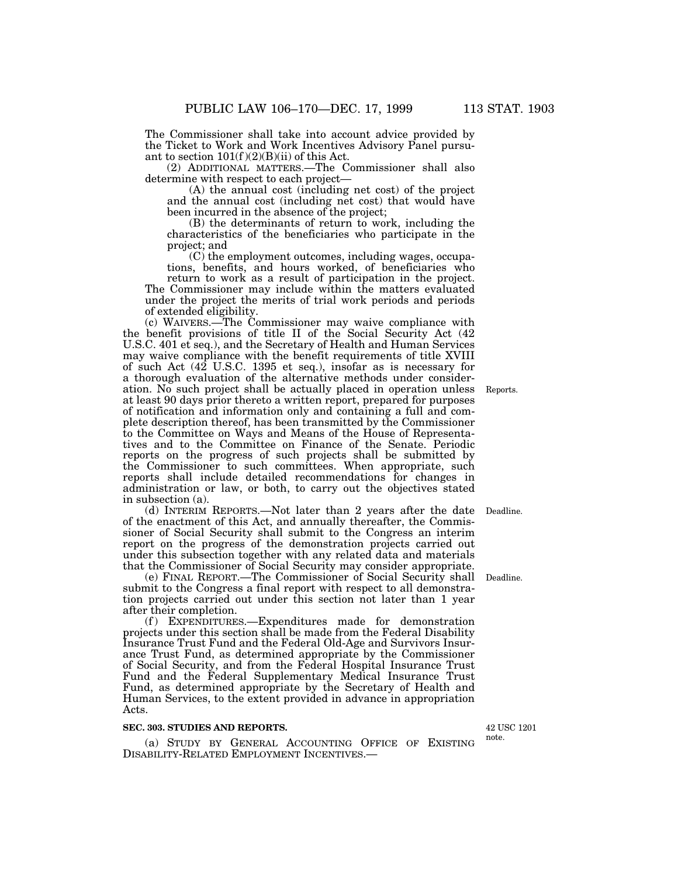The Commissioner shall take into account advice provided by the Ticket to Work and Work Incentives Advisory Panel pursuant to section  $101(f)(2)(B)(ii)$  of this Act.

(2) ADDITIONAL MATTERS.—The Commissioner shall also determine with respect to each project—

(A) the annual cost (including net cost) of the project and the annual cost (including net cost) that would have been incurred in the absence of the project;

(B) the determinants of return to work, including the characteristics of the beneficiaries who participate in the project; and

(C) the employment outcomes, including wages, occupations, benefits, and hours worked, of beneficiaries who

return to work as a result of participation in the project. The Commissioner may include within the matters evaluated under the project the merits of trial work periods and periods of extended eligibility.

(c) WAIVERS.—The Commissioner may waive compliance with the benefit provisions of title II of the Social Security Act (42 U.S.C. 401 et seq.), and the Secretary of Health and Human Services may waive compliance with the benefit requirements of title XVIII of such Act (42 U.S.C. 1395 et seq.), insofar as is necessary for a thorough evaluation of the alternative methods under consideration. No such project shall be actually placed in operation unless at least 90 days prior thereto a written report, prepared for purposes of notification and information only and containing a full and complete description thereof, has been transmitted by the Commissioner to the Committee on Ways and Means of the House of Representatives and to the Committee on Finance of the Senate. Periodic reports on the progress of such projects shall be submitted by the Commissioner to such committees. When appropriate, such reports shall include detailed recommendations for changes in administration or law, or both, to carry out the objectives stated in subsection (a).

(d) INTERIM REPORTS.—Not later than 2 years after the date of the enactment of this Act, and annually thereafter, the Commissioner of Social Security shall submit to the Congress an interim report on the progress of the demonstration projects carried out under this subsection together with any related data and materials that the Commissioner of Social Security may consider appropriate.

(e) FINAL REPORT.—The Commissioner of Social Security shall submit to the Congress a final report with respect to all demonstration projects carried out under this section not later than 1 year after their completion.

(f ) EXPENDITURES.—Expenditures made for demonstration projects under this section shall be made from the Federal Disability Insurance Trust Fund and the Federal Old-Age and Survivors Insurance Trust Fund, as determined appropriate by the Commissioner of Social Security, and from the Federal Hospital Insurance Trust Fund and the Federal Supplementary Medical Insurance Trust Fund, as determined appropriate by the Secretary of Health and Human Services, to the extent provided in advance in appropriation Acts.

#### **SEC. 303. STUDIES AND REPORTS.**

(a) STUDY BY GENERAL ACCOUNTING OFFICE OF EXISTING DISABILITY-RELATED EMPLOYMENT INCENTIVES.—

42 USC 1201 note.

Deadline.

Deadline.

Reports.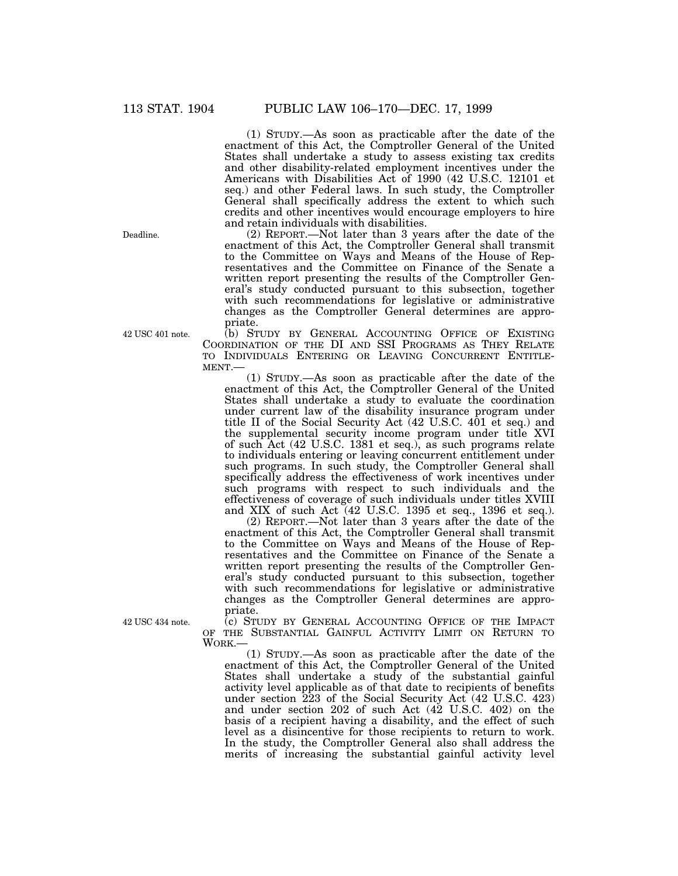(1) STUDY.—As soon as practicable after the date of the enactment of this Act, the Comptroller General of the United States shall undertake a study to assess existing tax credits and other disability-related employment incentives under the Americans with Disabilities Act of 1990 (42 U.S.C. 12101 et seq.) and other Federal laws. In such study, the Comptroller General shall specifically address the extent to which such credits and other incentives would encourage employers to hire and retain individuals with disabilities.

(2) REPORT.—Not later than 3 years after the date of the enactment of this Act, the Comptroller General shall transmit to the Committee on Ways and Means of the House of Representatives and the Committee on Finance of the Senate a written report presenting the results of the Comptroller General's study conducted pursuant to this subsection, together with such recommendations for legislative or administrative changes as the Comptroller General determines are appropriate.

(b) STUDY BY GENERAL ACCOUNTING OFFICE OF EXISTING COORDINATION OF THE DI AND SSI PROGRAMS AS THEY RELATE TO INDIVIDUALS ENTERING OR LEAVING CONCURRENT ENTITLE-MENT.—

(1) STUDY.—As soon as practicable after the date of the enactment of this Act, the Comptroller General of the United States shall undertake a study to evaluate the coordination under current law of the disability insurance program under title II of the Social Security Act (42 U.S.C. 401 et seq.) and the supplemental security income program under title XVI of such Act (42 U.S.C. 1381 et seq.), as such programs relate to individuals entering or leaving concurrent entitlement under such programs. In such study, the Comptroller General shall specifically address the effectiveness of work incentives under such programs with respect to such individuals and the effectiveness of coverage of such individuals under titles XVIII and XIX of such Act (42 U.S.C. 1395 et seq., 1396 et seq.).

(2) REPORT.—Not later than 3 years after the date of the enactment of this Act, the Comptroller General shall transmit to the Committee on Ways and Means of the House of Representatives and the Committee on Finance of the Senate a written report presenting the results of the Comptroller General's study conducted pursuant to this subsection, together with such recommendations for legislative or administrative changes as the Comptroller General determines are appropriate.

(c) STUDY BY GENERAL ACCOUNTING OFFICE OF THE IMPACT OF THE SUBSTANTIAL GAINFUL ACTIVITY LIMIT ON RETURN TO WORK.—

(1) STUDY.—As soon as practicable after the date of the enactment of this Act, the Comptroller General of the United States shall undertake a study of the substantial gainful activity level applicable as of that date to recipients of benefits under section 223 of the Social Security Act (42 U.S.C. 423) and under section 202 of such Act (42 U.S.C. 402) on the basis of a recipient having a disability, and the effect of such level as a disincentive for those recipients to return to work. In the study, the Comptroller General also shall address the merits of increasing the substantial gainful activity level

Deadline.

42 USC 401 note.

42 USC 434 note.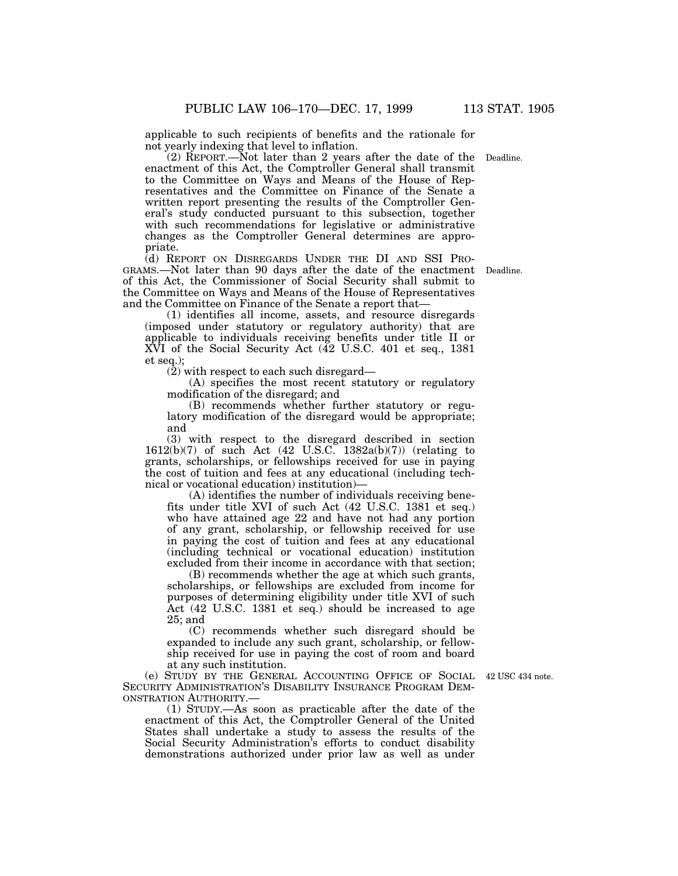applicable to such recipients of benefits and the rationale for not yearly indexing that level to inflation.

(2) REPORT.—Not later than 2 years after the date of the enactment of this Act, the Comptroller General shall transmit to the Committee on Ways and Means of the House of Representatives and the Committee on Finance of the Senate a written report presenting the results of the Comptroller General's study conducted pursuant to this subsection, together with such recommendations for legislative or administrative changes as the Comptroller General determines are appropriate.

(d) REPORT ON DISREGARDS UNDER THE DI AND SSI PRO-GRAMS.—Not later than 90 days after the date of the enactment Deadline. of this Act, the Commissioner of Social Security shall submit to the Committee on Ways and Means of the House of Representatives and the Committee on Finance of the Senate a report that—

(1) identifies all income, assets, and resource disregards (imposed under statutory or regulatory authority) that are applicable to individuals receiving benefits under title II or  $XVI$  of the Social Security Act ( $42$  U.S.C. 401 et seq., 1381 et seq.);

 $(2)$  with respect to each such disregard—

(A) specifies the most recent statutory or regulatory modification of the disregard; and

(B) recommends whether further statutory or regulatory modification of the disregard would be appropriate; and

(3) with respect to the disregard described in section 1612(b)(7) of such Act (42 U.S.C. 1382a(b)(7)) (relating to grants, scholarships, or fellowships received for use in paying the cost of tuition and fees at any educational (including technical or vocational education) institution)—

(A) identifies the number of individuals receiving benefits under title XVI of such Act (42 U.S.C. 1381 et seq.) who have attained age 22 and have not had any portion of any grant, scholarship, or fellowship received for use in paying the cost of tuition and fees at any educational (including technical or vocational education) institution excluded from their income in accordance with that section;

(B) recommends whether the age at which such grants, scholarships, or fellowships are excluded from income for purposes of determining eligibility under title XVI of such Act (42 U.S.C. 1381 et seq.) should be increased to age 25; and

(C) recommends whether such disregard should be expanded to include any such grant, scholarship, or fellowship received for use in paying the cost of room and board at any such institution.

(e) STUDY BY THE GENERAL ACCOUNTING OFFICE OF SOCIAL 42 USC 434 note. SECURITY ADMINISTRATION'S DISABILITY INSURANCE PROGRAM DEM-ONSTRATION AUTHORITY.—

(1) STUDY.—As soon as practicable after the date of the enactment of this Act, the Comptroller General of the United States shall undertake a study to assess the results of the Social Security Administration's efforts to conduct disability demonstrations authorized under prior law as well as under

Deadline.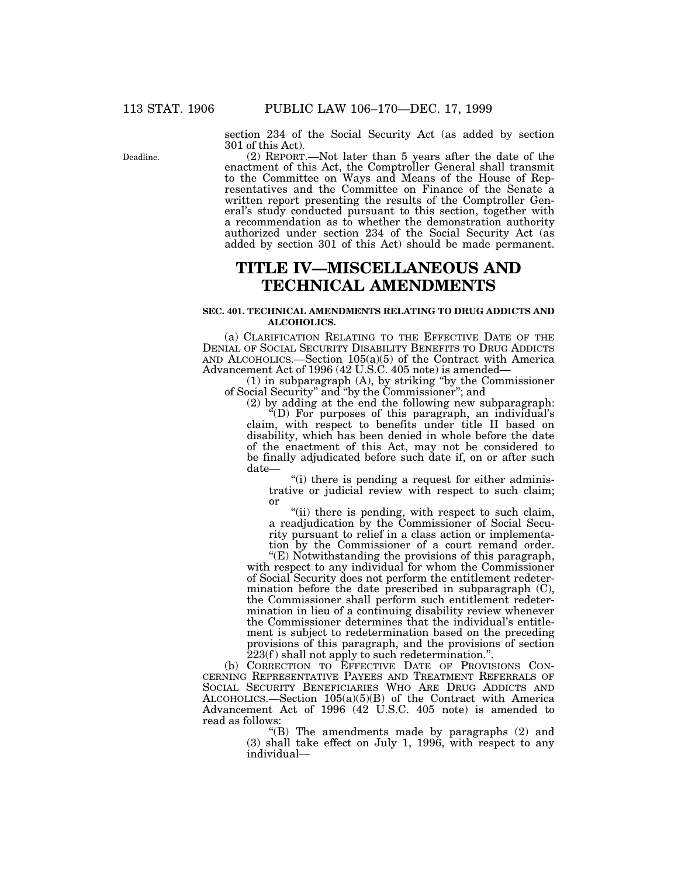section 234 of the Social Security Act (as added by section 301 of this Act).

(2) REPORT.—Not later than 5 years after the date of the enactment of this Act, the Comptroller General shall transmit to the Committee on Ways and Means of the House of Representatives and the Committee on Finance of the Senate a written report presenting the results of the Comptroller General's study conducted pursuant to this section, together with a recommendation as to whether the demonstration authority authorized under section 234 of the Social Security Act (as added by section 301 of this Act) should be made permanent.

## **TITLE IV—MISCELLANEOUS AND TECHNICAL AMENDMENTS**

## **SEC. 401. TECHNICAL AMENDMENTS RELATING TO DRUG ADDICTS AND ALCOHOLICS.**

(a) CLARIFICATION RELATING TO THE EFFECTIVE DATE OF THE DENIAL OF SOCIAL SECURITY DISABILITY BENEFITS TO DRUG ADDICTS AND ALCOHOLICS.—Section 105(a)(5) of the Contract with America Advancement Act of 1996 (42 U.S.C. 405 note) is amended—

(1) in subparagraph (A), by striking ''by the Commissioner of Social Security'' and ''by the Commissioner''; and

(2) by adding at the end the following new subparagraph: ''(D) For purposes of this paragraph, an individual's claim, with respect to benefits under title II based on disability, which has been denied in whole before the date of the enactment of this Act, may not be considered to be finally adjudicated before such date if, on or after such date—

"(i) there is pending a request for either administrative or judicial review with respect to such claim; or

"(ii) there is pending, with respect to such claim, a readjudication by the Commissioner of Social Security pursuant to relief in a class action or implementation by the Commissioner of a court remand order.

''(E) Notwithstanding the provisions of this paragraph, with respect to any individual for whom the Commissioner of Social Security does not perform the entitlement redetermination before the date prescribed in subparagraph (C), the Commissioner shall perform such entitlement redetermination in lieu of a continuing disability review whenever the Commissioner determines that the individual's entitlement is subject to redetermination based on the preceding provisions of this paragraph, and the provisions of section  $223(f)$  shall not apply to such redetermination.".

(b) CORRECTION TO EFFECTIVE DATE OF PROVISIONS CON- CERNING REPRESENTATIVE PAYEES AND TREATMENT REFERRALS OF SOCIAL SECURITY BENEFICIARIES WHO ARE DRUG ADDICTS AND ALCOHOLICS.—Section 105(a)(5)(B) of the Contract with America Advancement Act of 1996 (42 U.S.C. 405 note) is amended to read as follows:

''(B) The amendments made by paragraphs (2) and (3) shall take effect on July 1, 1996, with respect to any individual—

Deadline.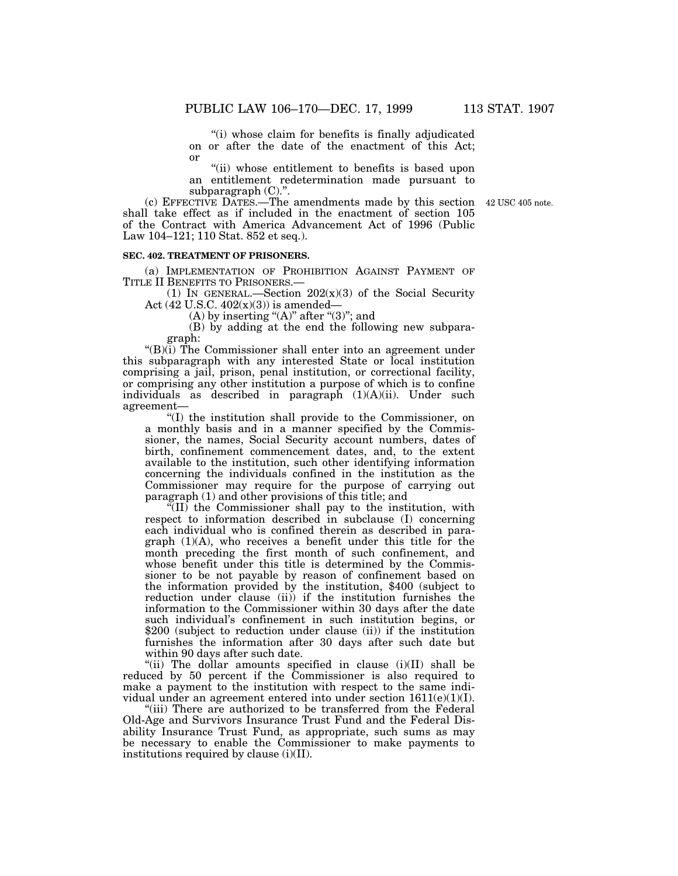''(i) whose claim for benefits is finally adjudicated on or after the date of the enactment of this Act; or

''(ii) whose entitlement to benefits is based upon an entitlement redetermination made pursuant to subparagraph (C).''.

(c) EFFECTIVE DATES.—The amendments made by this section 42 USC 405 note. shall take effect as if included in the enactment of section 105 of the Contract with America Advancement Act of 1996 (Public Law 104–121; 110 Stat. 852 et seq.).

#### **SEC. 402. TREATMENT OF PRISONERS.**

(a) IMPLEMENTATION OF PROHIBITION AGAINST PAYMENT OF TITLE II BENEFITS TO PRISONERS.—

(1) IN GENERAL.—Section  $202(x)(3)$  of the Social Security Act (42 U.S.C. 402(x)(3)) is amended—

(A) by inserting " $(A)$ " after " $(3)$ "; and

(B) by adding at the end the following new subparagraph:

" $(B)$ (i) The Commissioner shall enter into an agreement under this subparagraph with any interested State or local institution comprising a jail, prison, penal institution, or correctional facility, or comprising any other institution a purpose of which is to confine individuals as described in paragraph (1)(A)(ii). Under such agreement—

''(I) the institution shall provide to the Commissioner, on a monthly basis and in a manner specified by the Commissioner, the names, Social Security account numbers, dates of birth, confinement commencement dates, and, to the extent available to the institution, such other identifying information concerning the individuals confined in the institution as the Commissioner may require for the purpose of carrying out paragraph (1) and other provisions of this title; and

''(II) the Commissioner shall pay to the institution, with respect to information described in subclause (I) concerning each individual who is confined therein as described in paragraph (1)(A), who receives a benefit under this title for the month preceding the first month of such confinement, and whose benefit under this title is determined by the Commissioner to be not payable by reason of confinement based on the information provided by the institution, \$400 (subject to reduction under clause (ii)) if the institution furnishes the information to the Commissioner within 30 days after the date such individual's confinement in such institution begins, or \$200 (subject to reduction under clause (ii)) if the institution furnishes the information after 30 days after such date but within 90 days after such date.

"(ii) The dollar amounts specified in clause (i)(II) shall be reduced by 50 percent if the Commissioner is also required to make a payment to the institution with respect to the same individual under an agreement entered into under section  $1611(e)(1)(I)$ .

''(iii) There are authorized to be transferred from the Federal Old-Age and Survivors Insurance Trust Fund and the Federal Disability Insurance Trust Fund, as appropriate, such sums as may be necessary to enable the Commissioner to make payments to institutions required by clause (i)(II).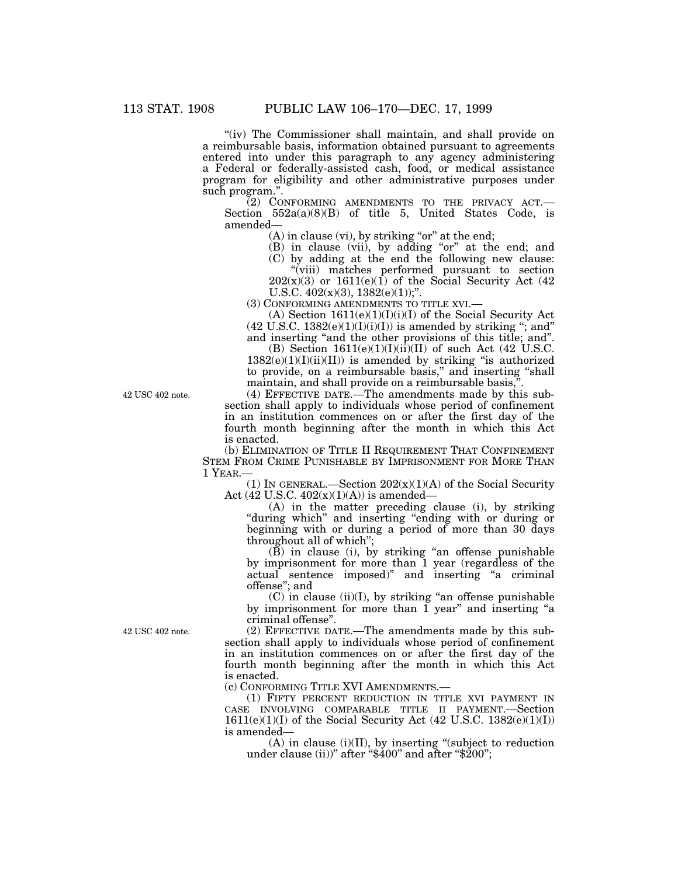"(iv) The Commissioner shall maintain, and shall provide on a reimbursable basis, information obtained pursuant to agreements entered into under this paragraph to any agency administering a Federal or federally-assisted cash, food, or medical assistance program for eligibility and other administrative purposes under such program.''.

(2) CONFORMING AMENDMENTS TO THE PRIVACY ACT.— Section 552a(a)(8)(B) of title 5, United States Code, is amended—

 $(A)$  in clause (vi), by striking "or" at the end;

(B) in clause (vii), by adding "or" at the end; and (C) by adding at the end the following new clause: ''(viii) matches performed pursuant to section  $202(x)(3)$  or  $1611(e)(1)$  of the Social Security Act (42) U.S.C.  $402(x)(3)$ ,  $1382(e)(1)$ ;".

(3) CONFORMING AMENDMENTS TO TITLE XVI.—

(A) Section 1611(e)(1)(I)(i)(I) of the Social Security Act  $(42 \text{ U.S.C. } 1382(e)(1)(I)(I)(I))$  is amended by striking "; and" and inserting "and the other provisions of this title; and".

(B) Section  $1611(e)(1)(1)(ii)(II)$  of such Act (42 U.S.C.  $1382(e)(1)(I)(ii)(II))$  is amended by striking "is authorized to provide, on a reimbursable basis,'' and inserting ''shall maintain, and shall provide on a reimbursable basis,

42 USC 402 note.

(4) EFFECTIVE DATE.—The amendments made by this subsection shall apply to individuals whose period of confinement in an institution commences on or after the first day of the fourth month beginning after the month in which this Act is enacted.

(b) ELIMINATION OF TITLE II REQUIREMENT THAT CONFINEMENT STEM FROM CRIME PUNISHABLE BY IMPRISONMENT FOR MORE THAN 1 YEAR.—

(1) IN GENERAL.—Section  $202(x)(1)(A)$  of the Social Security Act (42 U.S.C.  $402(x)(1)(A)$ ) is amended—

(A) in the matter preceding clause (i), by striking "during which" and inserting "ending with or during or beginning with or during a period of more than 30 days throughout all of which'';

 $(B)$  in clause (i), by striking "an offense punishable by imprisonment for more than 1 year (regardless of the actual sentence imposed)'' and inserting ''a criminal offense''; and

 $(C)$  in clause (ii)(I), by striking "an offense punishable by imprisonment for more than 1 year" and inserting "a criminal offense''.

42 USC 402 note.

(2) EFFECTIVE DATE.—The amendments made by this subsection shall apply to individuals whose period of confinement in an institution commences on or after the first day of the fourth month beginning after the month in which this Act is enacted.

(c) CONFORMING TITLE XVI AMENDMENTS.—

(1) FIFTY PERCENT REDUCTION IN TITLE XVI PAYMENT IN CASE INVOLVING COMPARABLE TITLE II PAYMENT.—Section 1611(e)(1)(I) of the Social Security Act  $(42 \text{ U.S.C. } 1382(\text{e})(1)(\text{I}))$ is amended—

 $(A)$  in clause  $(i)(II)$ , by inserting "(subject to reduction under clause (ii))'' after ''\$400'' and after ''\$200'';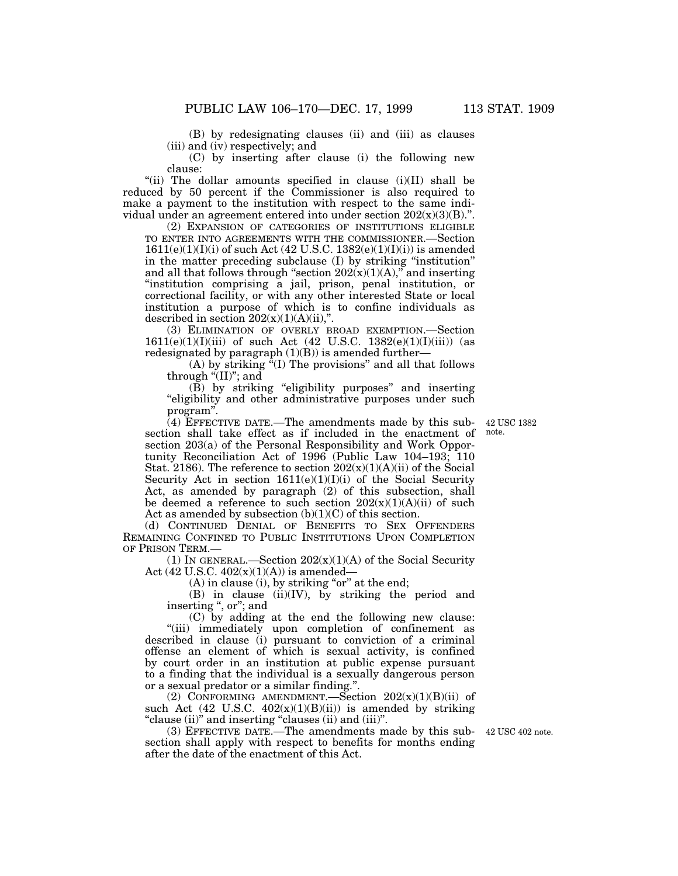(B) by redesignating clauses (ii) and (iii) as clauses (iii) and (iv) respectively; and

(C) by inserting after clause (i) the following new clause:

"(ii) The dollar amounts specified in clause  $(i)(II)$  shall be reduced by 50 percent if the Commissioner is also required to make a payment to the institution with respect to the same individual under an agreement entered into under section  $202(x)(3)(B)$ .".

(2) EXPANSION OF CATEGORIES OF INSTITUTIONS ELIGIBLE TO ENTER INTO AGREEMENTS WITH THE COMMISSIONER.—Section  $1611(e)(1)(I)(i)$  of such Act (42 U.S.C. 1382(e)(1)(I)(i)) is amended in the matter preceding subclause (I) by striking ''institution'' and all that follows through "section  $202(x)(1)(A)$ ," and inserting ''institution comprising a jail, prison, penal institution, or correctional facility, or with any other interested State or local institution a purpose of which is to confine individuals as described in section  $202(x)(1)(A)(ii)$ ,".

(3) ELIMINATION OF OVERLY BROAD EXEMPTION.—Section 1611(e)(1)(I)(iii) of such Act (42 U.S.C. 1382(e)(1)(I)(iii)) (as redesignated by paragraph  $(1)(B)$  is amended further—

(A) by striking ''(I) The provisions'' and all that follows through " $(II)$ "; and

(B) by striking ''eligibility purposes'' and inserting "eligibility and other administrative purposes under such program''.

(4) EFFECTIVE DATE.—The amendments made by this sub-42 USC 1382 section shall take effect as if included in the enactment of note. section 203(a) of the Personal Responsibility and Work Opportunity Reconciliation Act of 1996 (Public Law 104–193; 110 Stat. 2186). The reference to section  $202(x)(1)(A)(ii)$  of the Social Security Act in section 1611(e)(1)(I)(i) of the Social Security Act, as amended by paragraph (2) of this subsection, shall be deemed a reference to such section  $202(x)(1)(A)(ii)$  of such Act as amended by subsection  $(b)(1)(C)$  of this section.

(d) CONTINUED DENIAL OF BENEFITS TO SEX OFFENDERS REMAINING CONFINED TO PUBLIC INSTITUTIONS UPON COMPLETION OF PRISON TERM.—

(1) IN GENERAL.—Section  $202(x)(1)(A)$  of the Social Security Act  $(42 \text{ U.S.C. } 402(x)(1)(A))$  is amended–

 $(A)$  in clause (i), by striking "or" at the end;

(B) in clause (ii)(IV), by striking the period and inserting ", or"; and

(C) by adding at the end the following new clause: "(iii) immediately upon completion of confinement as described in clause (i) pursuant to conviction of a criminal offense an element of which is sexual activity, is confined by court order in an institution at public expense pursuant to a finding that the individual is a sexually dangerous person or a sexual predator or a similar finding.''.

(2) CONFORMING AMENDMENT.—Section  $202(x)(1)(B)(ii)$  of such Act (42 U.S.C.  $402(x)(1)(B)(ii)$ ) is amended by striking "clause (ii)" and inserting "clauses (ii) and (iii)".

(3) EFFECTIVE DATE.—The amendments made by this sub-42 USC 402 note. section shall apply with respect to benefits for months ending after the date of the enactment of this Act.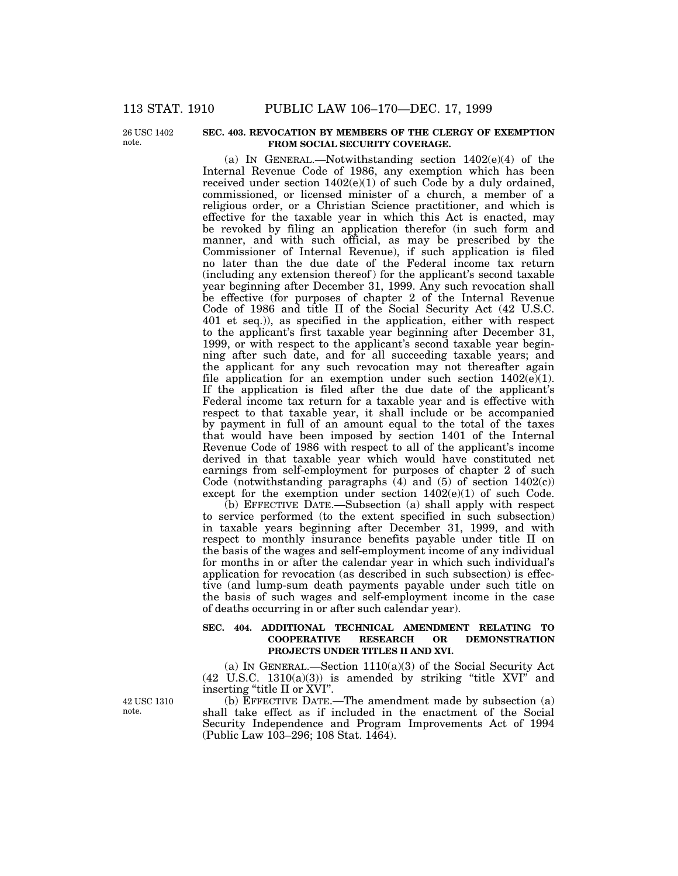26 USC 1402 note.

## **SEC. 403. REVOCATION BY MEMBERS OF THE CLERGY OF EXEMPTION FROM SOCIAL SECURITY COVERAGE.**

(a) IN GENERAL.—Notwithstanding section  $1402(e)(4)$  of the Internal Revenue Code of 1986, any exemption which has been received under section 1402(e)(1) of such Code by a duly ordained, commissioned, or licensed minister of a church, a member of a religious order, or a Christian Science practitioner, and which is effective for the taxable year in which this Act is enacted, may be revoked by filing an application therefor (in such form and manner, and with such official, as may be prescribed by the Commissioner of Internal Revenue), if such application is filed no later than the due date of the Federal income tax return (including any extension thereof ) for the applicant's second taxable year beginning after December 31, 1999. Any such revocation shall be effective (for purposes of chapter 2 of the Internal Revenue Code of 1986 and title II of the Social Security Act (42 U.S.C. 401 et seq.)), as specified in the application, either with respect to the applicant's first taxable year beginning after December 31, 1999, or with respect to the applicant's second taxable year beginning after such date, and for all succeeding taxable years; and the applicant for any such revocation may not thereafter again file application for an exemption under such section  $1402(e)(1)$ . If the application is filed after the due date of the applicant's Federal income tax return for a taxable year and is effective with respect to that taxable year, it shall include or be accompanied by payment in full of an amount equal to the total of the taxes that would have been imposed by section 1401 of the Internal Revenue Code of 1986 with respect to all of the applicant's income derived in that taxable year which would have constituted net earnings from self-employment for purposes of chapter 2 of such Code (notwithstanding paragraphs  $(4)$  and  $(5)$  of section  $1402(c)$ ) except for the exemption under section 1402(e)(1) of such Code.

(b) EFFECTIVE DATE.—Subsection (a) shall apply with respect to service performed (to the extent specified in such subsection) in taxable years beginning after December 31, 1999, and with respect to monthly insurance benefits payable under title II on the basis of the wages and self-employment income of any individual for months in or after the calendar year in which such individual's application for revocation (as described in such subsection) is effective (and lump-sum death payments payable under such title on the basis of such wages and self-employment income in the case of deaths occurring in or after such calendar year).

## **SEC. 404. ADDITIONAL TECHNICAL AMENDMENT RELATING TO COOPERATIVE RESEARCH OR DEMONSTRATION PROJECTS UNDER TITLES II AND XVI.**

(a) IN GENERAL.—Section 1110(a)(3) of the Social Security Act  $(42 \text{ U.S.C. } 1310(a)(3))$  is amended by striking "title XVI" and inserting "title II or XVI".

(b) EFFECTIVE DATE.—The amendment made by subsection (a) shall take effect as if included in the enactment of the Social Security Independence and Program Improvements Act of 1994 (Public Law 103–296; 108 Stat. 1464).

42 USC 1310 note.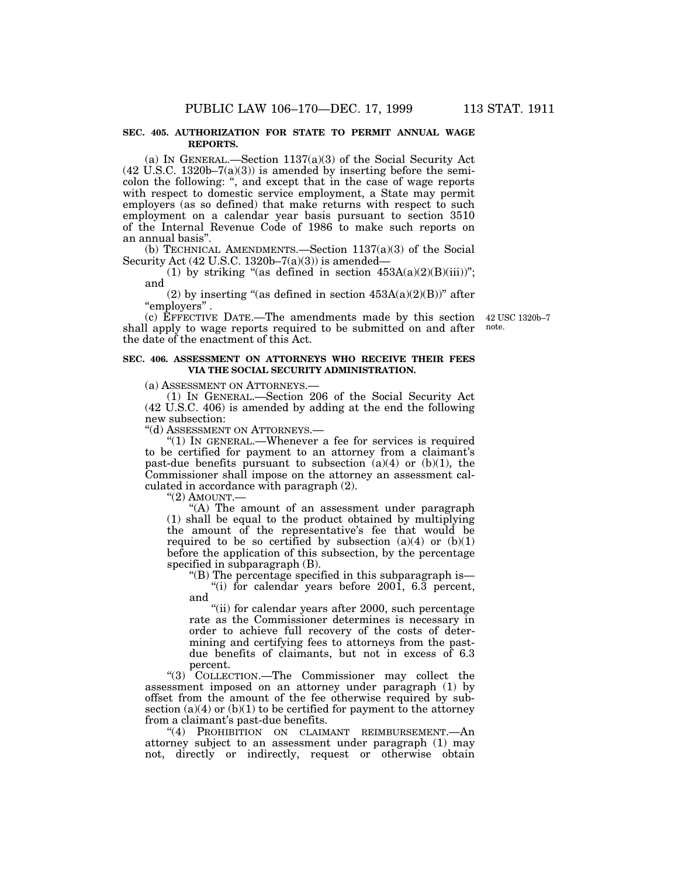## **SEC. 405. AUTHORIZATION FOR STATE TO PERMIT ANNUAL WAGE REPORTS.**

(a) IN GENERAL.—Section 1137(a)(3) of the Social Security Act  $(42 \text{ U.S.C. } 1320b - 7(a)(3))$  is amended by inserting before the semicolon the following: '', and except that in the case of wage reports with respect to domestic service employment, a State may permit employers (as so defined) that make returns with respect to such employment on a calendar year basis pursuant to section 3510 of the Internal Revenue Code of 1986 to make such reports on an annual basis''.

(b) TECHNICAL AMENDMENTS.—Section  $1137(a)(3)$  of the Social Security Act  $(42 \text{ U.S.C. } 1320b - 7(a)(3))$  is amended—

(1) by striking "(as defined in section  $453A(a)(2)(B(iii))$ "; and

(2) by inserting "(as defined in section  $453A(a)(2)(B)$ " after "employers".

(c) EFFECTIVE DATE.—The amendments made by this section 42 USC 1320b–7 shall apply to wage reports required to be submitted on and after note. the date of the enactment of this Act.

## **SEC. 406. ASSESSMENT ON ATTORNEYS WHO RECEIVE THEIR FEES VIA THE SOCIAL SECURITY ADMINISTRATION.**

(a) ASSESSMENT ON ATTORNEYS.—

(1) IN GENERAL.—Section 206 of the Social Security Act (42 U.S.C. 406) is amended by adding at the end the following new subsection:

''(d) ASSESSMENT ON ATTORNEYS.—

" $(1)$  In GENERAL.—Whenever a fee for services is required to be certified for payment to an attorney from a claimant's past-due benefits pursuant to subsection (a)(4) or (b)(1), the Commissioner shall impose on the attorney an assessment calculated in accordance with paragraph (2).

''(2) AMOUNT.—

''(A) The amount of an assessment under paragraph (1) shall be equal to the product obtained by multiplying the amount of the representative's fee that would be required to be so certified by subsection  $(a)(4)$  or  $(b)(1)$ before the application of this subsection, by the percentage specified in subparagraph (B).

''(B) The percentage specified in this subparagraph is—

"(i) for calendar years before  $2001, 6.3$  percent, and

"(ii) for calendar years after 2000, such percentage rate as the Commissioner determines is necessary in order to achieve full recovery of the costs of determining and certifying fees to attorneys from the pastdue benefits of claimants, but not in excess of 6.3 percent.

''(3) COLLECTION.—The Commissioner may collect the assessment imposed on an attorney under paragraph (1) by offset from the amount of the fee otherwise required by subsection (a)(4) or (b)(1) to be certified for payment to the attorney from a claimant's past-due benefits.

''(4) PROHIBITION ON CLAIMANT REIMBURSEMENT.—An attorney subject to an assessment under paragraph (1) may not, directly or indirectly, request or otherwise obtain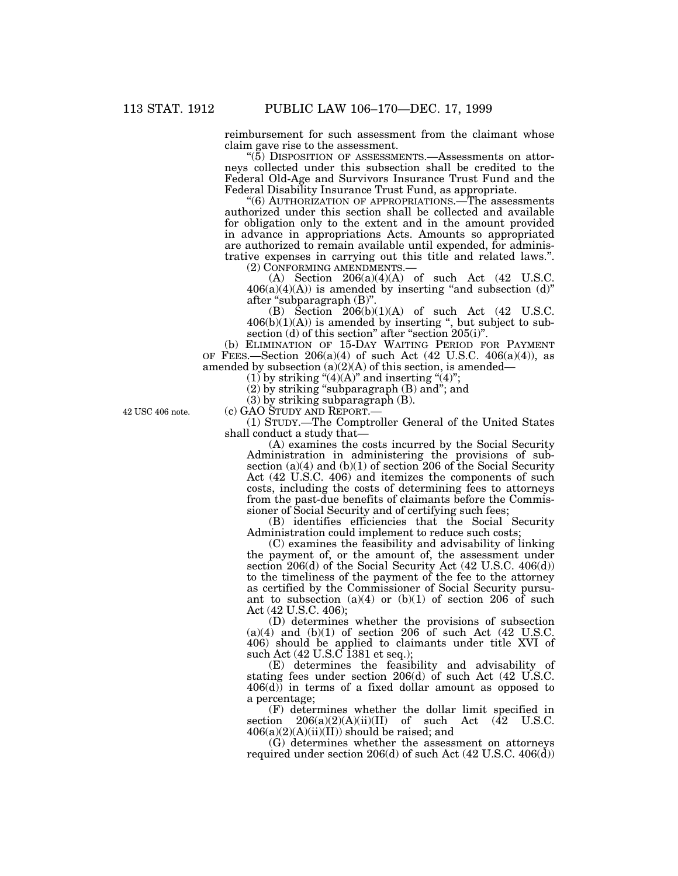reimbursement for such assessment from the claimant whose claim gave rise to the assessment.

" $(5)$  DISPOSITION OF ASSESSMENTS.—Assessments on attorneys collected under this subsection shall be credited to the Federal Old-Age and Survivors Insurance Trust Fund and the Federal Disability Insurance Trust Fund, as appropriate.

''(6) AUTHORIZATION OF APPROPRIATIONS.—The assessments authorized under this section shall be collected and available for obligation only to the extent and in the amount provided in advance in appropriations Acts. Amounts so appropriated are authorized to remain available until expended, for administrative expenses in carrying out this title and related laws.''.

(2) CONFORMING AMENDMENTS.—

(A) Section 206(a)(4)(A) of such Act (42 U.S.C.  $406(a)(4)(A)$  is amended by inserting "and subsection (d)" after ''subparagraph (B)''.

 $(B)$  Section  $206(b)(1)(A)$  of such Act (42 U.S.C.  $406(b)(1)(A)$  is amended by inserting ", but subject to subsection (d) of this section" after "section 205(i)".

(b) ELIMINATION OF 15-DAY WAITING PERIOD FOR PAYMENT OF FEES.—Section  $206(a)(4)$  of such Act  $(42 \text{ U.S.C. } 406(a)(4))$ , as amended by subsection (a)(2)(A) of this section, is amended—

(1) by striking " $(4)(A)$ " and inserting " $(4)$ ";

(2) by striking ''subparagraph (B) and''; and

(3) by striking subparagraph (B). (c) GAO STUDY AND REPORT.—

42 USC 406 note.

(1) STUDY.—The Comptroller General of the United States shall conduct a study that—

(A) examines the costs incurred by the Social Security Administration in administering the provisions of subsection (a)(4) and (b)(1) of section 206 of the Social Security Act (42 U.S.C. 406) and itemizes the components of such costs, including the costs of determining fees to attorneys from the past-due benefits of claimants before the Commissioner of Social Security and of certifying such fees;

(B) identifies efficiencies that the Social Security Administration could implement to reduce such costs;

(C) examines the feasibility and advisability of linking the payment of, or the amount of, the assessment under section 206(d) of the Social Security Act (42 U.S.C. 406(d)) to the timeliness of the payment of the fee to the attorney as certified by the Commissioner of Social Security pursuant to subsection  $(a)(4)$  or  $(b)(1)$  of section 206 of such Act (42 U.S.C. 406);

(D) determines whether the provisions of subsection  $(a)(4)$  and  $(b)(1)$  of section 206 of such Act  $(42 \text{ U.S.C.})$ 406) should be applied to claimants under title XVI of such Act (42 U.S.C 1381 et seq.);

(E) determines the feasibility and advisability of stating fees under section 206(d) of such Act (42 U.S.C. 406(d)) in terms of a fixed dollar amount as opposed to a percentage;

(F) determines whether the dollar limit specified in section  $206(a)(2)(A)(ii)(II)$  of such Act (42 U.S.C.  $406(a)(2)(A)(ii)(II)$  should be raised; and

(G) determines whether the assessment on attorneys required under section 206(d) of such Act (42 U.S.C. 406(d))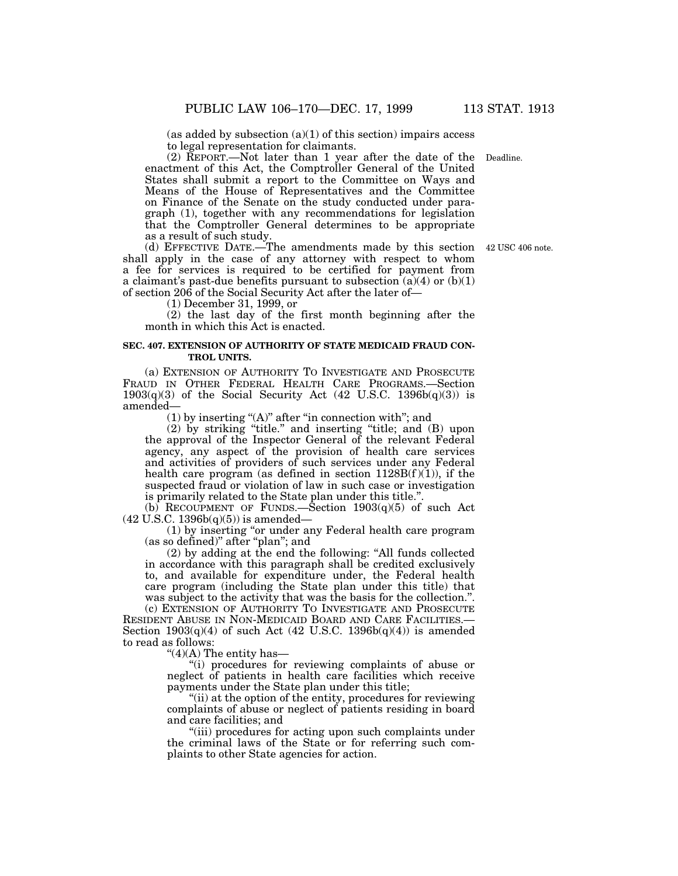(as added by subsection  $(a)(1)$  of this section) impairs access to legal representation for claimants.

(2) REPORT.—Not later than 1 year after the date of the enactment of this Act, the Comptroller General of the United States shall submit a report to the Committee on Ways and Means of the House of Representatives and the Committee on Finance of the Senate on the study conducted under paragraph (1), together with any recommendations for legislation that the Comptroller General determines to be appropriate as a result of such study. Deadline.

(d) EFFECTIVE DATE.—The amendments made by this section 42 USC 406 note. shall apply in the case of any attorney with respect to whom a fee for services is required to be certified for payment from a claimant's past-due benefits pursuant to subsection  $(a)(4)$  or  $(b)(1)$ of section 206 of the Social Security Act after the later of—

(1) December 31, 1999, or

(2) the last day of the first month beginning after the month in which this Act is enacted.

#### **SEC. 407. EXTENSION OF AUTHORITY OF STATE MEDICAID FRAUD CON-TROL UNITS.**

(a) EXTENSION OF AUTHORITY TO INVESTIGATE AND PROSECUTE FRAUD IN OTHER FEDERAL HEALTH CARE PROGRAMS.—Section 1903 $(q)(3)$  of the Social Security Act (42 U.S.C. 1396 $b(q)(3)$ ) is amended—

 $(1)$  by inserting " $(A)$ " after "in connection with"; and

 $(2)$  by striking "title." and inserting "title; and  $(B)$  upon the approval of the Inspector General of the relevant Federal agency, any aspect of the provision of health care services and activities of providers of such services under any Federal health care program (as defined in section  $1128B(f)(1)$ ), if the suspected fraud or violation of law in such case or investigation is primarily related to the State plan under this title.''.

(b) RECOUPMENT OF FUNDS.—Section  $1903(q)(5)$  of such Act  $(42$  U.S.C.  $1396b(q)(5)$ ) is amended—

(1) by inserting ''or under any Federal health care program (as so defined)'' after ''plan''; and

(2) by adding at the end the following: ''All funds collected in accordance with this paragraph shall be credited exclusively to, and available for expenditure under, the Federal health care program (including the State plan under this title) that was subject to the activity that was the basis for the collection.''.

(c) EXTENSION OF AUTHORITY TO INVESTIGATE AND PROSECUTE RESIDENT ABUSE IN NON-MEDICAID BOARD AND CARE FACILITIES.— Section  $1903(q)(4)$  of such Act (42 U.S.C. 1396b(q)(4)) is amended to read as follows:

" $(4)$ (A) The entity has—

''(i) procedures for reviewing complaints of abuse or neglect of patients in health care facilities which receive payments under the State plan under this title;

"(ii) at the option of the entity, procedures for reviewing complaints of abuse or neglect of patients residing in board and care facilities; and

''(iii) procedures for acting upon such complaints under the criminal laws of the State or for referring such complaints to other State agencies for action.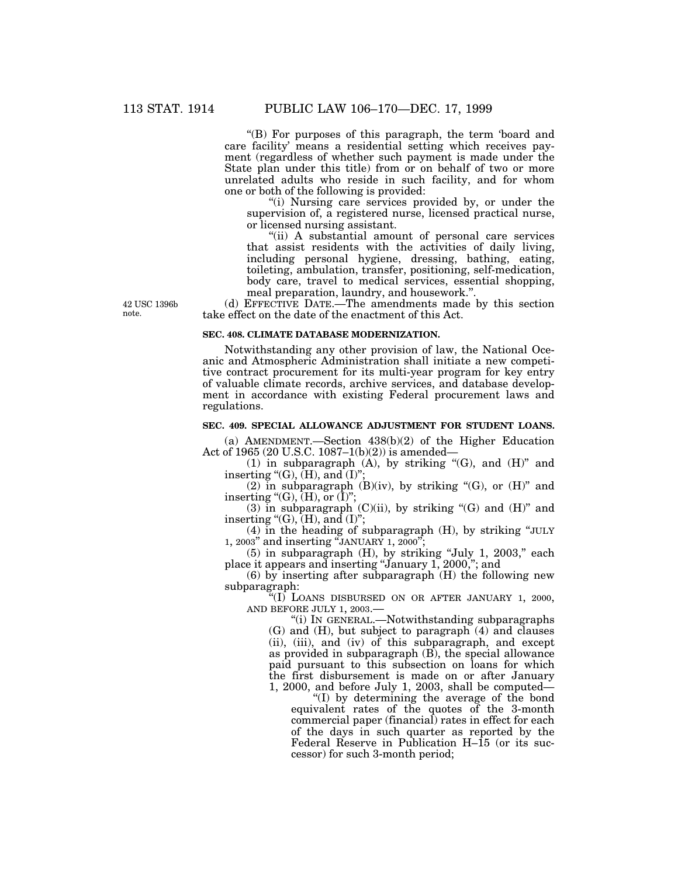''(B) For purposes of this paragraph, the term 'board and care facility' means a residential setting which receives payment (regardless of whether such payment is made under the State plan under this title) from or on behalf of two or more unrelated adults who reside in such facility, and for whom one or both of the following is provided:

''(i) Nursing care services provided by, or under the supervision of, a registered nurse, licensed practical nurse, or licensed nursing assistant.

''(ii) A substantial amount of personal care services that assist residents with the activities of daily living, including personal hygiene, dressing, bathing, eating, toileting, ambulation, transfer, positioning, self-medication, body care, travel to medical services, essential shopping, meal preparation, laundry, and housework.''.

(d) EFFECTIVE DATE.—The amendments made by this section take effect on the date of the enactment of this Act.

## **SEC. 408. CLIMATE DATABASE MODERNIZATION.**

Notwithstanding any other provision of law, the National Oceanic and Atmospheric Administration shall initiate a new competitive contract procurement for its multi-year program for key entry of valuable climate records, archive services, and database development in accordance with existing Federal procurement laws and regulations.

## **SEC. 409. SPECIAL ALLOWANCE ADJUSTMENT FOR STUDENT LOANS.**

(a) AMENDMENT.—Section 438(b)(2) of the Higher Education Act of 1965 (20 U.S.C. 1087–1(b)(2)) is amended—

(1) in subparagraph  $(A)$ , by striking " $(G)$ , and  $(H)$ " and inserting " $(G)$ ,  $(H)$ , and  $(I)$ ";

(2) in subparagraph  $(B)(iv)$ , by striking " $(G)$ , or  $(H)$ " and  $\text{inserting} \,\, \text{``G)}, \,\text{(H)}, \,\text{or} \,\, \text{(I)}\text{''};$ 

(3) in subparagraph  $(C)(ii)$ , by striking " $(G)$  and  $(H)$ " and inserting "(G),  $(H)$ , and  $(I)$ ";

(4) in the heading of subparagraph (H), by striking ''JULY 1, 2003'' and inserting ''JANUARY 1, 2000'';

(5) in subparagraph (H), by striking ''July 1, 2003,'' each place it appears and inserting "January 1, 2000,"; and

(6) by inserting after subparagraph (H) the following new subparagraph:

''(I) LOANS DISBURSED ON OR AFTER JANUARY 1, 2000, AND BEFORE JULY 1, 2003.—

''(i) IN GENERAL.—Notwithstanding subparagraphs (G) and (H), but subject to paragraph (4) and clauses (ii), (iii), and (iv) of this subparagraph, and except as provided in subparagraph (B), the special allowance paid pursuant to this subsection on loans for which the first disbursement is made on or after January 1, 2000, and before July 1, 2003, shall be computed—

''(I) by determining the average of the bond equivalent rates of the quotes of the 3-month commercial paper (financial) rates in effect for each of the days in such quarter as reported by the Federal Reserve in Publication H–15 (or its successor) for such 3-month period;

42 USC 1396b note.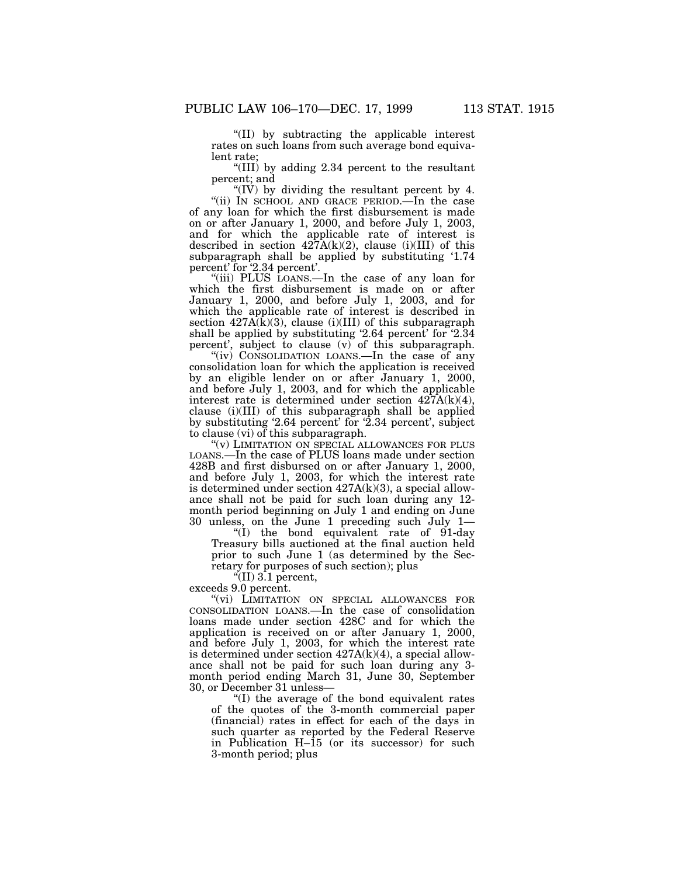''(II) by subtracting the applicable interest rates on such loans from such average bond equivalent rate;

''(III) by adding 2.34 percent to the resultant percent; and

"(IV) by dividing the resultant percent by 4. ''(ii) IN SCHOOL AND GRACE PERIOD.—In the case of any loan for which the first disbursement is made on or after January 1, 2000, and before July 1, 2003, and for which the applicable rate of interest is described in section 427A(k)(2), clause (i)(III) of this subparagraph shall be applied by substituting '1.74 percent' for '2.34 percent'.

"(iii) PLUS LOANS.—In the case of any loan for which the first disbursement is made on or after January 1, 2000, and before July 1, 2003, and for which the applicable rate of interest is described in section  $427\text{\AA}(\text{k})(3)$ , clause (i)(III) of this subparagraph shall be applied by substituting '2.64 percent' for '2.34 percent', subject to clause (v) of this subparagraph.

"(iv) CONSOLIDATION LOANS.—In the case of any consolidation loan for which the application is received by an eligible lender on or after January 1, 2000, and before July 1, 2003, and for which the applicable interest rate is determined under section  $427A(k)(4)$ , clause (i)(III) of this subparagraph shall be applied by substituting '2.64 percent' for '2.34 percent', subject to clause (vi) of this subparagraph.

''(v) LIMITATION ON SPECIAL ALLOWANCES FOR PLUS LOANS.—In the case of PLUS loans made under section 428B and first disbursed on or after January 1, 2000, and before July 1, 2003, for which the interest rate is determined under section 427A(k)(3), a special allowance shall not be paid for such loan during any 12 month period beginning on July 1 and ending on June 30 unless, on the June 1 preceding such July 1—

''(I) the bond equivalent rate of 91-day Treasury bills auctioned at the final auction held prior to such June 1 (as determined by the Secretary for purposes of such section); plus

 $\sqrt[\mu]{(II)}$  3.1 percent,

exceeds 9.0 percent.

"(vi) LIMITATION ON SPECIAL ALLOWANCES FOR CONSOLIDATION LOANS.—In the case of consolidation loans made under section 428C and for which the application is received on or after January 1, 2000, and before July 1, 2003, for which the interest rate is determined under section  $427A(k)(4)$ , a special allowance shall not be paid for such loan during any 3 month period ending March 31, June 30, September 30, or December 31 unless—

''(I) the average of the bond equivalent rates of the quotes of the 3-month commercial paper (financial) rates in effect for each of the days in such quarter as reported by the Federal Reserve in Publication H–15 (or its successor) for such 3-month period; plus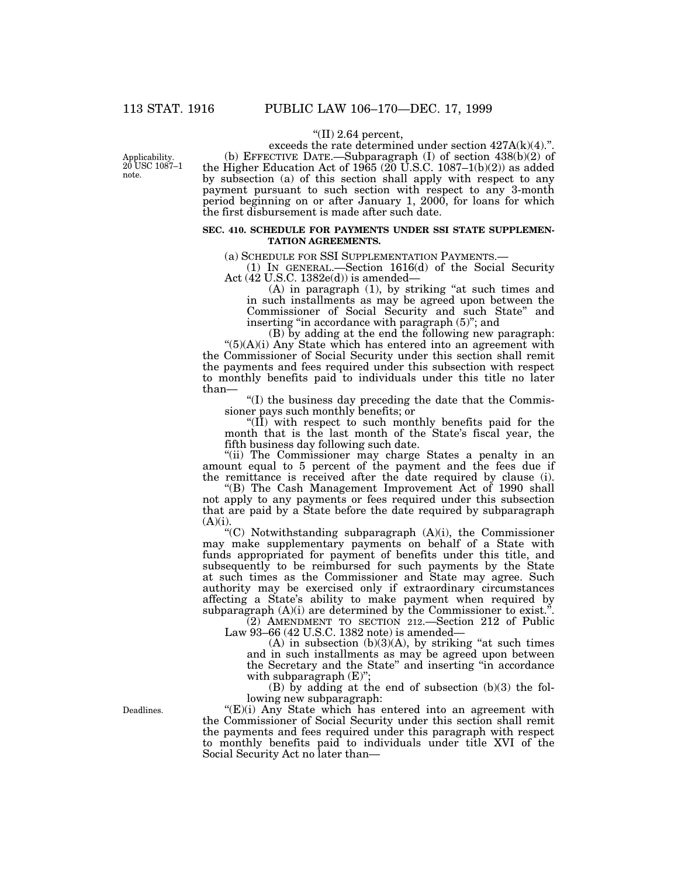"(II)  $2.64$  percent,

Applicability. 20 USC 1087–1 note.

exceeds the rate determined under section  $427A(k)(4)$ ." (b) EFFECTIVE DATE.—Subparagraph (I) of section  $438(b)(2)$  of the Higher Education Act of 1965 (20 U.S.C. 1087–1(b)(2)) as added by subsection (a) of this section shall apply with respect to any payment pursuant to such section with respect to any 3-month period beginning on or after January 1, 2000, for loans for which the first disbursement is made after such date.

## **SEC. 410. SCHEDULE FOR PAYMENTS UNDER SSI STATE SUPPLEMEN-TATION AGREEMENTS.**

(a) SCHEDULE FOR SSI SUPPLEMENTATION PAYMENTS.—

(1) IN GENERAL.—Section 1616(d) of the Social Security Act (42 U.S.C. 1382e(d)) is amended—

(A) in paragraph (1), by striking ''at such times and in such installments as may be agreed upon between the Commissioner of Social Security and such State'' and inserting "in accordance with paragraph (5)"; and

(B) by adding at the end the following new paragraph:  $<sup>(5)</sup>(A)(i)$  Any State which has entered into an agreement with</sup> the Commissioner of Social Security under this section shall remit the payments and fees required under this subsection with respect to monthly benefits paid to individuals under this title no later than—

''(I) the business day preceding the date that the Commissioner pays such monthly benefits; or

''(II) with respect to such monthly benefits paid for the month that is the last month of the State's fiscal year, the fifth business day following such date.

"(ii) The Commissioner may charge States a penalty in an amount equal to 5 percent of the payment and the fees due if the remittance is received after the date required by clause (i).

''(B) The Cash Management Improvement Act of 1990 shall not apply to any payments or fees required under this subsection that are paid by a State before the date required by subparagraph  $(A)(i)$ .

" $(C)$  Notwithstanding subparagraph  $(A)(i)$ , the Commissioner may make supplementary payments on behalf of a State with funds appropriated for payment of benefits under this title, and subsequently to be reimbursed for such payments by the State at such times as the Commissioner and State may agree. Such authority may be exercised only if extraordinary circumstances affecting a State's ability to make payment when required by subparagraph  $(A)(i)$  are determined by the Commissioner to exist.".

(2) AMENDMENT TO SECTION 212.—Section 212 of Public Law 93–66 (42 U.S.C. 1382 note) is amended—

 $(A)$  in subsection  $(b)(3)(A)$ , by striking "at such times and in such installments as may be agreed upon between the Secretary and the State'' and inserting ''in accordance with subparagraph  $(E)$ 

 $(B)$  by adding at the end of subsection  $(b)(3)$  the following new subparagraph:

 $E(E)(i)$  Any State which has entered into an agreement with the Commissioner of Social Security under this section shall remit the payments and fees required under this paragraph with respect to monthly benefits paid to individuals under title XVI of the Social Security Act no later than—

Deadlines.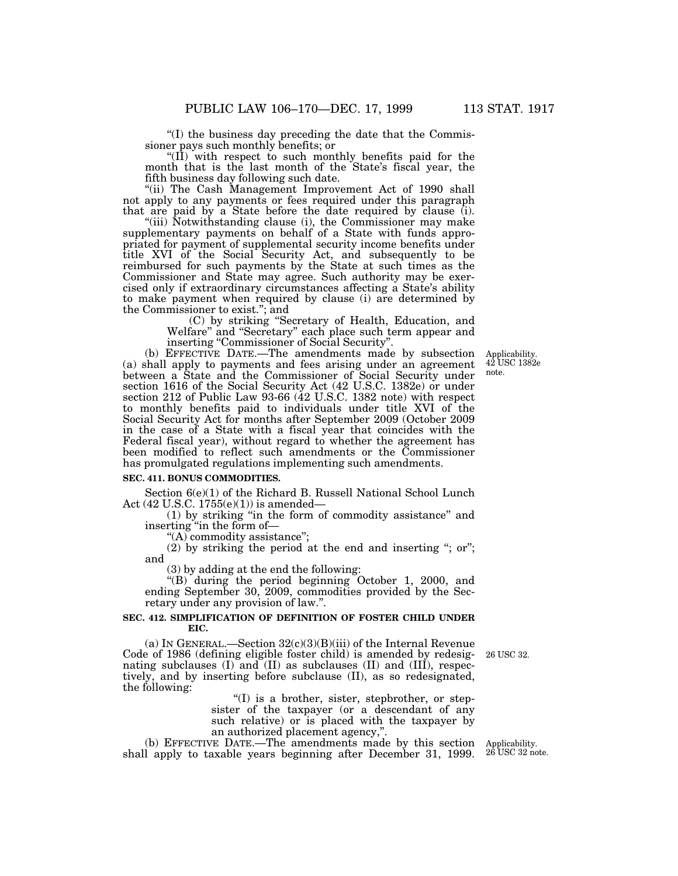''(I) the business day preceding the date that the Commissioner pays such monthly benefits; or

" $(II)$  with respect to such monthly benefits paid for the month that is the last month of the State's fiscal year, the fifth business day following such date.

"(ii) The Cash Management Improvement Act of 1990 shall not apply to any payments or fees required under this paragraph that are paid by a State before the date required by clause (i).

''(iii) Notwithstanding clause (i), the Commissioner may make supplementary payments on behalf of a State with funds appropriated for payment of supplemental security income benefits under title XVI of the Social Security Act, and subsequently to be reimbursed for such payments by the State at such times as the Commissioner and State may agree. Such authority may be exercised only if extraordinary circumstances affecting a State's ability to make payment when required by clause (i) are determined by the Commissioner to exist.''; and

(C) by striking ''Secretary of Health, Education, and Welfare'' and ''Secretary'' each place such term appear and inserting ''Commissioner of Social Security''.

(b) EFFECTIVE DATE.—The amendments made by subsection (a) shall apply to payments and fees arising under an agreement between a State and the Commissioner of Social Security under section 1616 of the Social Security Act (42 U.S.C. 1382e) or under section 212 of Public Law 93-66 (42 U.S.C. 1382 note) with respect to monthly benefits paid to individuals under title XVI of the Social Security Act for months after September 2009 (October 2009 in the case of a State with a fiscal year that coincides with the Federal fiscal year), without regard to whether the agreement has been modified to reflect such amendments or the Commissioner has promulgated regulations implementing such amendments.

## **SEC. 411. BONUS COMMODITIES.**

Section  $6(e)(1)$  of the Richard B. Russell National School Lunch Act (42 U.S.C. 1755(e)(1)) is amended—

(1) by striking ''in the form of commodity assistance'' and inserting ''in the form of—

"(A) commodity assistance";

 $(2)$  by striking the period at the end and inserting "; or"; and

(3) by adding at the end the following:

''(B) during the period beginning October 1, 2000, and ending September 30, 2009, commodities provided by the Secretary under any provision of law.''.

## **SEC. 412. SIMPLIFICATION OF DEFINITION OF FOSTER CHILD UNDER EIC.**

(a) IN GENERAL.—Section  $32(c)(3)(B)(iii)$  of the Internal Revenue Code of 1986 (defining eligible foster child) is amended by redesignating subclauses (I) and (II) as subclauses (II) and (III), respectively, and by inserting before subclause (II), as so redesignated, the following:

 $f(I)$  is a brother, sister, stepbrother, or stepsister of the taxpayer (or a descendant of any such relative) or is placed with the taxpayer by an authorized placement agency,''.

(b) EFFECTIVE DATE.—The amendments made by this section Applicability. shall apply to taxable years beginning after December 31, 1999.

26 USC 32 note.

26 USC 32.

Applicability. 42 USC 1382e note.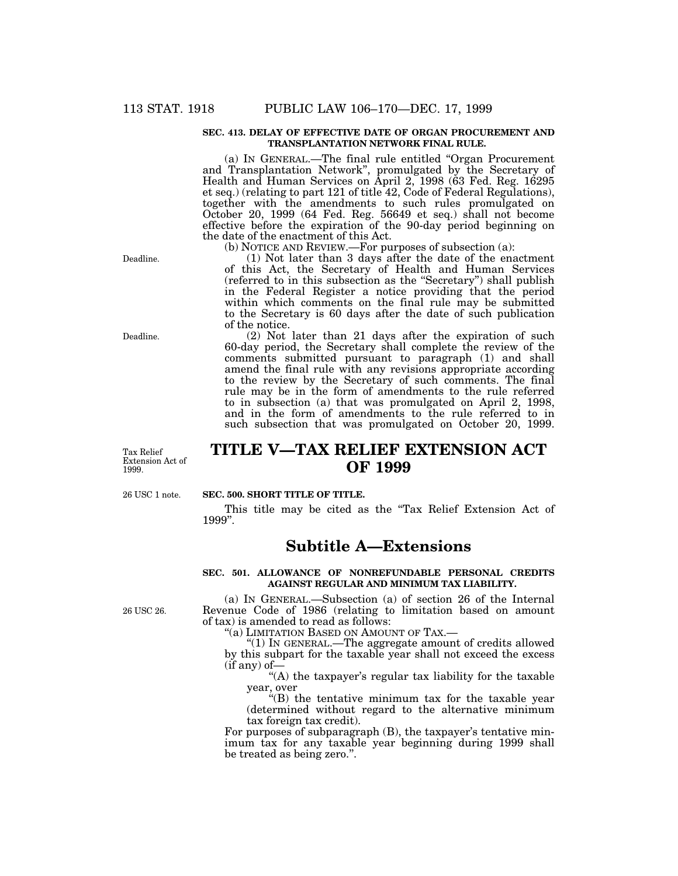### **SEC. 413. DELAY OF EFFECTIVE DATE OF ORGAN PROCUREMENT AND TRANSPLANTATION NETWORK FINAL RULE.**

(a) IN GENERAL.—The final rule entitled ''Organ Procurement and Transplantation Network'', promulgated by the Secretary of Health and Human Services on April 2, 1998 (63 Fed. Reg. 16295 et seq.) (relating to part 121 of title 42, Code of Federal Regulations), together with the amendments to such rules promulgated on October 20, 1999 (64 Fed. Reg. 56649 et seq.) shall not become effective before the expiration of the 90-day period beginning on the date of the enactment of this Act.

(b) NOTICE AND REVIEW.—For purposes of subsection (a):

(1) Not later than 3 days after the date of the enactment of this Act, the Secretary of Health and Human Services (referred to in this subsection as the ''Secretary'') shall publish in the Federal Register a notice providing that the period within which comments on the final rule may be submitted to the Secretary is 60 days after the date of such publication of the notice.

(2) Not later than 21 days after the expiration of such 60-day period, the Secretary shall complete the review of the comments submitted pursuant to paragraph (1) and shall amend the final rule with any revisions appropriate according to the review by the Secretary of such comments. The final rule may be in the form of amendments to the rule referred to in subsection (a) that was promulgated on April 2, 1998, and in the form of amendments to the rule referred to in such subsection that was promulgated on October 20, 1999.

## **TITLE V—TAX RELIEF EXTENSION ACT OF 1999**

## **SEC. 500. SHORT TITLE OF TITLE.**

This title may be cited as the ''Tax Relief Extension Act of 1999''.

## **Subtitle A—Extensions**

## **SEC. 501. ALLOWANCE OF NONREFUNDABLE PERSONAL CREDITS AGAINST REGULAR AND MINIMUM TAX LIABILITY.**

(a) IN GENERAL.—Subsection (a) of section 26 of the Internal Revenue Code of 1986 (relating to limitation based on amount of tax) is amended to read as follows:

''(a) LIMITATION BASED ON AMOUNT OF TAX.—

''(1) IN GENERAL.—The aggregate amount of credits allowed by this subpart for the taxable year shall not exceed the excess (if any) of—

"(A) the taxpayer's regular tax liability for the taxable year, over

''(B) the tentative minimum tax for the taxable year (determined without regard to the alternative minimum tax foreign tax credit).

For purposes of subparagraph (B), the taxpayer's tentative minimum tax for any taxable year beginning during 1999 shall be treated as being zero.''.

Tax Relief Extension Act of 1999.

Deadline.

Deadline.

26 USC 1 note.

26 USC 26.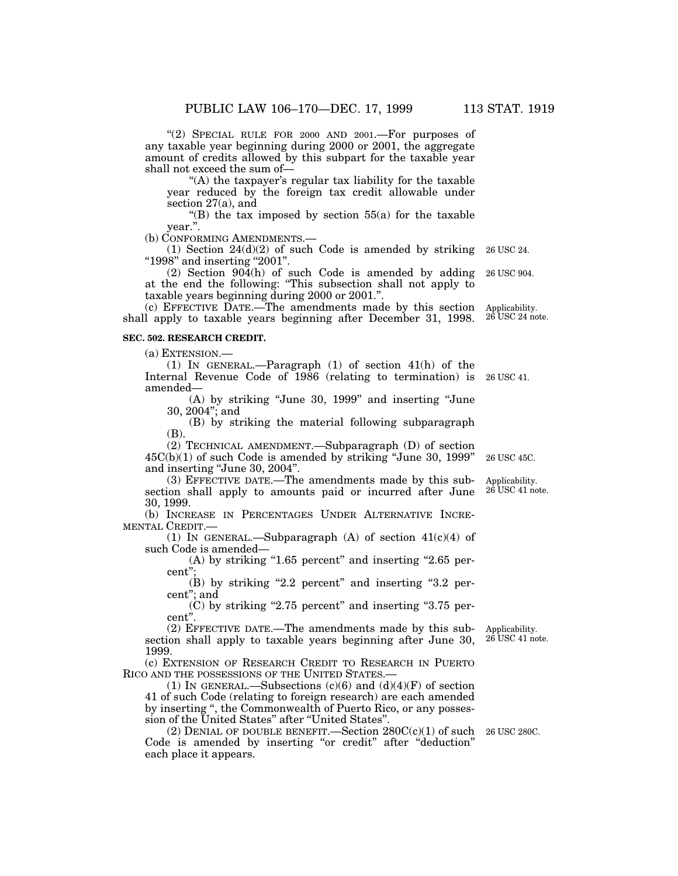"(2) SPECIAL RULE FOR 2000 AND 2001.—For purposes of any taxable year beginning during 2000 or 2001, the aggregate amount of credits allowed by this subpart for the taxable year shall not exceed the sum of—

"(A) the taxpayer's regular tax liability for the taxable year reduced by the foreign tax credit allowable under section 27(a), and

"(B) the tax imposed by section  $55(a)$  for the taxable year.''.

(b) CONFORMING AMENDMENTS.—

(1) Section 24(d)(2) of such Code is amended by striking 26 USC 24. "1998" and inserting "2001".

(2) Section  $904(h)$  of such Code is amended by adding at the end the following: ''This subsection shall not apply to taxable years beginning during 2000 or 2001.''.

(c) EFFECTIVE DATE.—The amendments made by this section shall apply to taxable years beginning after December 31, 1998.

#### **SEC. 502. RESEARCH CREDIT.**

(a) EXTENSION.—

(1) IN GENERAL.—Paragraph (1) of section 41(h) of the Internal Revenue Code of 1986 (relating to termination) is 26 USC 41. amended—

(A) by striking ''June 30, 1999'' and inserting ''June 30, 2004''; and

(B) by striking the material following subparagraph (B).

(2) TECHNICAL AMENDMENT.—Subparagraph (D) of section  $45C(b)(1)$  of such Code is amended by striking "June 30, 1999" and inserting ''June 30, 2004''.

(3) EFFECTIVE DATE.—The amendments made by this subsection shall apply to amounts paid or incurred after June 30, 1999.

(b) INCREASE IN PERCENTAGES UNDER ALTERNATIVE INCRE-MENTAL CREDIT.—

(1) IN GENERAL.—Subparagraph (A) of section  $41(c)(4)$  of such Code is amended—

(A) by striking  $4.65$  percent" and inserting  $42.65$  percent"

 $(B)$  by striking "2.2 percent" and inserting "3.2 percent''; and

 $(C)$  by striking "2.75 percent" and inserting "3.75 percent''.

(2) EFFECTIVE DATE.—The amendments made by this subsection shall apply to taxable years beginning after June 30, 1999.

(c) EXTENSION OF RESEARCH CREDIT TO RESEARCH IN PUERTO RICO AND THE POSSESSIONS OF THE UNITED STATES.—

(1) IN GENERAL.—Subsections  $(c)(6)$  and  $(d)(4)(F)$  of section 41 of such Code (relating to foreign research) are each amended by inserting '', the Commonwealth of Puerto Rico, or any possession of the United States'' after ''United States''.

(2) DENIAL OF DOUBLE BENEFIT. Section  $280C(c)(1)$  of such 26 USC 280C. Code is amended by inserting "or credit" after "deduction" each place it appears.

Applicability. 26 USC 41 note.

26 USC 45C.

Applicability. 26 USC 41 note.

26 USC 904.

Applicability. 26 USC 24 note.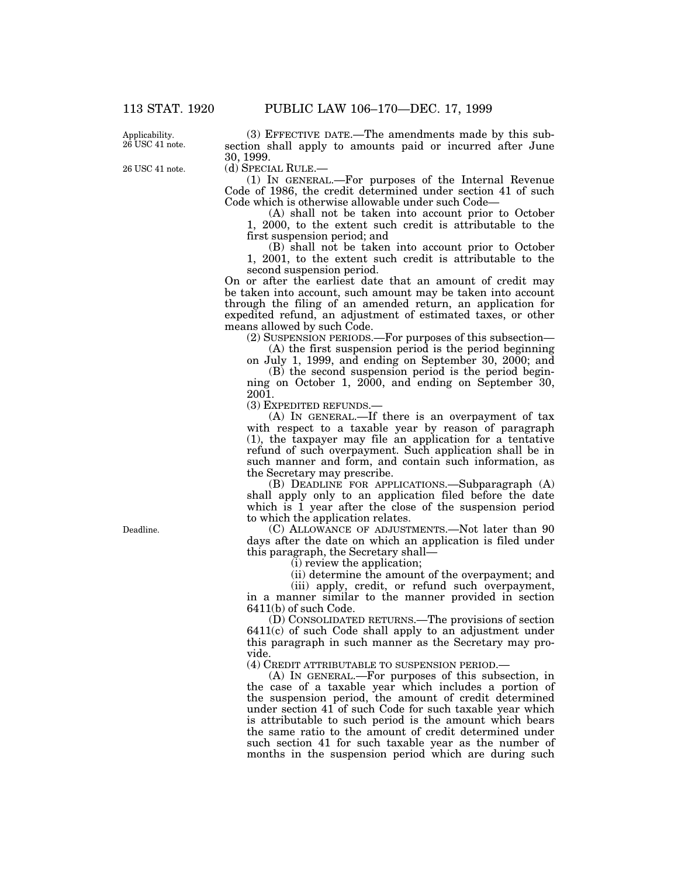Applicability. 26 USC 41 note.

26 USC 41 note.

(3) EFFECTIVE DATE.—The amendments made by this subsection shall apply to amounts paid or incurred after June 30, 1999.

(d) SPECIAL RULE.—

(1) IN GENERAL.—For purposes of the Internal Revenue Code of 1986, the credit determined under section 41 of such Code which is otherwise allowable under such Code—

(A) shall not be taken into account prior to October 1, 2000, to the extent such credit is attributable to the first suspension period; and

(B) shall not be taken into account prior to October 1, 2001, to the extent such credit is attributable to the second suspension period.

On or after the earliest date that an amount of credit may be taken into account, such amount may be taken into account through the filing of an amended return, an application for expedited refund, an adjustment of estimated taxes, or other means allowed by such Code.

(2) SUSPENSION PERIODS.—For purposes of this subsection—

(A) the first suspension period is the period beginning on July 1, 1999, and ending on September 30, 2000; and

(B) the second suspension period is the period beginning on October 1, 2000, and ending on September 30, 2001.

(3) EXPEDITED REFUNDS.—

(A) IN GENERAL.—If there is an overpayment of tax with respect to a taxable year by reason of paragraph (1), the taxpayer may file an application for a tentative refund of such overpayment. Such application shall be in such manner and form, and contain such information, as the Secretary may prescribe.

(B) DEADLINE FOR APPLICATIONS.—Subparagraph (A) shall apply only to an application filed before the date which is 1 year after the close of the suspension period to which the application relates.

(C) ALLOWANCE OF ADJUSTMENTS.—Not later than 90 days after the date on which an application is filed under this paragraph, the Secretary shall—

(i) review the application;

(ii) determine the amount of the overpayment; and

(iii) apply, credit, or refund such overpayment, in a manner similar to the manner provided in section 6411(b) of such Code.

(D) CONSOLIDATED RETURNS.—The provisions of section 6411(c) of such Code shall apply to an adjustment under this paragraph in such manner as the Secretary may provide.

(4) CREDIT ATTRIBUTABLE TO SUSPENSION PERIOD.—

(A) IN GENERAL.—For purposes of this subsection, in the case of a taxable year which includes a portion of the suspension period, the amount of credit determined under section 41 of such Code for such taxable year which is attributable to such period is the amount which bears the same ratio to the amount of credit determined under such section 41 for such taxable year as the number of months in the suspension period which are during such

Deadline.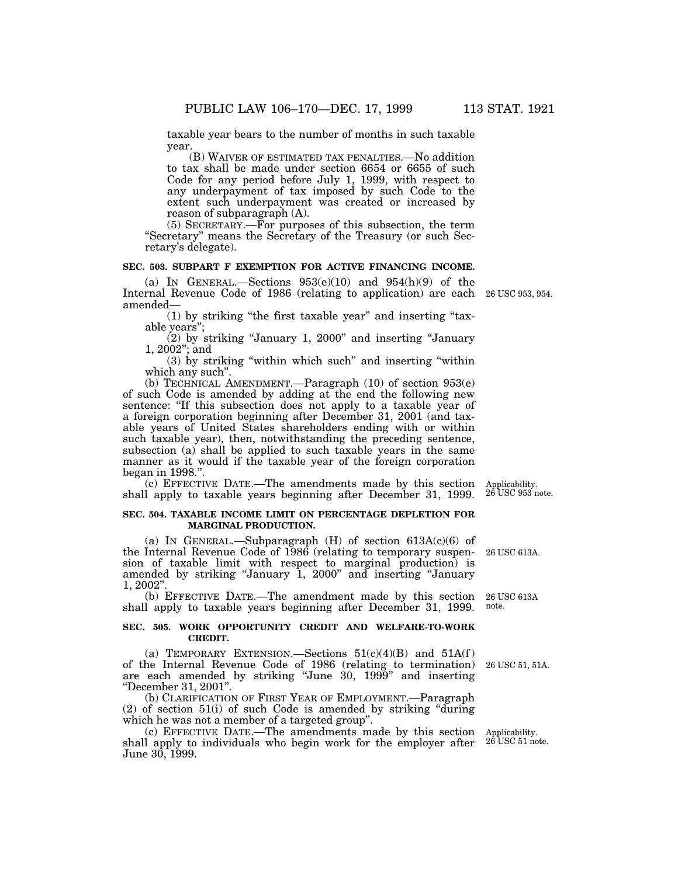taxable year bears to the number of months in such taxable year.

(B) WAIVER OF ESTIMATED TAX PENALTIES.—No addition to tax shall be made under section 6654 or 6655 of such Code for any period before July 1, 1999, with respect to any underpayment of tax imposed by such Code to the extent such underpayment was created or increased by reason of subparagraph (A).

(5) SECRETARY.—For purposes of this subsection, the term "Secretary" means the Secretary of the Treasury (or such Secretary's delegate).

## **SEC. 503. SUBPART F EXEMPTION FOR ACTIVE FINANCING INCOME.**

(a) IN GENERAL.—Sections  $953(e)(10)$  and  $954(h)(9)$  of the Internal Revenue Code of 1986 (relating to application) are each 26 USC 953, 954. amended—

(1) by striking ''the first taxable year'' and inserting ''taxable years'';

 $(2)$  by striking "January 1, 2000" and inserting "January" 1, 2002''; and

(3) by striking ''within which such'' and inserting ''within which any such''.

(b) TECHNICAL AMENDMENT.—Paragraph (10) of section 953(e) of such Code is amended by adding at the end the following new sentence: "If this subsection does not apply to a taxable year of a foreign corporation beginning after December 31, 2001 (and taxable years of United States shareholders ending with or within such taxable year), then, notwithstanding the preceding sentence, subsection (a) shall be applied to such taxable years in the same manner as it would if the taxable year of the foreign corporation began in 1998.''.

(c) EFFECTIVE DATE.—The amendments made by this section Applicability. shall apply to taxable years beginning after December 31, 1999.

#### **SEC. 504. TAXABLE INCOME LIMIT ON PERCENTAGE DEPLETION FOR MARGINAL PRODUCTION.**

(a) IN GENERAL.—Subparagraph  $(H)$  of section  $613A(c)(6)$  of the Internal Revenue Code of 1986 (relating to temporary suspension of taxable limit with respect to marginal production) is amended by striking ''January 1, 2000'' and inserting ''January 1, 2002''.

(b) EFFECTIVE DATE.—The amendment made by this section shall apply to taxable years beginning after December 31, 1999.

## **SEC. 505. WORK OPPORTUNITY CREDIT AND WELFARE-TO-WORK CREDIT.**

(a) TEMPORARY EXTENSION.—Sections  $51(c)(4)(B)$  and  $51A(f)$ of the Internal Revenue Code of 1986 (relating to termination) are each amended by striking ''June 30, 1999'' and inserting ''December 31, 2001''.

(b) CLARIFICATION OF FIRST YEAR OF EMPLOYMENT.—Paragraph  $(2)$  of section 51(i) of such Code is amended by striking "during" which he was not a member of a targeted group".

(c) EFFECTIVE DATE.—The amendments made by this section shall apply to individuals who begin work for the employer after June 30, 1999.

26 USC 953 note.

26 USC 613A.

26 USC 613A note.

26 USC 51, 51A.

Applicability. 26 USC 51 note.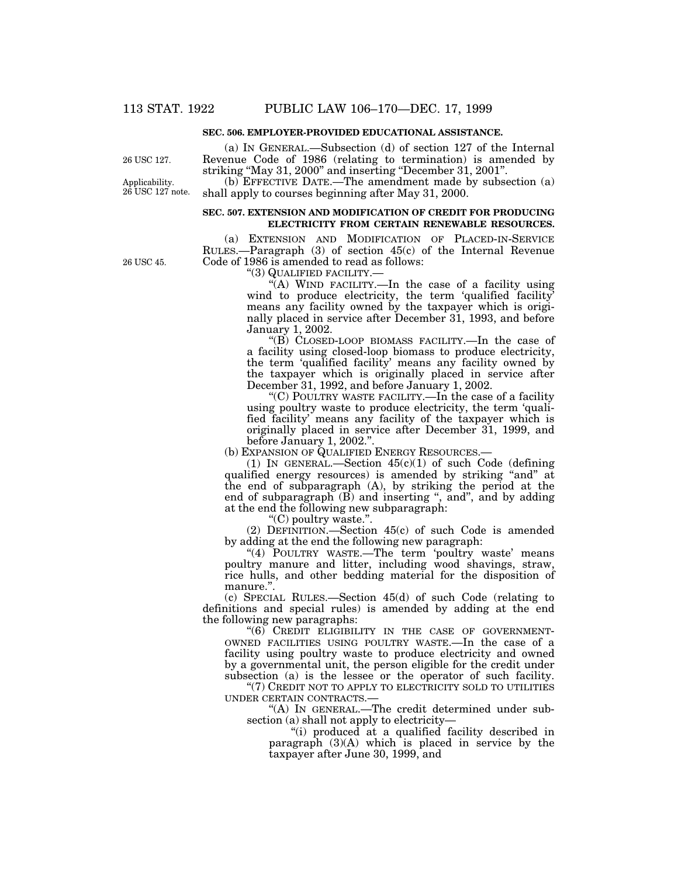## **SEC. 506. EMPLOYER-PROVIDED EDUCATIONAL ASSISTANCE.**

(a) IN GENERAL.—Subsection (d) of section 127 of the Internal Revenue Code of 1986 (relating to termination) is amended by striking ''May 31, 2000'' and inserting ''December 31, 2001''.

(b) EFFECTIVE DATE.—The amendment made by subsection (a) shall apply to courses beginning after May 31, 2000. 26 USC 127 note.

## **SEC. 507. EXTENSION AND MODIFICATION OF CREDIT FOR PRODUCING ELECTRICITY FROM CERTAIN RENEWABLE RESOURCES.**

(a) EXTENSION AND MODIFICATION OF PLACED-IN-SERVICE RULES.—Paragraph (3) of section 45(c) of the Internal Revenue Code of 1986 is amended to read as follows:

26 USC 45.

Applicability.

26 USC 127.

''(3) QUALIFIED FACILITY.—

"(A) WIND FACILITY.—In the case of a facility using wind to produce electricity, the term 'qualified facility' means any facility owned by the taxpayer which is originally placed in service after December 31, 1993, and before January 1, 2002.

''(B) CLOSED-LOOP BIOMASS FACILITY.—In the case of a facility using closed-loop biomass to produce electricity, the term 'qualified facility' means any facility owned by the taxpayer which is originally placed in service after December 31, 1992, and before January 1, 2002.

''(C) POULTRY WASTE FACILITY.—In the case of a facility using poultry waste to produce electricity, the term 'qualified facility' means any facility of the taxpayer which is originally placed in service after December 31, 1999, and before January 1, 2002.''.

(b) EXPANSION OF QUALIFIED ENERGY RESOURCES.—

(1) IN GENERAL.—Section  $45(c)(1)$  of such Code (defining qualified energy resources) is amended by striking "and" at the end of subparagraph (A), by striking the period at the end of subparagraph (B) and inserting ", and", and by adding at the end the following new subparagraph:

''(C) poultry waste.''.

(2) DEFINITION.—Section 45(c) of such Code is amended by adding at the end the following new paragraph:

"(4) POULTRY WASTE.—The term 'poultry waste' means poultry manure and litter, including wood shavings, straw, rice hulls, and other bedding material for the disposition of manure.''.

(c) SPECIAL RULES.—Section 45(d) of such Code (relating to definitions and special rules) is amended by adding at the end the following new paragraphs:

"(6) CREDIT ELIGIBILITY IN THE CASE OF GOVERNMENT-OWNED FACILITIES USING POULTRY WASTE.—In the case of a facility using poultry waste to produce electricity and owned by a governmental unit, the person eligible for the credit under subsection (a) is the lessee or the operator of such facility.

"(7) CREDIT NOT TO APPLY TO ELECTRICITY SOLD TO UTILITIES UNDER CERTAIN CONTRACTS.—

''(A) IN GENERAL.—The credit determined under subsection (a) shall not apply to electricity—

''(i) produced at a qualified facility described in paragraph (3)(A) which is placed in service by the taxpayer after June 30, 1999, and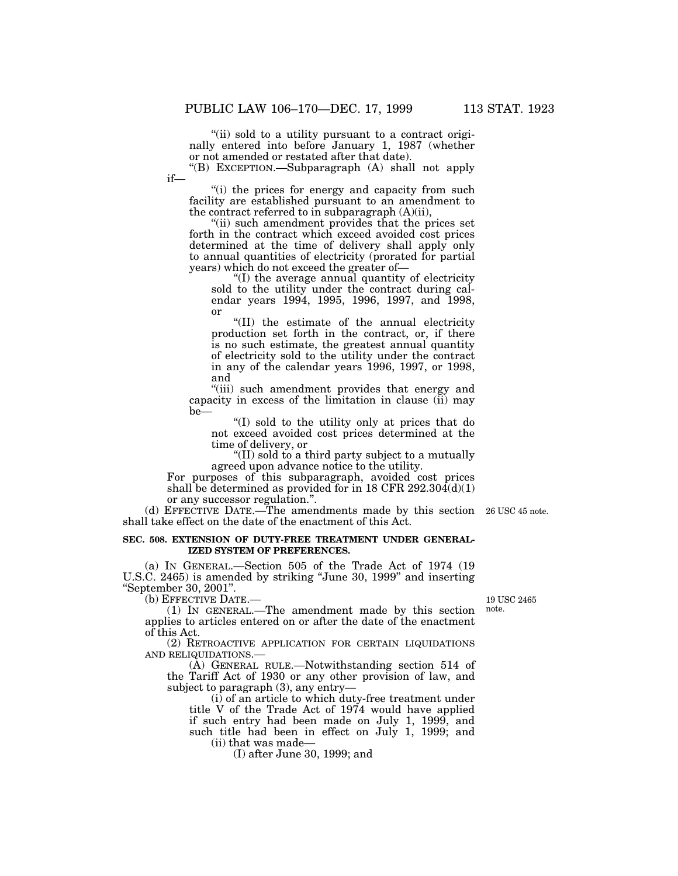"(ii) sold to a utility pursuant to a contract originally entered into before January 1, 1987 (whether or not amended or restated after that date).

''(B) EXCEPTION.—Subparagraph (A) shall not apply if—

"(i) the prices for energy and capacity from such facility are established pursuant to an amendment to the contract referred to in subparagraph (A)(ii),

"(ii) such amendment provides that the prices set forth in the contract which exceed avoided cost prices determined at the time of delivery shall apply only to annual quantities of electricity (prorated for partial years) which do not exceed the greater of—

''(I) the average annual quantity of electricity sold to the utility under the contract during calendar years 1994, 1995, 1996, 1997, and 1998, or

''(II) the estimate of the annual electricity production set forth in the contract, or, if there is no such estimate, the greatest annual quantity of electricity sold to the utility under the contract in any of the calendar years 1996, 1997, or 1998, and

"(iii) such amendment provides that energy and capacity in excess of the limitation in clause (ii) may be—

''(I) sold to the utility only at prices that do not exceed avoided cost prices determined at the time of delivery, or

''(II) sold to a third party subject to a mutually agreed upon advance notice to the utility.

For purposes of this subparagraph, avoided cost prices shall be determined as provided for in 18 CFR 292.304(d)(1) or any successor regulation.''.

(d) EFFECTIVE DATE.—The amendments made by this section 26 USC 45 note. shall take effect on the date of the enactment of this Act.

## **SEC. 508. EXTENSION OF DUTY-FREE TREATMENT UNDER GENERAL-IZED SYSTEM OF PREFERENCES.**

(a) IN GENERAL.—Section 505 of the Trade Act of 1974 (19 U.S.C. 2465) is amended by striking ''June 30, 1999'' and inserting ''September 30, 2001''.

(b) EFFECTIVE DATE.—

(1) IN GENERAL.—The amendment made by this section applies to articles entered on or after the date of the enactment of this Act.

(2) RETROACTIVE APPLICATION FOR CERTAIN LIQUIDATIONS AND RELIQUIDATIONS.—

(A) GENERAL RULE.—Notwithstanding section 514 of the Tariff Act of 1930 or any other provision of law, and subject to paragraph (3), any entry—

(i) of an article to which duty-free treatment under title V of the Trade Act of 1974 would have applied if such entry had been made on July 1, 1999, and such title had been in effect on July 1, 1999; and (ii) that was made—

(I) after June 30, 1999; and

19 USC 2465 note.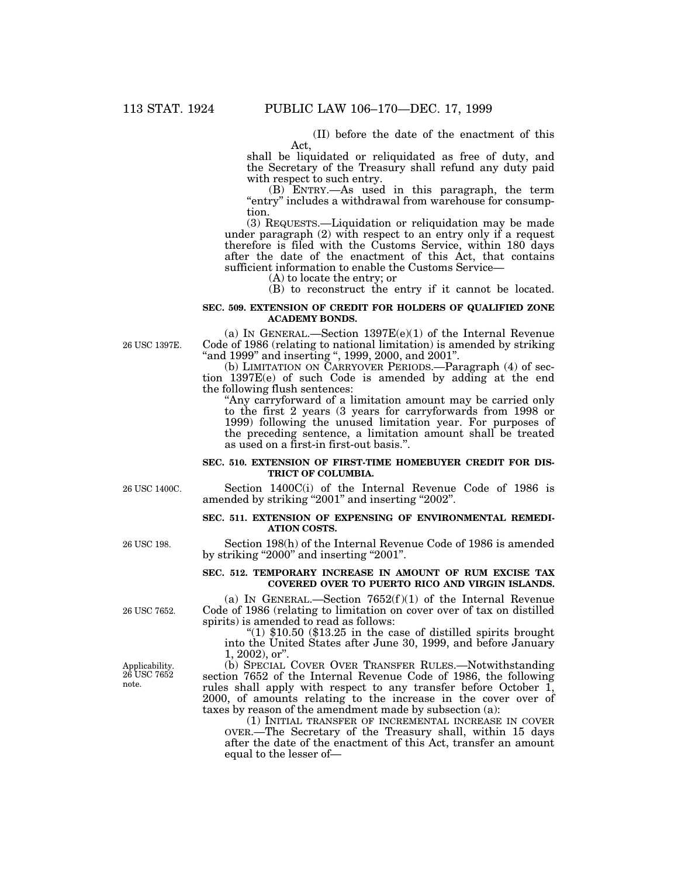(II) before the date of the enactment of this

Act, shall be liquidated or reliquidated as free of duty, and the Secretary of the Treasury shall refund any duty paid with respect to such entry.

(B) ENTRY.—As used in this paragraph, the term "entry" includes a withdrawal from warehouse for consumption.

(3) REQUESTS.—Liquidation or reliquidation may be made under paragraph (2) with respect to an entry only if a request therefore is filed with the Customs Service, within 180 days after the date of the enactment of this Act, that contains sufficient information to enable the Customs Service—

(A) to locate the entry; or

(B) to reconstruct the entry if it cannot be located.

#### **SEC. 509. EXTENSION OF CREDIT FOR HOLDERS OF QUALIFIED ZONE ACADEMY BONDS.**

(a) IN GENERAL.—Section 1397E(e)(1) of the Internal Revenue Code of 1986 (relating to national limitation) is amended by striking ''and 1999'' and inserting '', 1999, 2000, and 2001''.

(b) LIMITATION ON CARRYOVER PERIODS.—Paragraph (4) of section 1397E(e) of such Code is amended by adding at the end the following flush sentences:

"Any carryforward of a limitation amount may be carried only to the first 2 years (3 years for carryforwards from 1998 or 1999) following the unused limitation year. For purposes of the preceding sentence, a limitation amount shall be treated as used on a first-in first-out basis.''.

## **SEC. 510. EXTENSION OF FIRST-TIME HOMEBUYER CREDIT FOR DIS-TRICT OF COLUMBIA.**

Section 1400C(i) of the Internal Revenue Code of 1986 is amended by striking ''2001'' and inserting ''2002''. 26 USC 1400C.

### **SEC. 511. EXTENSION OF EXPENSING OF ENVIRONMENTAL REMEDI-ATION COSTS.**

Section 198(h) of the Internal Revenue Code of 1986 is amended by striking "2000" and inserting "2001".

## **SEC. 512. TEMPORARY INCREASE IN AMOUNT OF RUM EXCISE TAX COVERED OVER TO PUERTO RICO AND VIRGIN ISLANDS.**

(a) IN GENERAL.—Section  $7652(f)(1)$  of the Internal Revenue Code of 1986 (relating to limitation on cover over of tax on distilled spirits) is amended to read as follows:

" $(1)$  \$10.50 (\$13.25 in the case of distilled spirits brought into the United States after June 30, 1999, and before January 1, 2002), or''.

(b) SPECIAL COVER OVER TRANSFER RULES.—Notwithstanding section 7652 of the Internal Revenue Code of 1986, the following rules shall apply with respect to any transfer before October 1, 2000, of amounts relating to the increase in the cover over of taxes by reason of the amendment made by subsection (a):

(1) INITIAL TRANSFER OF INCREMENTAL INCREASE IN COVER OVER.—The Secretary of the Treasury shall, within 15 days after the date of the enactment of this Act, transfer an amount equal to the lesser of—

26 USC 1397E.

26 USC 198.

26 USC 7652.

Applicability. 26 USC 7652 note.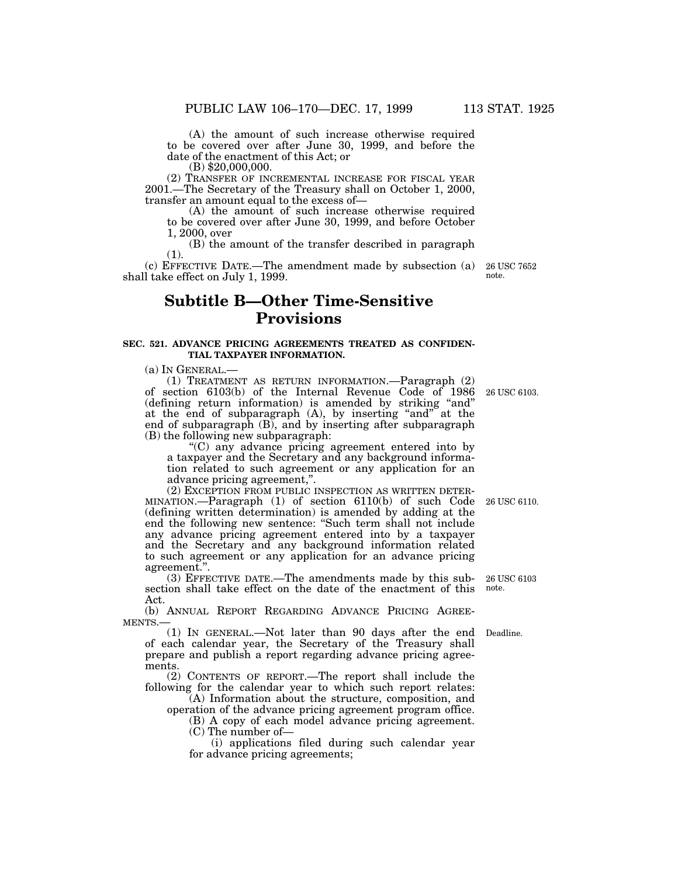(A) the amount of such increase otherwise required to be covered over after June 30, 1999, and before the date of the enactment of this Act; or (B) \$20,000,000.

(2) TRANSFER OF INCREMENTAL INCREASE FOR FISCAL YEAR 2001.—The Secretary of the Treasury shall on October 1, 2000, transfer an amount equal to the excess of—

(A) the amount of such increase otherwise required to be covered over after June 30, 1999, and before October 1, 2000, over

(B) the amount of the transfer described in paragraph (1).

(c) EFFECTIVE DATE.—The amendment made by subsection (a) shall take effect on July 1, 1999.

# **Subtitle B—Other Time-Sensitive Provisions**

#### **SEC. 521. ADVANCE PRICING AGREEMENTS TREATED AS CONFIDEN-TIAL TAXPAYER INFORMATION.**

(a) IN GENERAL.— (1) TREATMENT AS RETURN INFORMATION.—Paragraph (2) of section 6103(b) of the Internal Revenue Code of 1986 (defining return information) is amended by striking ''and'' at the end of subparagraph (A), by inserting ''and'' at the end of subparagraph (B), and by inserting after subparagraph (B) the following new subparagraph:

''(C) any advance pricing agreement entered into by a taxpayer and the Secretary and any background information related to such agreement or any application for an advance pricing agreement,''.

(2) EXCEPTION FROM PUBLIC INSPECTION AS WRITTEN DETER- MINATION.—Paragraph (1) of section 6110(b) of such Code (defining written determination) is amended by adding at the end the following new sentence: ''Such term shall not include any advance pricing agreement entered into by a taxpayer and the Secretary and any background information related to such agreement or any application for an advance pricing agreement.''.

(3) EFFECTIVE DATE.—The amendments made by this subsection shall take effect on the date of the enactment of this Act.

(b) ANNUAL REPORT REGARDING ADVANCE PRICING AGREE- MENTS.—

(1) IN GENERAL.—Not later than 90 days after the end Deadline. of each calendar year, the Secretary of the Treasury shall prepare and publish a report regarding advance pricing agreements.

(2) CONTENTS OF REPORT.—The report shall include the following for the calendar year to which such report relates:

(A) Information about the structure, composition, and operation of the advance pricing agreement program office.

(B) A copy of each model advance pricing agreement. (C) The number of—

(i) applications filed during such calendar year for advance pricing agreements;

26 USC 6110.

26 USC 6103 note.

26 USC 6103.

26 USC 7652 note.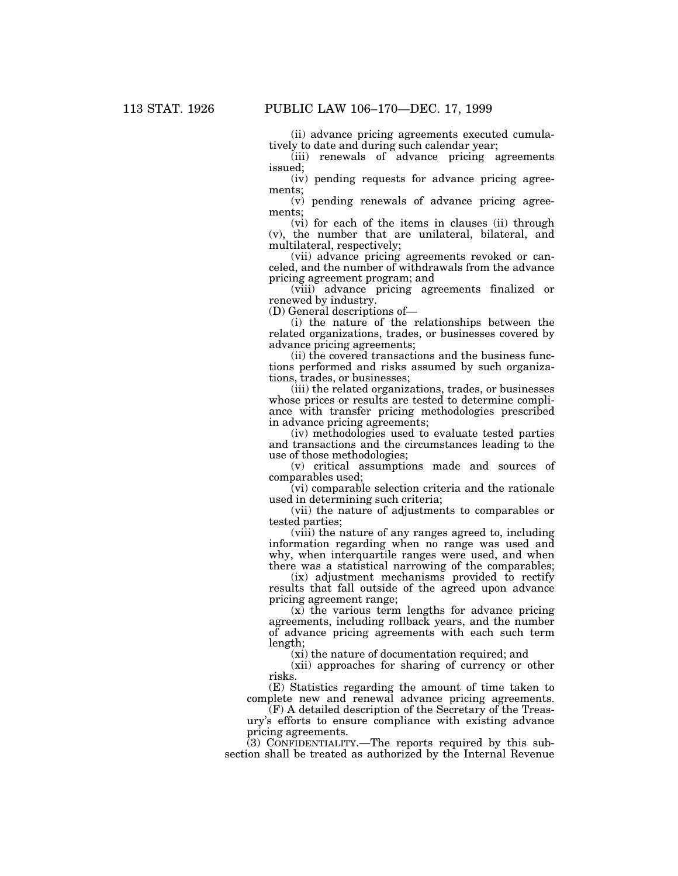(ii) advance pricing agreements executed cumulatively to date and during such calendar year;

(iii) renewals of advance pricing agreements issued;

(iv) pending requests for advance pricing agreements;

(v) pending renewals of advance pricing agreements;

(vi) for each of the items in clauses (ii) through (v), the number that are unilateral, bilateral, and multilateral, respectively;

(vii) advance pricing agreements revoked or canceled, and the number of withdrawals from the advance pricing agreement program; and

(viii) advance pricing agreements finalized or renewed by industry.

(D) General descriptions of—

(i) the nature of the relationships between the related organizations, trades, or businesses covered by advance pricing agreements;

(ii) the covered transactions and the business functions performed and risks assumed by such organizations, trades, or businesses;

(iii) the related organizations, trades, or businesses whose prices or results are tested to determine compliance with transfer pricing methodologies prescribed in advance pricing agreements;

(iv) methodologies used to evaluate tested parties and transactions and the circumstances leading to the use of those methodologies;

(v) critical assumptions made and sources of comparables used;

(vi) comparable selection criteria and the rationale used in determining such criteria;

(vii) the nature of adjustments to comparables or tested parties;

(viii) the nature of any ranges agreed to, including information regarding when no range was used and why, when interquartile ranges were used, and when there was a statistical narrowing of the comparables;

(ix) adjustment mechanisms provided to rectify results that fall outside of the agreed upon advance pricing agreement range;

(x) the various term lengths for advance pricing agreements, including rollback years, and the number of advance pricing agreements with each such term length;

(xi) the nature of documentation required; and

(xii) approaches for sharing of currency or other risks.

(E) Statistics regarding the amount of time taken to complete new and renewal advance pricing agreements.

(F) A detailed description of the Secretary of the Treasury's efforts to ensure compliance with existing advance pricing agreements.

(3) CONFIDENTIALITY.—The reports required by this subsection shall be treated as authorized by the Internal Revenue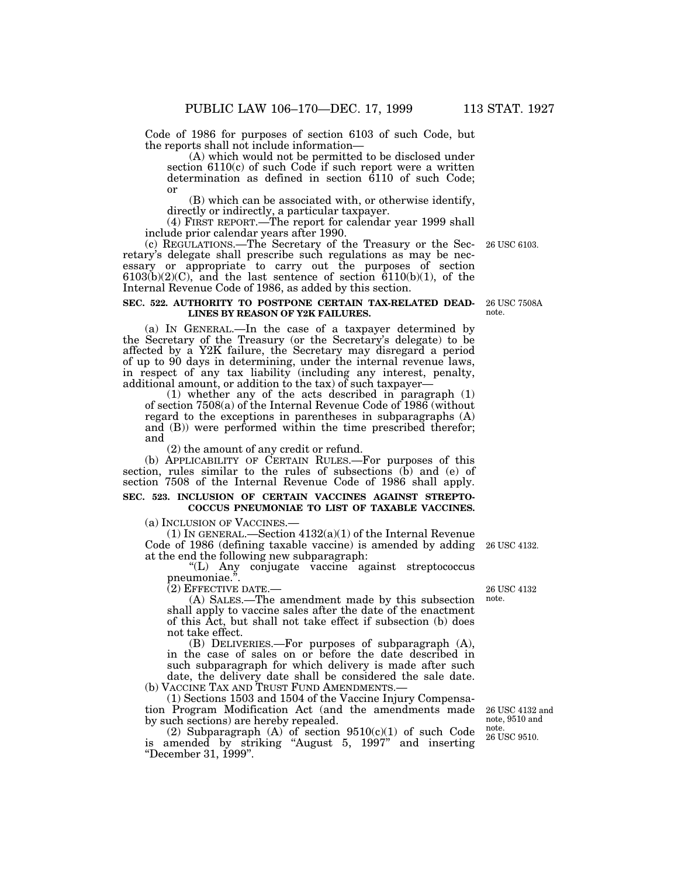Code of 1986 for purposes of section 6103 of such Code, but the reports shall not include information—

(A) which would not be permitted to be disclosed under section  $6110(c)$  of such Code if such report were a written determination as defined in section 6110 of such Code; or

(B) which can be associated with, or otherwise identify, directly or indirectly, a particular taxpayer.

(4) FIRST REPORT.—The report for calendar year 1999 shall include prior calendar years after 1990.

(c) REGULATIONS.—The Secretary of the Treasury or the Secretary's delegate shall prescribe such regulations as may be necessary or appropriate to carry out the purposes of section  $6103(b)(2)(C)$ , and the last sentence of section  $6110(b)(1)$ , of the Internal Revenue Code of 1986, as added by this section.

## **SEC. 522. AUTHORITY TO POSTPONE CERTAIN TAX-RELATED DEAD-LINES BY REASON OF Y2K FAILURES.**

(a) IN GENERAL.—In the case of a taxpayer determined by the Secretary of the Treasury (or the Secretary's delegate) to be affected by a Y2K failure, the Secretary may disregard a period of up to 90 days in determining, under the internal revenue laws, in respect of any tax liability (including any interest, penalty, additional amount, or addition to the tax) of such taxpayer-

(1) whether any of the acts described in paragraph (1) of section 7508(a) of the Internal Revenue Code of 1986 (without regard to the exceptions in parentheses in subparagraphs (A) and (B)) were performed within the time prescribed therefor; and

(2) the amount of any credit or refund.

(b) APPLICABILITY OF CERTAIN RULES.—For purposes of this section, rules similar to the rules of subsections  $(b)$  and  $(e)$  of section 7508 of the Internal Revenue Code of 1986 shall apply. **SEC. 523. INCLUSION OF CERTAIN VACCINES AGAINST STREPTO-**

## **COCCUS PNEUMONIAE TO LIST OF TAXABLE VACCINES.**

(a) INCLUSION OF VACCINES.—<br>(1) IN GENERAL.—Section  $4132(a)(1)$  of the Internal Revenue Code of 1986 (defining taxable vaccine) is amended by adding at the end the following new subparagraph:

''(L) Any conjugate vaccine against streptococcus pneumoniae.".<br>(2) EFFECTIVE DATE.-

(A) SALES.—The amendment made by this subsection shall apply to vaccine sales after the date of the enactment of this Act, but shall not take effect if subsection (b) does not take effect.

(B) DELIVERIES.—For purposes of subparagraph (A), in the case of sales on or before the date described in such subparagraph for which delivery is made after such date, the delivery date shall be considered the sale date.

(b) VACCINE TAX AND TRUST FUND AMENDMENTS.

(1) Sections 1503 and 1504 of the Vaccine Injury Compensation Program Modification Act (and the amendments made by such sections) are hereby repealed.

(2) Subparagraph (A) of section  $9510(c)(1)$  of such Code is amended by striking ''August 5, 1997'' and inserting ''December 31, 1999''.

26 USC 9510. 26 USC 4132 and note, 9510 and note.

26 USC 4132

26 USC 4132.

note.

26 USC 7508A note.

26 USC 6103.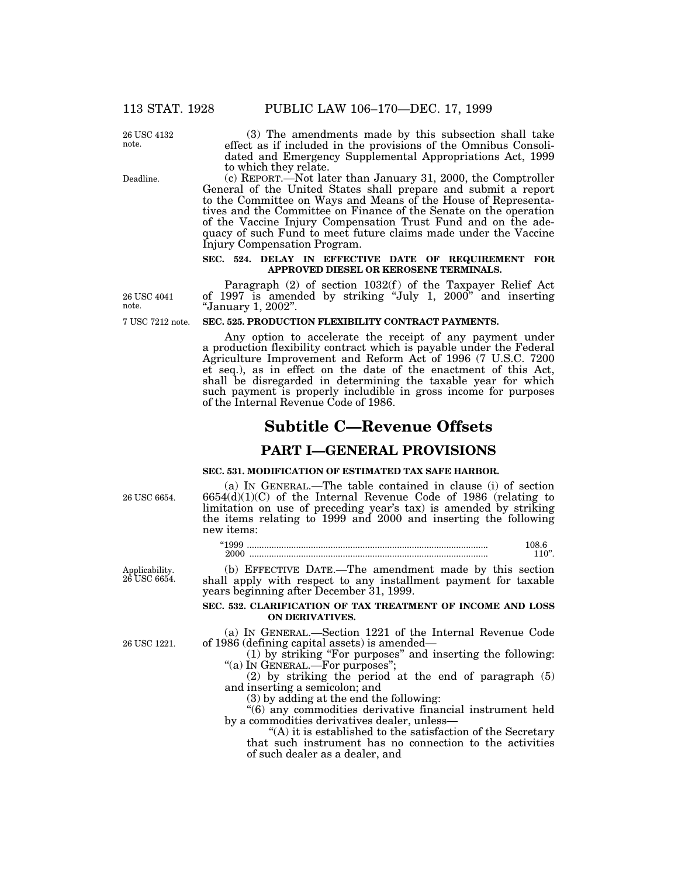26 USC 4132 note.

(3) The amendments made by this subsection shall take effect as if included in the provisions of the Omnibus Consolidated and Emergency Supplemental Appropriations Act, 1999 to which they relate.

(c) REPORT.—Not later than January 31, 2000, the Comptroller General of the United States shall prepare and submit a report to the Committee on Ways and Means of the House of Representatives and the Committee on Finance of the Senate on the operation of the Vaccine Injury Compensation Trust Fund and on the adequacy of such Fund to meet future claims made under the Vaccine Injury Compensation Program.

### **SEC. 524. DELAY IN EFFECTIVE DATE OF REQUIREMENT FOR APPROVED DIESEL OR KEROSENE TERMINALS.**

Paragraph  $(2)$  of section  $1032(f)$  of the Taxpayer Relief Act of 1997 is amended by striking ''July 1, 2000'' and inserting ''January 1, 2002''.

## **SEC. 525. PRODUCTION FLEXIBILITY CONTRACT PAYMENTS.**

Any option to accelerate the receipt of any payment under a production flexibility contract which is payable under the Federal Agriculture Improvement and Reform Act of 1996 (7 U.S.C. 7200 et seq.), as in effect on the date of the enactment of this Act, shall be disregarded in determining the taxable year for which such payment is properly includible in gross income for purposes of the Internal Revenue Code of 1986.

## **Subtitle C—Revenue Offsets**

## **PART I—GENERAL PROVISIONS**

## **SEC. 531. MODIFICATION OF ESTIMATED TAX SAFE HARBOR.**

26 USC 6654.

(a) IN GENERAL.—The table contained in clause (i) of section 6654(d)(1)(C) of the Internal Revenue Code of 1986 (relating to limitation on use of preceding year's tax) is amended by striking the items relating to 1999 and 2000 and inserting the following new items:

''1999 .................................................................................................. 108.6 2000 ................................................................................................. 110''.

(b) EFFECTIVE DATE.—The amendment made by this section shall apply with respect to any installment payment for taxable years beginning after December 31, 1999. Applicability. 26 USC 6654.

## **SEC. 532. CLARIFICATION OF TAX TREATMENT OF INCOME AND LOSS ON DERIVATIVES.**

(a) IN GENERAL.—Section 1221 of the Internal Revenue Code of 1986 (defining capital assets) is amended—

(1) by striking ''For purposes'' and inserting the following: ''(a) IN GENERAL.—For purposes'';

(2) by striking the period at the end of paragraph (5) and inserting a semicolon; and

(3) by adding at the end the following:

''(6) any commodities derivative financial instrument held by a commodities derivatives dealer, unless—

''(A) it is established to the satisfaction of the Secretary that such instrument has no connection to the activities of such dealer as a dealer, and

26 USC 1221.

Deadline.

7 USC 7212 note.

26 USC 4041 note.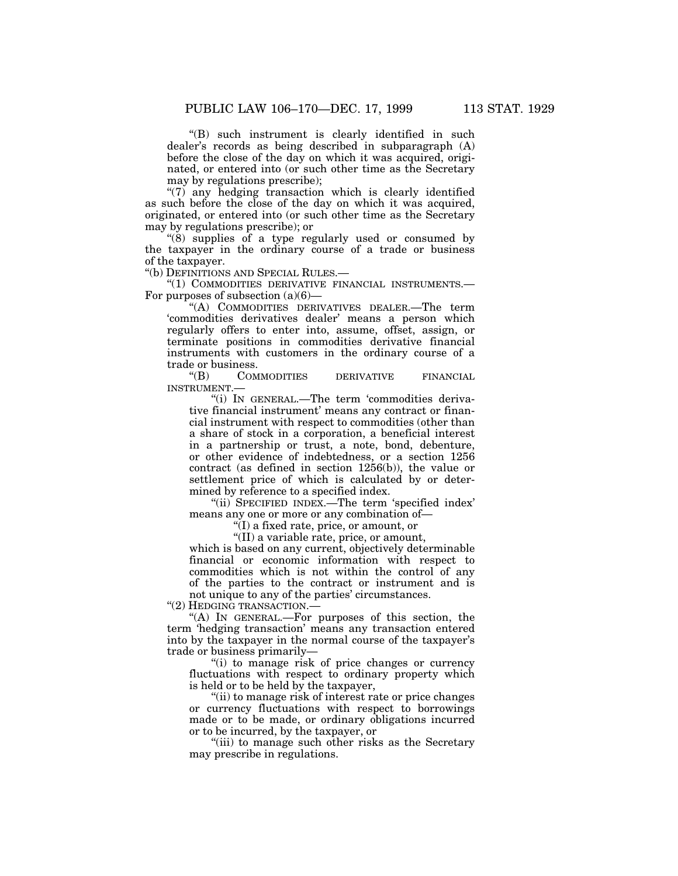''(B) such instrument is clearly identified in such dealer's records as being described in subparagraph (A) before the close of the day on which it was acquired, originated, or entered into (or such other time as the Secretary may by regulations prescribe);

 $''(7)$  any hedging transaction which is clearly identified as such before the close of the day on which it was acquired, originated, or entered into (or such other time as the Secretary may by regulations prescribe); or

"(8) supplies of a type regularly used or consumed by the taxpayer in the ordinary course of a trade or business of the taxpayer.

''(b) DEFINITIONS AND SPECIAL RULES.—

''(1) COMMODITIES DERIVATIVE FINANCIAL INSTRUMENTS.— For purposes of subsection  $(a)(6)$ —

''(A) COMMODITIES DERIVATIVES DEALER.—The term 'commodities derivatives dealer' means a person which regularly offers to enter into, assume, offset, assign, or terminate positions in commodities derivative financial instruments with customers in the ordinary course of a trade or business.

''(B) COMMODITIES DERIVATIVE FINANCIAL INSTRUMENT.—

''(i) IN GENERAL.—The term 'commodities derivative financial instrument' means any contract or financial instrument with respect to commodities (other than a share of stock in a corporation, a beneficial interest in a partnership or trust, a note, bond, debenture, or other evidence of indebtedness, or a section 1256 contract (as defined in section 1256(b)), the value or settlement price of which is calculated by or determined by reference to a specified index.

''(ii) SPECIFIED INDEX.—The term 'specified index' means any one or more or any combination of—

''(I) a fixed rate, price, or amount, or

''(II) a variable rate, price, or amount,

which is based on any current, objectively determinable financial or economic information with respect to commodities which is not within the control of any of the parties to the contract or instrument and is not unique to any of the parties' circumstances.

''(2) HEDGING TRANSACTION.—

''(A) IN GENERAL.—For purposes of this section, the term 'hedging transaction' means any transaction entered into by the taxpayer in the normal course of the taxpayer's trade or business primarily—

''(i) to manage risk of price changes or currency fluctuations with respect to ordinary property which is held or to be held by the taxpayer,

''(ii) to manage risk of interest rate or price changes or currency fluctuations with respect to borrowings made or to be made, or ordinary obligations incurred or to be incurred, by the taxpayer, or

"(iii) to manage such other risks as the Secretary may prescribe in regulations.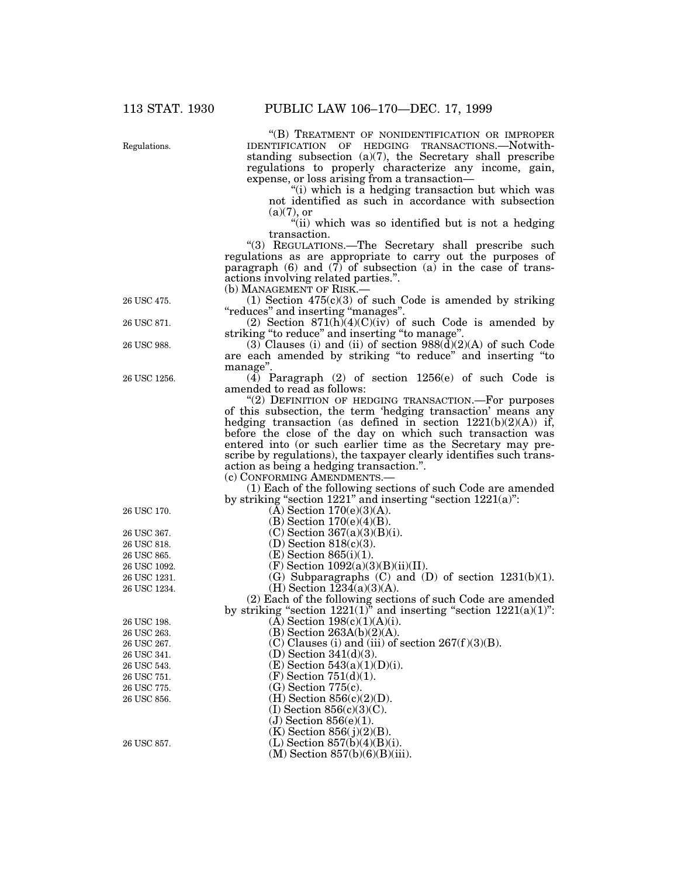''(B) TREATMENT OF NONIDENTIFICATION OR IMPROPER IDENTIFICATION OF HEDGING TRANSACTIONS.—Notwithstanding subsection (a)(7), the Secretary shall prescribe regulations to properly characterize any income, gain, expense, or loss arising from a transaction—

''(i) which is a hedging transaction but which was not identified as such in accordance with subsection  $(a)(7)$ , or

"(ii) which was so identified but is not a hedging transaction.

''(3) REGULATIONS.—The Secretary shall prescribe such regulations as are appropriate to carry out the purposes of paragraph (6) and (7) of subsection (a) in the case of transactions involving related parties.''.

(b) MANAGEMENT OF RISK.—

(1) Section  $475(c)(3)$  of such Code is amended by striking ''reduces'' and inserting ''manages''.

(2) Section  $871(h)(4)(C)(iv)$  of such Code is amended by striking "to reduce" and inserting "to manage".

(3) Clauses (i) and (ii) of section  $988(d)(2)(A)$  of such Code are each amended by striking ''to reduce'' and inserting ''to manage'

(4) Paragraph (2) of section 1256(e) of such Code is amended to read as follows:

"(2) DEFINITION OF HEDGING TRANSACTION.—For purposes of this subsection, the term 'hedging transaction' means any hedging transaction (as defined in section  $1221(b)(2)(A)$ ) if, before the close of the day on which such transaction was entered into (or such earlier time as the Secretary may prescribe by regulations), the taxpayer clearly identifies such transaction as being a hedging transaction.''.

(c) CONFORMING AMENDMENTS.—

(1) Each of the following sections of such Code are amended by striking "section  $1221$ " and inserting "section  $1221(a)$ ":

| $(A)$ Section 170 $(e)(3)(A)$ .                                         |
|-------------------------------------------------------------------------|
| $(B)$ Section 170(e)(4)(B).                                             |
| $(C)$ Section 367(a)(3)(B)(i).                                          |
| (D) Section $818(c)(3)$ .                                               |
| $(E)$ Section 865 $(i)(1)$ .                                            |
| $(F)$ Section 1092(a)(3)(B)(ii)(II).                                    |
| (G) Subparagraphs (C) and (D) of section $1231(b)(1)$ .                 |
| (H) Section $1234(a)(3)(A)$ .                                           |
| (2) Each of the following sections of such Code are amended             |
| by striking "section $1221(1)$ " and inserting "section $1221(a)(1)$ ": |
| (A) Section $198(c)(1)(A)(i)$ .                                         |
| $(B)$ Section 263A $(b)(2)(A)$ .                                        |
| (C) Clauses (i) and (iii) of section $267(f)(3)(B)$ .                   |
| (D) Section $341(d)(3)$ .                                               |
| (E) Section $543(a)(1)(D)(i)$ .                                         |
| $(F)$ Section 751 $(d)(1)$ .                                            |
| $(G)$ Section 775 $(c)$ .                                               |
| (H) Section $856(c)(2)(D)$ .                                            |
| (I) Section $856(c)(3)(C)$ .                                            |
| $(J)$ Section 856 $(e)(1)$ .                                            |
| $(K)$ Section 856 $(j)(2)(B)$ .                                         |
| (L) Section $857(b)(4)(B)(i)$ .                                         |
| $(M)$ Section 857(b)(6)(B)(iii).                                        |

Regulations.

26 USC 871.

26 USC 475.

26 USC 988.

26 USC 1256.

26 USC 170.

| 26 USC 367.  |
|--------------|
| 26 USC 818.  |
| 26 USC 865.  |
| 26 USC 1092. |
| 26 USC 1231. |
| 26 USC 1234. |
|              |
|              |
| 26 USC 198.  |

26 USC 856. 26 USC 775. 26 USC 751. 26 USC 543. 26 USC 341. 26 USC 267. 26 USC 263.

26 USC 857.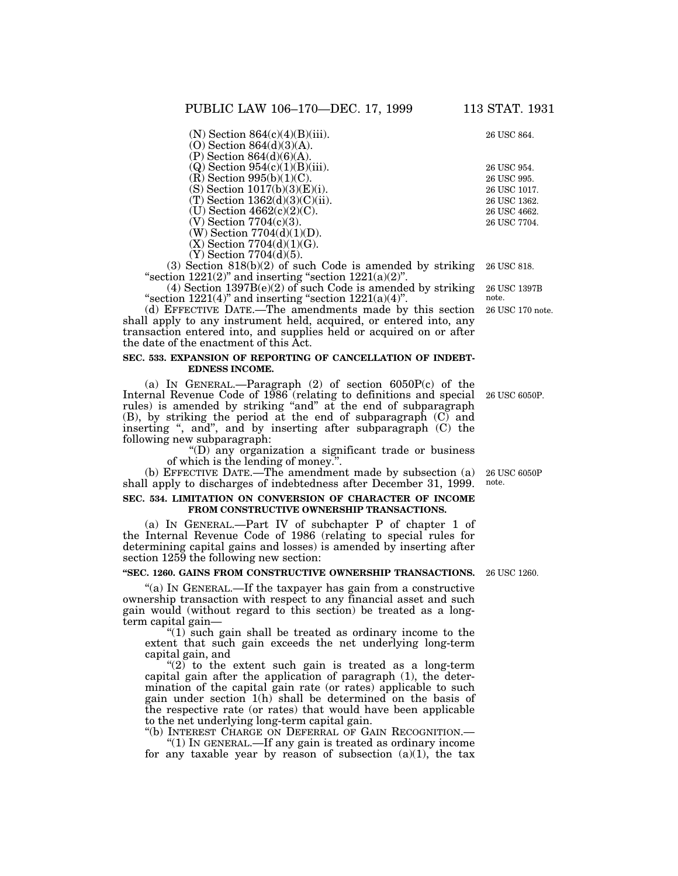PUBLIC LAW 106-170-DEC. 17, 1999 113 STAT. 1931

 $(N)$  Section 864 $(c)(4)(B)(iii)$ .

(O) Section 864(d)(3)(A).

(P) Section 864(d)(6)(A).

(Q) Section 954(c)(1)(B)(iii).

 $(R)$  Section 995 $(b)(1)(C)$ .

 $(S)$  Section 1017(b)(3)(E)(i). (T) Section 1362(d)(3)(C)(ii).

(U) Section 4662(c)(2)(C).

(V) Section 7704(c)(3).

 $(W)$  Section 7704 $(d)(1)(D)$ .

 $(X)$  Section 7704 $(d)(1)(G)$ .

(Y) Section 7704(d)(5).

(3) Section 818(b)(2) of such Code is amended by striking "section  $1221(2)$ " and inserting "section  $1221(a)(2)$ ". 26 USC 818.

(4) Section 1397B(e)(2) of such Code is amended by striking "section  $1221(4)$ " and inserting "section  $1221(a)(4)$ ".

(d) EFFECTIVE DATE.—The amendments made by this section shall apply to any instrument held, acquired, or entered into, any transaction entered into, and supplies held or acquired on or after the date of the enactment of this Act.

### **SEC. 533. EXPANSION OF REPORTING OF CANCELLATION OF INDEBT-EDNESS INCOME.**

(a) IN GENERAL.—Paragraph  $(2)$  of section 6050P $(c)$  of the Internal Revenue Code of 1986 (relating to definitions and special rules) is amended by striking ''and'' at the end of subparagraph (B), by striking the period at the end of subparagraph (C) and inserting ", and", and by inserting after subparagraph (C) the following new subparagraph:

''(D) any organization a significant trade or business of which is the lending of money.''.

(b) EFFECTIVE DATE.—The amendment made by subsection (a) shall apply to discharges of indebtedness after December 31, 1999.

### **SEC. 534. LIMITATION ON CONVERSION OF CHARACTER OF INCOME FROM CONSTRUCTIVE OWNERSHIP TRANSACTIONS.**

(a) IN GENERAL.—Part IV of subchapter P of chapter 1 of the Internal Revenue Code of 1986 (relating to special rules for determining capital gains and losses) is amended by inserting after section 1259 the following new section:

#### **''SEC. 1260. GAINS FROM CONSTRUCTIVE OWNERSHIP TRANSACTIONS.** 26 USC 1260.

"(a) In GENERAL.—If the taxpayer has gain from a constructive ownership transaction with respect to any financial asset and such gain would (without regard to this section) be treated as a longterm capital gain—

''(1) such gain shall be treated as ordinary income to the extent that such gain exceeds the net underlying long-term capital gain, and

" $(2)$  to the extent such gain is treated as a long-term capital gain after the application of paragraph (1), the determination of the capital gain rate (or rates) applicable to such gain under section  $1(h)$  shall be determined on the basis of the respective rate (or rates) that would have been applicable to the net underlying long-term capital gain.

''(b) INTEREST CHARGE ON DEFERRAL OF GAIN RECOGNITION.— ''(1) IN GENERAL.—If any gain is treated as ordinary income for any taxable year by reason of subsection  $(a)(1)$ , the tax

26 USC 6050P

note.

26 USC 6050P.

26 USC 170 note.

26 USC 1397B note.

26 USC 7704. 26 USC 4662. 26 USC 1362. 26 USC 1017. 26 USC 995. 26 USC 954.

26 USC 864.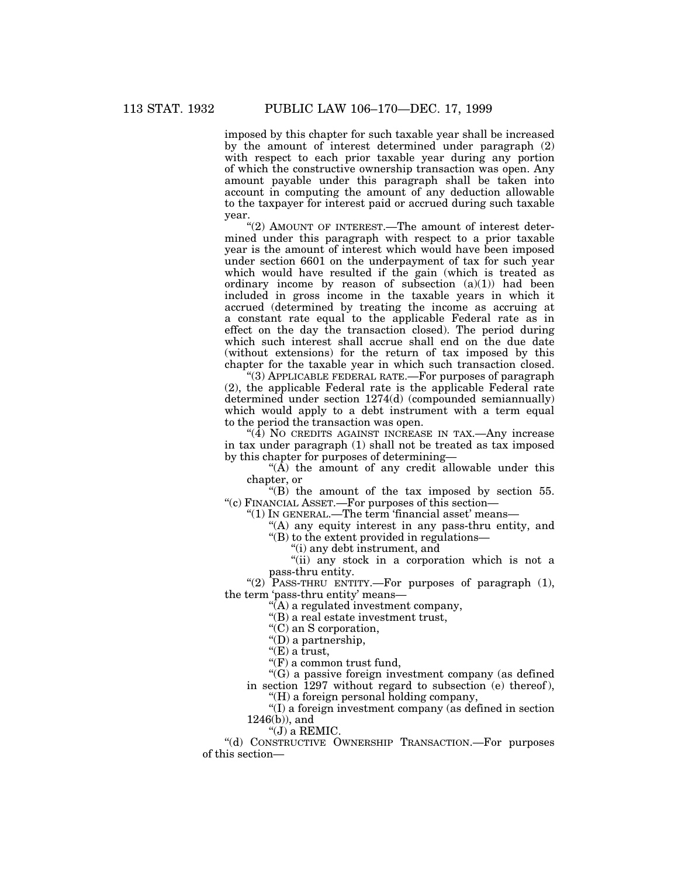imposed by this chapter for such taxable year shall be increased by the amount of interest determined under paragraph (2) with respect to each prior taxable year during any portion of which the constructive ownership transaction was open. Any amount payable under this paragraph shall be taken into account in computing the amount of any deduction allowable to the taxpayer for interest paid or accrued during such taxable year.

"(2) AMOUNT OF INTEREST.—The amount of interest determined under this paragraph with respect to a prior taxable year is the amount of interest which would have been imposed under section 6601 on the underpayment of tax for such year which would have resulted if the gain (which is treated as ordinary income by reason of subsection  $(a)(1)$  had been included in gross income in the taxable years in which it accrued (determined by treating the income as accruing at a constant rate equal to the applicable Federal rate as in effect on the day the transaction closed). The period during which such interest shall accrue shall end on the due date (without extensions) for the return of tax imposed by this chapter for the taxable year in which such transaction closed.

''(3) APPLICABLE FEDERAL RATE.—For purposes of paragraph (2), the applicable Federal rate is the applicable Federal rate determined under section 1274(d) (compounded semiannually) which would apply to a debt instrument with a term equal to the period the transaction was open.

" $(4)$  No CREDITS AGAINST INCREASE IN TAX.—Any increase in tax under paragraph (1) shall not be treated as tax imposed by this chapter for purposes of determining—

" $(\overline{A})$  the amount of any credit allowable under this chapter, or

''(B) the amount of the tax imposed by section 55. ''(c) FINANCIAL ASSET.—For purposes of this section—

''(1) IN GENERAL.—The term 'financial asset' means—

''(A) any equity interest in any pass-thru entity, and

''(B) to the extent provided in regulations— ''(i) any debt instrument, and

"(ii) any stock in a corporation which is not a pass-thru entity.

"(2) PASS-THRU ENTITY.-For purposes of paragraph (1), the term 'pass-thru entity' means—

 $\sqrt{\ }$ (A) a regulated investment company,

''(B) a real estate investment trust,

''(C) an S corporation,

''(D) a partnership,

" $(E)$  a trust,

''(F) a common trust fund,

''(G) a passive foreign investment company (as defined in section 1297 without regard to subsection (e) thereof ),

''(H) a foreign personal holding company,

''(I) a foreign investment company (as defined in section 1246(b)), and

''(J) a REMIC.

''(d) CONSTRUCTIVE OWNERSHIP TRANSACTION.—For purposes of this section—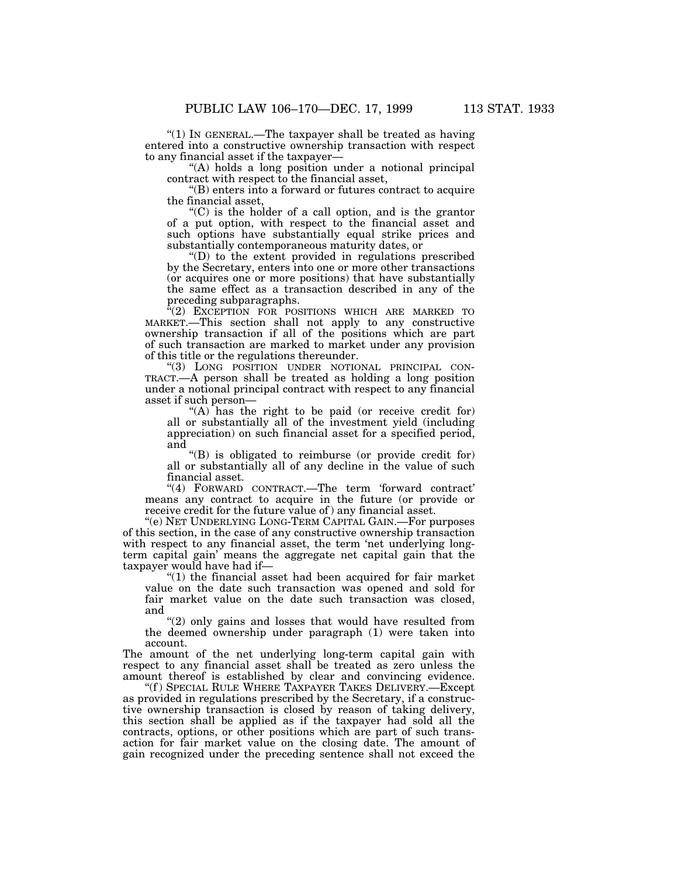''(1) IN GENERAL.—The taxpayer shall be treated as having entered into a constructive ownership transaction with respect to any financial asset if the taxpayer—

''(A) holds a long position under a notional principal contract with respect to the financial asset,

''(B) enters into a forward or futures contract to acquire the financial asset,

 $(C)$  is the holder of a call option, and is the grantor of a put option, with respect to the financial asset and such options have substantially equal strike prices and substantially contemporaneous maturity dates, or

''(D) to the extent provided in regulations prescribed by the Secretary, enters into one or more other transactions (or acquires one or more positions) that have substantially the same effect as a transaction described in any of the preceding subparagraphs.

"(2) EXCEPTION FOR POSITIONS WHICH ARE MARKED TO MARKET.—This section shall not apply to any constructive ownership transaction if all of the positions which are part of such transaction are marked to market under any provision of this title or the regulations thereunder.

''(3) LONG POSITION UNDER NOTIONAL PRINCIPAL CON-TRACT.—A person shall be treated as holding a long position under a notional principal contract with respect to any financial asset if such person—

"(A) has the right to be paid (or receive credit for) all or substantially all of the investment yield (including appreciation) on such financial asset for a specified period, and

''(B) is obligated to reimburse (or provide credit for) all or substantially all of any decline in the value of such financial asset.

''(4) FORWARD CONTRACT.—The term 'forward contract' means any contract to acquire in the future (or provide or receive credit for the future value of ) any financial asset.

''(e) NET UNDERLYING LONG-TERM CAPITAL GAIN.—For purposes of this section, in the case of any constructive ownership transaction with respect to any financial asset, the term 'net underlying longterm capital gain' means the aggregate net capital gain that the taxpayer would have had if—

''(1) the financial asset had been acquired for fair market value on the date such transaction was opened and sold for fair market value on the date such transaction was closed, and

 $''(2)$  only gains and losses that would have resulted from the deemed ownership under paragraph (1) were taken into account.

The amount of the net underlying long-term capital gain with respect to any financial asset shall be treated as zero unless the amount thereof is established by clear and convincing evidence.

''(f ) SPECIAL RULE WHERE TAXPAYER TAKES DELIVERY.—Except as provided in regulations prescribed by the Secretary, if a constructive ownership transaction is closed by reason of taking delivery, this section shall be applied as if the taxpayer had sold all the contracts, options, or other positions which are part of such transaction for fair market value on the closing date. The amount of gain recognized under the preceding sentence shall not exceed the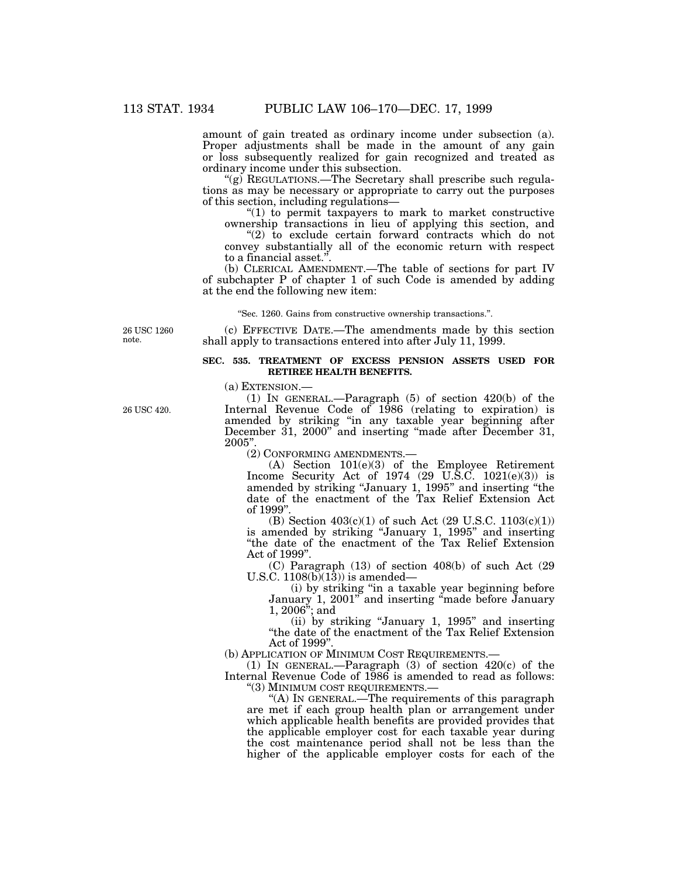amount of gain treated as ordinary income under subsection (a). Proper adjustments shall be made in the amount of any gain or loss subsequently realized for gain recognized and treated as ordinary income under this subsection.

"(g) REGULATIONS.—The Secretary shall prescribe such regulations as may be necessary or appropriate to carry out the purposes of this section, including regulations—

" $(1)$  to permit taxpayers to mark to market constructive ownership transactions in lieu of applying this section, and

"(2) to exclude certain forward contracts which do not convey substantially all of the economic return with respect to a financial asset.''.

(b) CLERICAL AMENDMENT.—The table of sections for part IV of subchapter P of chapter 1 of such Code is amended by adding at the end the following new item:

''Sec. 1260. Gains from constructive ownership transactions.''.

26 USC 1260 note.

(c) EFFECTIVE DATE.—The amendments made by this section shall apply to transactions entered into after July 11, 1999.

### **SEC. 535. TREATMENT OF EXCESS PENSION ASSETS USED FOR RETIREE HEALTH BENEFITS.**

(a) EXTENSION.—

(1) IN GENERAL.—Paragraph (5) of section 420(b) of the Internal Revenue Code of 1986 (relating to expiration) is amended by striking ''in any taxable year beginning after December 31, 2000" and inserting "made after December 31, 2005''.

(2) CONFORMING AMENDMENTS.—

(A) Section 101(e)(3) of the Employee Retirement Income Security Act of  $1974$  (29 U.S.C.  $1021(e)(3)$ ) is amended by striking "January 1, 1995" and inserting "the date of the enactment of the Tax Relief Extension Act of 1999''.

(B) Section  $403(c)(1)$  of such Act (29 U.S.C.  $1103(c)(1)$ ) is amended by striking ''January 1, 1995'' and inserting ''the date of the enactment of the Tax Relief Extension Act of 1999''.

 $(C)$  Paragraph  $(13)$  of section  $408(b)$  of such Act  $(29)$ U.S.C.  $1108(b)(13)$  is amended–

(i) by striking ''in a taxable year beginning before January 1, 2001" and inserting "made before January 1, 2006''; and

(ii) by striking ''January 1, 1995'' and inserting ''the date of the enactment of the Tax Relief Extension Act of 1999''.

(b) APPLICATION OF MINIMUM COST REQUIREMENTS.—

(1) IN GENERAL.—Paragraph (3) of section 420(c) of the Internal Revenue Code of 1986 is amended to read as follows: ''(3) MINIMUM COST REQUIREMENTS.—

"(A) IN GENERAL.—The requirements of this paragraph are met if each group health plan or arrangement under which applicable health benefits are provided provides that the applicable employer cost for each taxable year during the cost maintenance period shall not be less than the higher of the applicable employer costs for each of the

26 USC 420.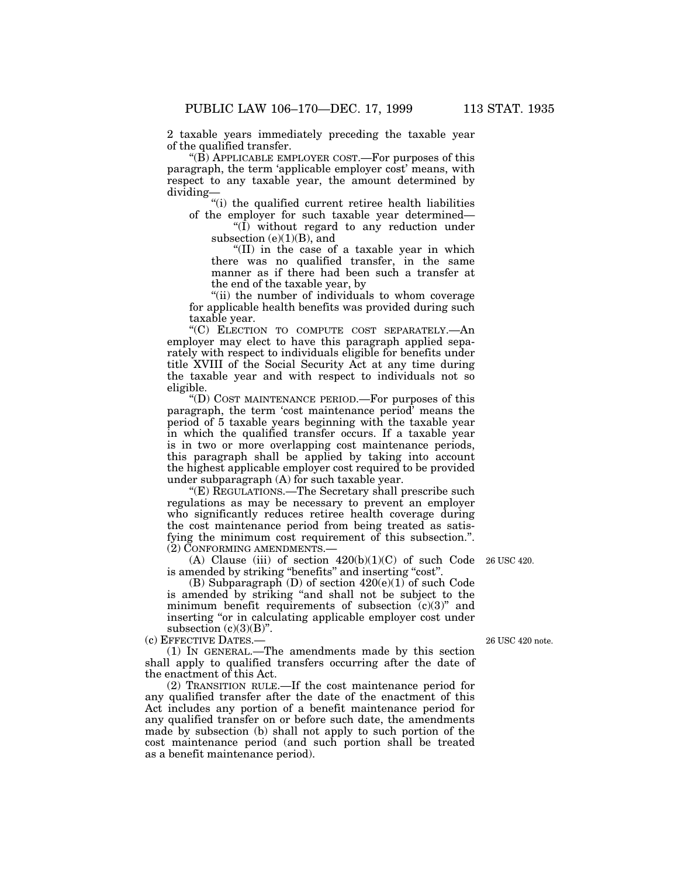2 taxable years immediately preceding the taxable year of the qualified transfer.

" $(B)$  APPLICABLE EMPLOYER COST.—For purposes of this paragraph, the term 'applicable employer cost' means, with respect to any taxable year, the amount determined by dividing—

"(i) the qualified current retiree health liabilities of the employer for such taxable year determined—

''(I) without regard to any reduction under subsection (e)(1)(B), and

''(II) in the case of a taxable year in which there was no qualified transfer, in the same manner as if there had been such a transfer at the end of the taxable year, by

"(ii) the number of individuals to whom coverage for applicable health benefits was provided during such taxable year.

''(C) ELECTION TO COMPUTE COST SEPARATELY.—An employer may elect to have this paragraph applied separately with respect to individuals eligible for benefits under title XVIII of the Social Security Act at any time during the taxable year and with respect to individuals not so eligible.

"(D) COST MAINTENANCE PERIOD.—For purposes of this paragraph, the term 'cost maintenance period' means the period of 5 taxable years beginning with the taxable year in which the qualified transfer occurs. If a taxable year is in two or more overlapping cost maintenance periods, this paragraph shall be applied by taking into account the highest applicable employer cost required to be provided under subparagraph (A) for such taxable year.

''(E) REGULATIONS.—The Secretary shall prescribe such regulations as may be necessary to prevent an employer who significantly reduces retiree health coverage during the cost maintenance period from being treated as satisfying the minimum cost requirement of this subsection.''. (2) CONFORMING AMENDMENTS.—

(A) Clause (iii) of section  $420(b)(1)(C)$  of such Code is amended by striking ''benefits'' and inserting ''cost''.

(B) Subparagraph (D) of section 420(e)(1) of such Code is amended by striking "and shall not be subject to the minimum benefit requirements of subsection  $(c)(3)$ " and inserting "or in calculating applicable employer cost under subsection  $(c)(3)(B)$ ".

(c) EFFECTIVE DATES.—

(1) IN GENERAL.—The amendments made by this section shall apply to qualified transfers occurring after the date of the enactment of this Act.

(2) TRANSITION RULE.—If the cost maintenance period for any qualified transfer after the date of the enactment of this Act includes any portion of a benefit maintenance period for any qualified transfer on or before such date, the amendments made by subsection (b) shall not apply to such portion of the cost maintenance period (and such portion shall be treated as a benefit maintenance period).

26 USC 420.

26 USC 420 note.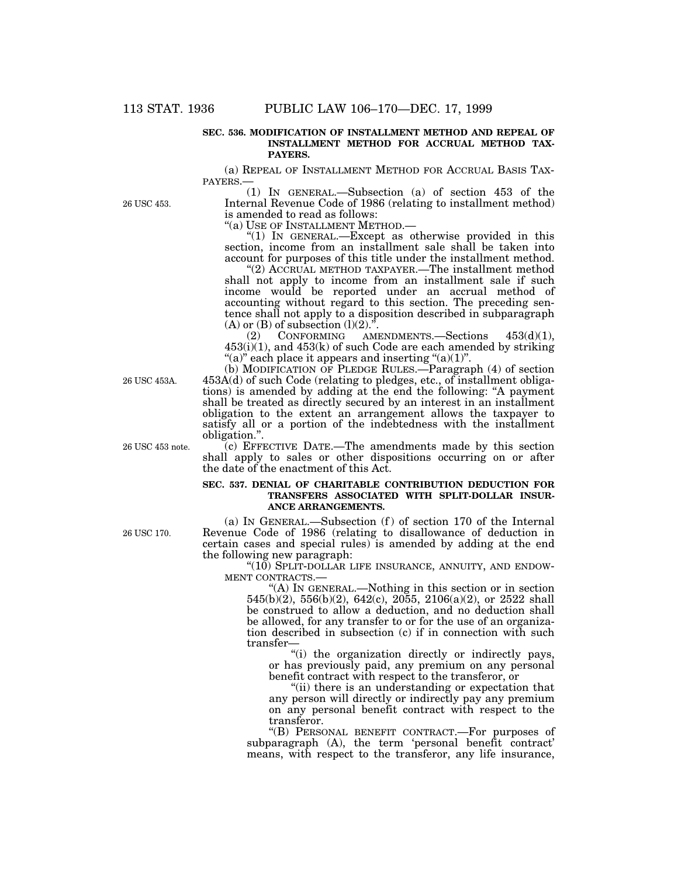#### **SEC. 536. MODIFICATION OF INSTALLMENT METHOD AND REPEAL OF INSTALLMENT METHOD FOR ACCRUAL METHOD TAX-PAYERS.**

(a) REPEAL OF INSTALLMENT METHOD FOR ACCRUAL BASIS TAX-PAYERS.—

26 USC 453.

(1) IN GENERAL.—Subsection (a) of section 453 of the Internal Revenue Code of 1986 (relating to installment method) is amended to read as follows:

''(a) USE OF INSTALLMENT METHOD.—

" $(1)$  IN GENERAL.—Except as otherwise provided in this section, income from an installment sale shall be taken into account for purposes of this title under the installment method.

"(2) ACCRUAL METHOD TAXPAYER.—The installment method shall not apply to income from an installment sale if such income would be reported under an accrual method of accounting without regard to this section. The preceding sentence shall not apply to a disposition described in subparagraph (A) or (B) of subsection  $(l)(2)$ .<br>(2) CONFORMING AM

AMENDMENTS.—Sections  $453(d)(1)$ ,  $453(i)(1)$ , and  $453(k)$  of such Code are each amended by striking "(a)" each place it appears and inserting " $(a)(1)$ ".

(b) MODIFICATION OF PLEDGE RULES.—Paragraph (4) of section 453A(d) of such Code (relating to pledges, etc., of installment obligations) is amended by adding at the end the following: ''A payment shall be treated as directly secured by an interest in an installment obligation to the extent an arrangement allows the taxpayer to satisfy all or a portion of the indebtedness with the installment obligation.''.

(c) EFFECTIVE DATE.—The amendments made by this section shall apply to sales or other dispositions occurring on or after the date of the enactment of this Act.

#### **SEC. 537. DENIAL OF CHARITABLE CONTRIBUTION DEDUCTION FOR TRANSFERS ASSOCIATED WITH SPLIT-DOLLAR INSUR-ANCE ARRANGEMENTS.**

(a) IN GENERAL.—Subsection  $(f)$  of section 170 of the Internal Revenue Code of 1986 (relating to disallowance of deduction in certain cases and special rules) is amended by adding at the end the following new paragraph:

"(10) SPLIT-DOLLAR LIFE INSURANCE, ANNUITY, AND ENDOW-MENT CONTRACTS.—

''(A) IN GENERAL.—Nothing in this section or in section  $545(b)(2)$ ,  $556(b)(2)$ ,  $642(c)$ ,  $2055$ ,  $2106(a)(2)$ , or  $2522$  shall be construed to allow a deduction, and no deduction shall be allowed, for any transfer to or for the use of an organization described in subsection (c) if in connection with such transfer—

"(i) the organization directly or indirectly pays, or has previously paid, any premium on any personal benefit contract with respect to the transferor, or

"(ii) there is an understanding or expectation that any person will directly or indirectly pay any premium on any personal benefit contract with respect to the transferor.

''(B) PERSONAL BENEFIT CONTRACT.—For purposes of subparagraph (A), the term 'personal benefit contract' means, with respect to the transferor, any life insurance,

26 USC 170.

26 USC 453A.

26 USC 453 note.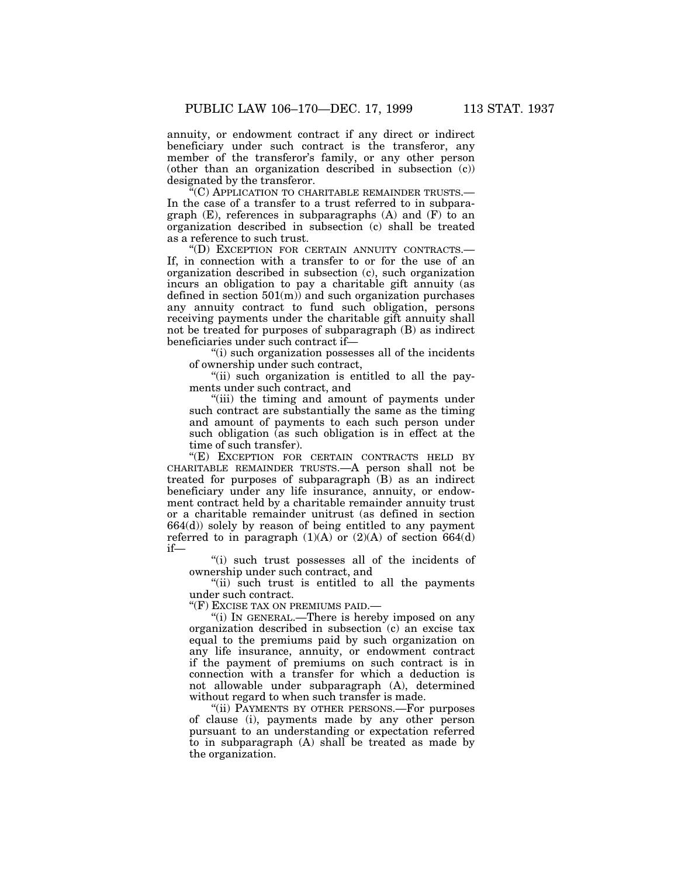annuity, or endowment contract if any direct or indirect beneficiary under such contract is the transferor, any member of the transferor's family, or any other person (other than an organization described in subsection (c)) designated by the transferor.

''(C) APPLICATION TO CHARITABLE REMAINDER TRUSTS.— In the case of a transfer to a trust referred to in subparagraph (E), references in subparagraphs (A) and (F) to an organization described in subsection (c) shall be treated as a reference to such trust.

''(D) EXCEPTION FOR CERTAIN ANNUITY CONTRACTS.— If, in connection with a transfer to or for the use of an organization described in subsection (c), such organization incurs an obligation to pay a charitable gift annuity (as defined in section  $501(m)$  and such organization purchases any annuity contract to fund such obligation, persons receiving payments under the charitable gift annuity shall not be treated for purposes of subparagraph (B) as indirect beneficiaries under such contract if—

''(i) such organization possesses all of the incidents of ownership under such contract,

''(ii) such organization is entitled to all the payments under such contract, and

''(iii) the timing and amount of payments under such contract are substantially the same as the timing and amount of payments to each such person under such obligation (as such obligation is in effect at the time of such transfer).

''(E) EXCEPTION FOR CERTAIN CONTRACTS HELD BY CHARITABLE REMAINDER TRUSTS.—A person shall not be treated for purposes of subparagraph (B) as an indirect beneficiary under any life insurance, annuity, or endowment contract held by a charitable remainder annuity trust or a charitable remainder unitrust (as defined in section 664(d)) solely by reason of being entitled to any payment referred to in paragraph  $(1)(A)$  or  $(2)(A)$  of section 664 $(d)$ if—

"(i) such trust possesses all of the incidents of ownership under such contract, and

"(ii) such trust is entitled to all the payments under such contract.

''(F) EXCISE TAX ON PREMIUMS PAID.—

''(i) IN GENERAL.—There is hereby imposed on any organization described in subsection (c) an excise tax equal to the premiums paid by such organization on any life insurance, annuity, or endowment contract if the payment of premiums on such contract is in connection with a transfer for which a deduction is not allowable under subparagraph (A), determined without regard to when such transfer is made.

''(ii) PAYMENTS BY OTHER PERSONS.—For purposes of clause (i), payments made by any other person pursuant to an understanding or expectation referred to in subparagraph (A) shall be treated as made by the organization.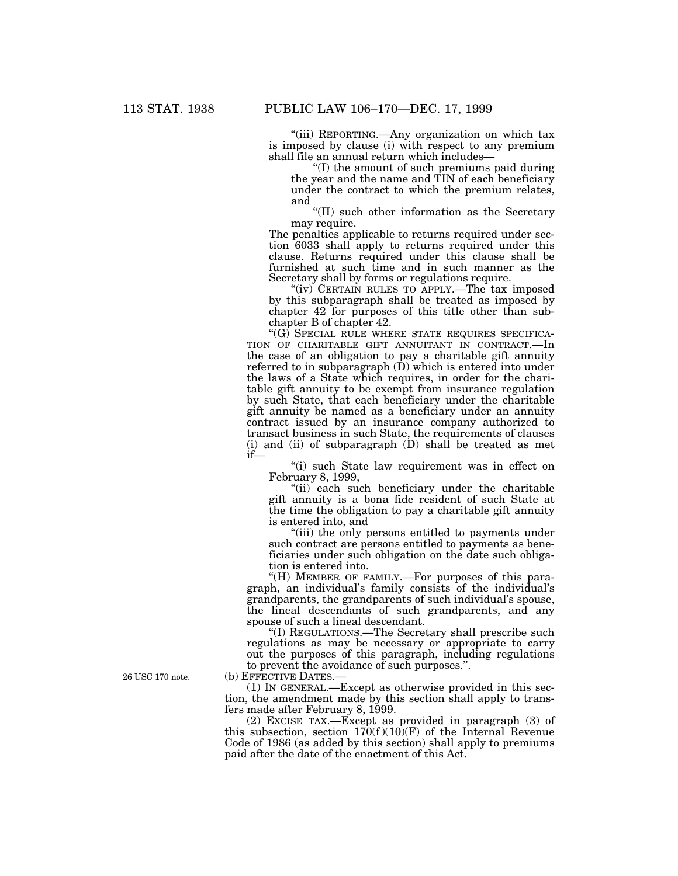''(iii) REPORTING.—Any organization on which tax is imposed by clause (i) with respect to any premium shall file an annual return which includes—

''(I) the amount of such premiums paid during the year and the name and TIN of each beneficiary under the contract to which the premium relates, and

''(II) such other information as the Secretary may require.

The penalties applicable to returns required under section 6033 shall apply to returns required under this clause. Returns required under this clause shall be furnished at such time and in such manner as the Secretary shall by forms or regulations require.

"(iv) CERTAIN RULES TO APPLY.—The tax imposed by this subparagraph shall be treated as imposed by chapter 42 for purposes of this title other than subchapter B of chapter 42.

"(G) SPECIAL RULE WHERE STATE REQUIRES SPECIFICA-TION OF CHARITABLE GIFT ANNUITANT IN CONTRACT.—In the case of an obligation to pay a charitable gift annuity referred to in subparagraph (D) which is entered into under the laws of a State which requires, in order for the charitable gift annuity to be exempt from insurance regulation by such State, that each beneficiary under the charitable gift annuity be named as a beneficiary under an annuity contract issued by an insurance company authorized to transact business in such State, the requirements of clauses (i) and (ii) of subparagraph (D) shall be treated as met if—

"(i) such State law requirement was in effect on February 8, 1999,

"(ii) each such beneficiary under the charitable gift annuity is a bona fide resident of such State at the time the obligation to pay a charitable gift annuity is entered into, and

''(iii) the only persons entitled to payments under such contract are persons entitled to payments as beneficiaries under such obligation on the date such obligation is entered into.

"(H) MEMBER OF FAMILY.—For purposes of this paragraph, an individual's family consists of the individual's grandparents, the grandparents of such individual's spouse, the lineal descendants of such grandparents, and any spouse of such a lineal descendant.

''(I) REGULATIONS.—The Secretary shall prescribe such regulations as may be necessary or appropriate to carry out the purposes of this paragraph, including regulations to prevent the avoidance of such purposes.''.

(b) EFFECTIVE DATES.—

(1) IN GENERAL.—Except as otherwise provided in this section, the amendment made by this section shall apply to transfers made after February 8, 1999.

(2) EXCISE TAX.—Except as provided in paragraph (3) of this subsection, section  $170(f)(10)(F)$  of the Internal Revenue Code of 1986 (as added by this section) shall apply to premiums paid after the date of the enactment of this Act.

26 USC 170 note.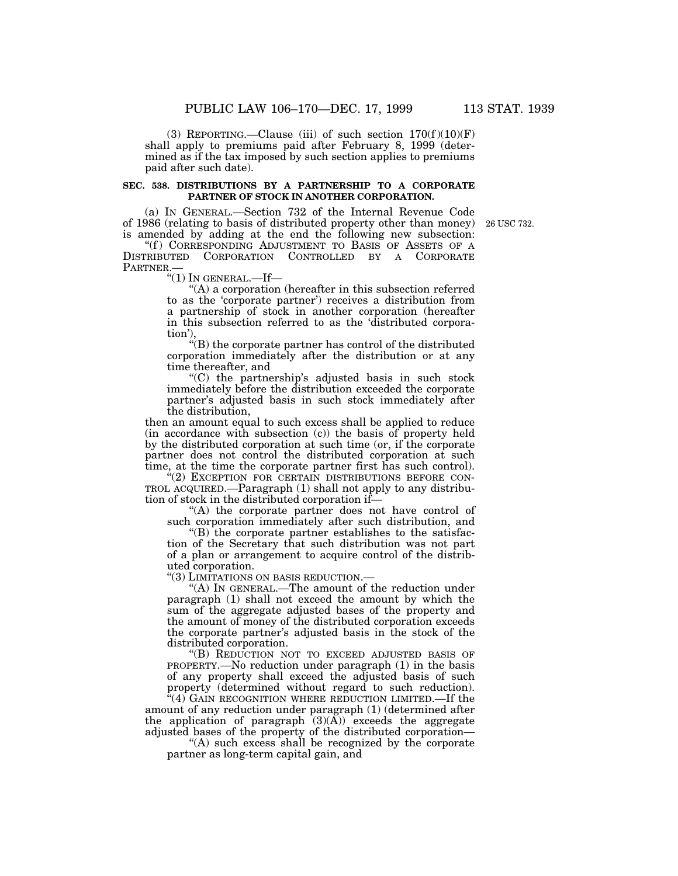(3) REPORTING.—Clause (iii) of such section  $170(f)(10)(F)$ shall apply to premiums paid after February 8, 1999 (determined as if the tax imposed by such section applies to premiums paid after such date).

#### **SEC. 538. DISTRIBUTIONS BY A PARTNERSHIP TO A CORPORATE PARTNER OF STOCK IN ANOTHER CORPORATION.**

(a) IN GENERAL.—Section 732 of the Internal Revenue Code of 1986 (relating to basis of distributed property other than money) is amended by adding at the end the following new subsection:

26 USC 732.

"(f) CORRESPONDING ADJUSTMENT TO BASIS OF ASSETS OF A DISTRIBUTED CORPORATION CONTROLLED BY A CORPORATE PARTNER.

 $"$ (1) In GENERAL.—If—

 $<sup>4</sup>(A)$  a corporation (hereafter in this subsection referred</sup> to as the 'corporate partner') receives a distribution from a partnership of stock in another corporation (hereafter in this subsection referred to as the 'distributed corporation'),

''(B) the corporate partner has control of the distributed corporation immediately after the distribution or at any time thereafter, and

 $(C)$  the partnership's adjusted basis in such stock immediately before the distribution exceeded the corporate partner's adjusted basis in such stock immediately after the distribution,

then an amount equal to such excess shall be applied to reduce (in accordance with subsection (c)) the basis of property held by the distributed corporation at such time (or, if the corporate partner does not control the distributed corporation at such time, at the time the corporate partner first has such control).

"(2) EXCEPTION FOR CERTAIN DISTRIBUTIONS BEFORE CON-TROL ACQUIRED.—Paragraph (1) shall not apply to any distribution of stock in the distributed corporation if—

"(A) the corporate partner does not have control of such corporation immediately after such distribution, and

" $(B)$  the corporate partner establishes to the satisfaction of the Secretary that such distribution was not part of a plan or arrangement to acquire control of the distributed corporation.

''(3) LIMITATIONS ON BASIS REDUCTION.—

''(A) IN GENERAL.—The amount of the reduction under paragraph (1) shall not exceed the amount by which the sum of the aggregate adjusted bases of the property and the amount of money of the distributed corporation exceeds the corporate partner's adjusted basis in the stock of the distributed corporation.

''(B) REDUCTION NOT TO EXCEED ADJUSTED BASIS OF PROPERTY.—No reduction under paragraph (1) in the basis of any property shall exceed the adjusted basis of such property (determined without regard to such reduction).

 $^{t}(4)$  GAIN RECOGNITION WHERE REDUCTION LIMITED.—If the amount of any reduction under paragraph (1) (determined after the application of paragraph  $(3)(A)$  exceeds the aggregate adjusted bases of the property of the distributed corporation—

''(A) such excess shall be recognized by the corporate partner as long-term capital gain, and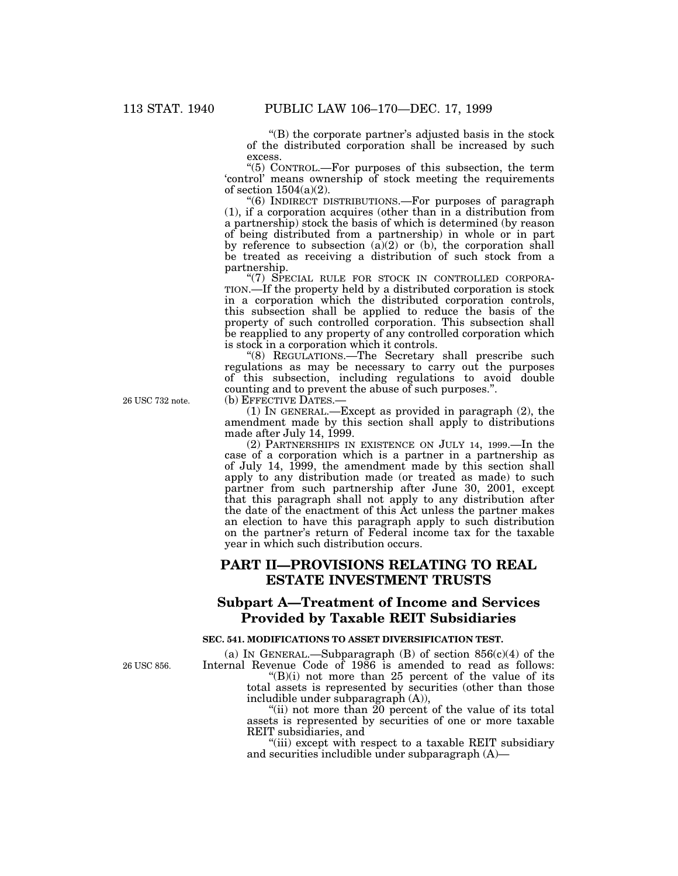''(B) the corporate partner's adjusted basis in the stock of the distributed corporation shall be increased by such excess.

''(5) CONTROL.—For purposes of this subsection, the term 'control' means ownership of stock meeting the requirements of section 1504(a)(2).

''(6) INDIRECT DISTRIBUTIONS.—For purposes of paragraph (1), if a corporation acquires (other than in a distribution from a partnership) stock the basis of which is determined (by reason of being distributed from a partnership) in whole or in part by reference to subsection  $(a)(2)$  or  $(b)$ , the corporation shall be treated as receiving a distribution of such stock from a partnership.

"(7) SPECIAL RULE FOR STOCK IN CONTROLLED CORPORA-TION.—If the property held by a distributed corporation is stock in a corporation which the distributed corporation controls, this subsection shall be applied to reduce the basis of the property of such controlled corporation. This subsection shall be reapplied to any property of any controlled corporation which is stock in a corporation which it controls.

"(8) REGULATIONS.—The Secretary shall prescribe such regulations as may be necessary to carry out the purposes of this subsection, including regulations to avoid double counting and to prevent the abuse of such purposes.''.

(b) EFFECTIVE DATES.—

(1) IN GENERAL.—Except as provided in paragraph (2), the amendment made by this section shall apply to distributions made after July 14, 1999.

(2) PARTNERSHIPS IN EXISTENCE ON JULY 14, 1999.—In the case of a corporation which is a partner in a partnership as of July 14, 1999, the amendment made by this section shall apply to any distribution made (or treated as made) to such partner from such partnership after June 30, 2001, except that this paragraph shall not apply to any distribution after the date of the enactment of this Act unless the partner makes an election to have this paragraph apply to such distribution on the partner's return of Federal income tax for the taxable year in which such distribution occurs.

# **PART II—PROVISIONS RELATING TO REAL ESTATE INVESTMENT TRUSTS**

# **Subpart A—Treatment of Income and Services Provided by Taxable REIT Subsidiaries**

# **SEC. 541. MODIFICATIONS TO ASSET DIVERSIFICATION TEST.**

(a) IN GENERAL.—Subparagraph  $(B)$  of section 856 $(c)(4)$  of the Internal Revenue Code of 1986 is amended to read as follows:

" $(B)(i)$  not more than 25 percent of the value of its total assets is represented by securities (other than those includible under subparagraph (A)),

"(ii) not more than 20 percent of the value of its total assets is represented by securities of one or more taxable REIT subsidiaries, and

"(iii) except with respect to a taxable REIT subsidiary and securities includible under subparagraph (A)—

26 USC 732 note.

26 USC 856.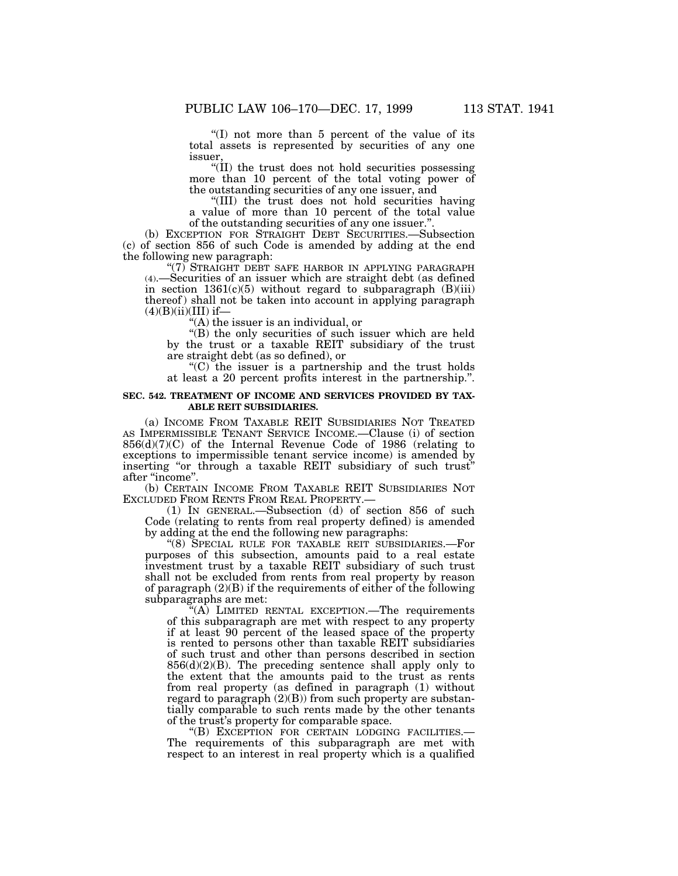''(I) not more than 5 percent of the value of its total assets is represented by securities of any one issuer,

''(II) the trust does not hold securities possessing more than 10 percent of the total voting power of the outstanding securities of any one issuer, and

''(III) the trust does not hold securities having a value of more than 10 percent of the total value of the outstanding securities of any one issuer.''.

(b) EXCEPTION FOR STRAIGHT DEBT SECURITIES.—Subsection (c) of section 856 of such Code is amended by adding at the end the following new paragraph:

"(7) STRAIGHT DEBT SAFE HARBOR IN APPLYING PARAGRAPH (4).—Securities of an issuer which are straight debt (as defined in section  $1361(c)(5)$  without regard to subparagraph  $(B)(iii)$ thereof) shall not be taken into account in applying paragraph  $(4)(B)(ii)(III)$  if-

''(A) the issuer is an individual, or

''(B) the only securities of such issuer which are held by the trust or a taxable REIT subsidiary of the trust are straight debt (as so defined), or

''(C) the issuer is a partnership and the trust holds at least a 20 percent profits interest in the partnership.''.

# **SEC. 542. TREATMENT OF INCOME AND SERVICES PROVIDED BY TAX-ABLE REIT SUBSIDIARIES.**

(a) INCOME FROM TAXABLE REIT SUBSIDIARIES NOT TREATED AS IMPERMISSIBLE TENANT SERVICE INCOME.—Clause (i) of section 856(d)(7)(C) of the Internal Revenue Code of 1986 (relating to exceptions to impermissible tenant service income) is amended by inserting "or through a taxable REIT subsidiary of such trust" after "income"

(b) CERTAIN INCOME FROM TAXABLE REIT SUBSIDIARIES NOT EXCLUDED FROM RENTS FROM REAL PROPERTY.—

(1) IN GENERAL.—Subsection (d) of section 856 of such Code (relating to rents from real property defined) is amended by adding at the end the following new paragraphs:

''(8) SPECIAL RULE FOR TAXABLE REIT SUBSIDIARIES.—For purposes of this subsection, amounts paid to a real estate investment trust by a taxable REIT subsidiary of such trust shall not be excluded from rents from real property by reason of paragraph  $(2)(B)$  if the requirements of either of the following subparagraphs are met:

''(A) LIMITED RENTAL EXCEPTION.—The requirements of this subparagraph are met with respect to any property if at least 90 percent of the leased space of the property is rented to persons other than taxable REIT subsidiaries of such trust and other than persons described in section  $856(d)(2)(B)$ . The preceding sentence shall apply only to the extent that the amounts paid to the trust as rents from real property (as defined in paragraph (1) without regard to paragraph  $(2)(B)$  from such property are substantially comparable to such rents made by the other tenants of the trust's property for comparable space.

''(B) EXCEPTION FOR CERTAIN LODGING FACILITIES.— The requirements of this subparagraph are met with respect to an interest in real property which is a qualified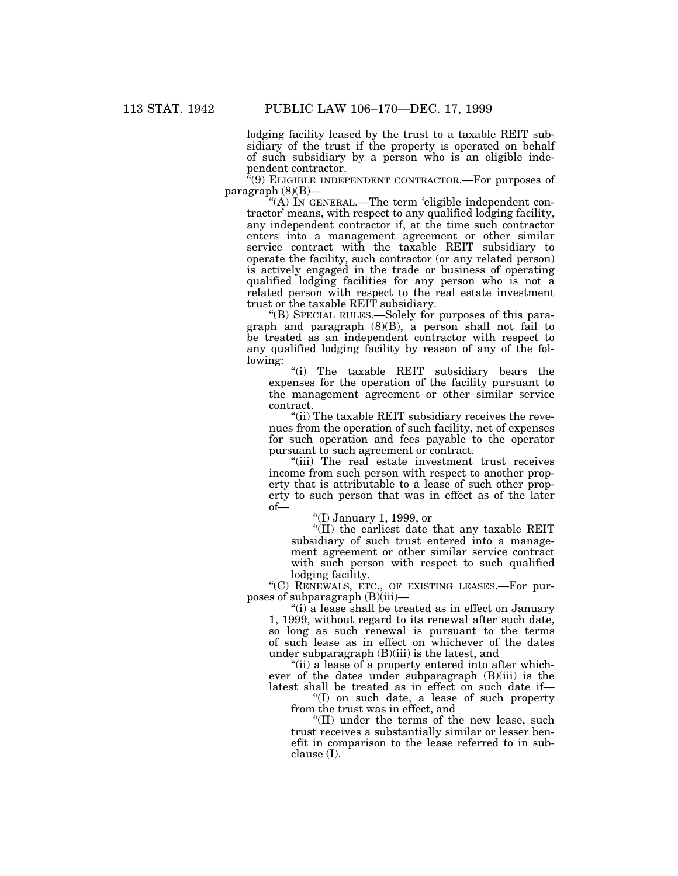lodging facility leased by the trust to a taxable REIT subsidiary of the trust if the property is operated on behalf of such subsidiary by a person who is an eligible independent contractor.

 $E^*(9)$  ELIGIBLE INDEPENDENT CONTRACTOR.—For purposes of paragraph  $(8)(B)$ —

"(A) IN GENERAL.—The term 'eligible independent contractor' means, with respect to any qualified lodging facility, any independent contractor if, at the time such contractor enters into a management agreement or other similar service contract with the taxable REIT subsidiary to operate the facility, such contractor (or any related person) is actively engaged in the trade or business of operating qualified lodging facilities for any person who is not a related person with respect to the real estate investment trust or the taxable REIT subsidiary.

''(B) SPECIAL RULES.—Solely for purposes of this paragraph and paragraph (8)(B), a person shall not fail to be treated as an independent contractor with respect to any qualified lodging facility by reason of any of the following:

''(i) The taxable REIT subsidiary bears the expenses for the operation of the facility pursuant to the management agreement or other similar service contract.

"(ii) The taxable REIT subsidiary receives the revenues from the operation of such facility, net of expenses for such operation and fees payable to the operator pursuant to such agreement or contract.

''(iii) The real estate investment trust receives income from such person with respect to another property that is attributable to a lease of such other property to such person that was in effect as of the later of—

''(I) January 1, 1999, or

''(II) the earliest date that any taxable REIT subsidiary of such trust entered into a management agreement or other similar service contract with such person with respect to such qualified lodging facility.

''(C) RENEWALS, ETC., OF EXISTING LEASES.—For purposes of subparagraph (B)(iii)—

"(i) a lease shall be treated as in effect on January 1, 1999, without regard to its renewal after such date, so long as such renewal is pursuant to the terms of such lease as in effect on whichever of the dates under subparagraph (B)(iii) is the latest, and

"(ii) a lease of a property entered into after whichever of the dates under subparagraph (B)(iii) is the latest shall be treated as in effect on such date if—

''(I) on such date, a lease of such property from the trust was in effect, and

''(II) under the terms of the new lease, such trust receives a substantially similar or lesser benefit in comparison to the lease referred to in subclause (I).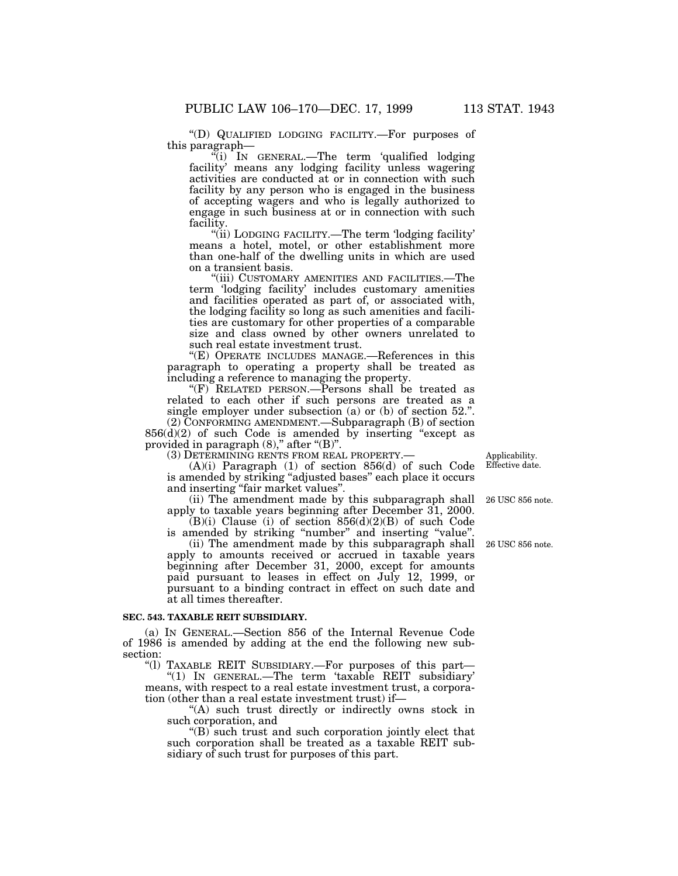''(D) QUALIFIED LODGING FACILITY.—For purposes of this paragraph—

''(i) IN GENERAL.—The term 'qualified lodging facility' means any lodging facility unless wagering activities are conducted at or in connection with such facility by any person who is engaged in the business of accepting wagers and who is legally authorized to engage in such business at or in connection with such facility.

''(ii) LODGING FACILITY.—The term 'lodging facility' means a hotel, motel, or other establishment more than one-half of the dwelling units in which are used on a transient basis.

"(iii) CUSTOMARY AMENITIES AND FACILITIES.—The term 'lodging facility' includes customary amenities and facilities operated as part of, or associated with, the lodging facility so long as such amenities and facilities are customary for other properties of a comparable size and class owned by other owners unrelated to such real estate investment trust.

''(E) OPERATE INCLUDES MANAGE.—References in this paragraph to operating a property shall be treated as including a reference to managing the property.

''(F) RELATED PERSON.—Persons shall be treated as related to each other if such persons are treated as a single employer under subsection (a) or (b) of section 52.''.

(2) CONFORMING AMENDMENT.—Subparagraph (B) of section  $856(d)(2)$  of such Code is amended by inserting "except as provided in paragraph (8)," after "(B)".

(3) DETERMINING RENTS FROM REAL PROPERTY.—

(A)(i) Paragraph (1) of section 856(d) of such Code is amended by striking ''adjusted bases'' each place it occurs and inserting ''fair market values''.

(ii) The amendment made by this subparagraph shall apply to taxable years beginning after December 31, 2000.  $(B)(i)$  Clause (i) of section  $856(d)(2)(B)$  of such Code

is amended by striking "number" and inserting "value".

(ii) The amendment made by this subparagraph shall 26 USC 856 note. apply to amounts received or accrued in taxable years beginning after December 31, 2000, except for amounts paid pursuant to leases in effect on July 12, 1999, or pursuant to a binding contract in effect on such date and at all times thereafter.

## **SEC. 543. TAXABLE REIT SUBSIDIARY.**

(a) IN GENERAL.—Section 856 of the Internal Revenue Code of 1986 is amended by adding at the end the following new subsection:

''(l) TAXABLE REIT SUBSIDIARY.—For purposes of this part—

"(1) In GENERAL.—The term 'taxable REIT subsidiary' means, with respect to a real estate investment trust, a corporation (other than a real estate investment trust) if—

''(A) such trust directly or indirectly owns stock in such corporation, and

 $(G)$  such trust and such corporation jointly elect that such corporation shall be treated as a taxable REIT subsidiary of such trust for purposes of this part.

Applicability. Effective date.

26 USC 856 note.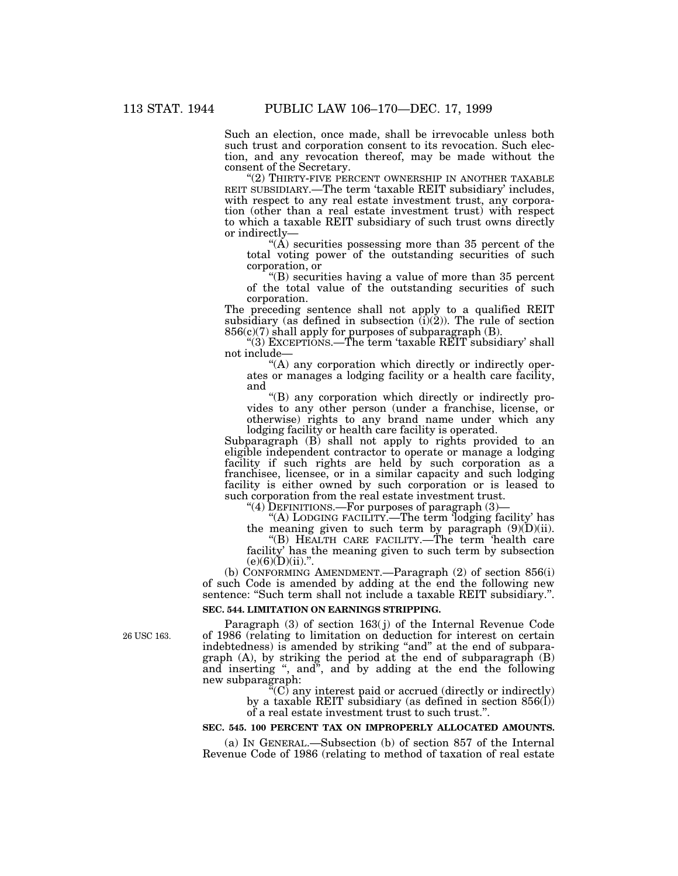Such an election, once made, shall be irrevocable unless both such trust and corporation consent to its revocation. Such election, and any revocation thereof, may be made without the consent of the Secretary.

"(2) THIRTY-FIVE PERCENT OWNERSHIP IN ANOTHER TAXABLE REIT SUBSIDIARY.—The term 'taxable REIT subsidiary' includes, with respect to any real estate investment trust, any corporation (other than a real estate investment trust) with respect to which a taxable REIT subsidiary of such trust owns directly or indirectly—

" $(\tilde{A})$  securities possessing more than 35 percent of the total voting power of the outstanding securities of such corporation, or

''(B) securities having a value of more than 35 percent of the total value of the outstanding securities of such corporation.

The preceding sentence shall not apply to a qualified REIT subsidiary (as defined in subsection  $(i)(2)$ ). The rule of section  $856(c)(7)$  shall apply for purposes of subparagraph  $(B)$ .

''(3) EXCEPTIONS.—The term 'taxable REIT subsidiary' shall not include—

"(A) any corporation which directly or indirectly operates or manages a lodging facility or a health care facility, and

''(B) any corporation which directly or indirectly provides to any other person (under a franchise, license, or otherwise) rights to any brand name under which any lodging facility or health care facility is operated.

Subparagraph (B) shall not apply to rights provided to an eligible independent contractor to operate or manage a lodging facility if such rights are held by such corporation as a franchisee, licensee, or in a similar capacity and such lodging facility is either owned by such corporation or is leased to such corporation from the real estate investment trust.

"(4) DEFINITIONS.—For purposes of paragraph  $(3)$ –

''(A) LODGING FACILITY.—The term 'lodging facility' has

the meaning given to such term by paragraph  $(9)(D)(ii)$ . ''(B) HEALTH CARE FACILITY.—The term 'health care facility' has the meaning given to such term by subsection

 $(e)(6)(D)(ii)$ .". (b) CONFORMING AMENDMENT.—Paragraph (2) of section 856(i) of such Code is amended by adding at the end the following new

sentence: "Such term shall not include a taxable REIT subsidiary.".

# **SEC. 544. LIMITATION ON EARNINGS STRIPPING.**

Paragraph (3) of section 163( j) of the Internal Revenue Code of 1986 (relating to limitation on deduction for interest on certain indebtedness) is amended by striking ''and'' at the end of subparagraph (A), by striking the period at the end of subparagraph (B) and inserting ", and ", and by adding at the end the following new subparagraph:

 $\mathbb{F}(C)$  any interest paid or accrued (directly or indirectly)

by a taxable REIT subsidiary (as defined in section 856(l)) of a real estate investment trust to such trust.''.

## **SEC. 545. 100 PERCENT TAX ON IMPROPERLY ALLOCATED AMOUNTS.**

(a) IN GENERAL.—Subsection (b) of section 857 of the Internal Revenue Code of 1986 (relating to method of taxation of real estate

26 USC 163.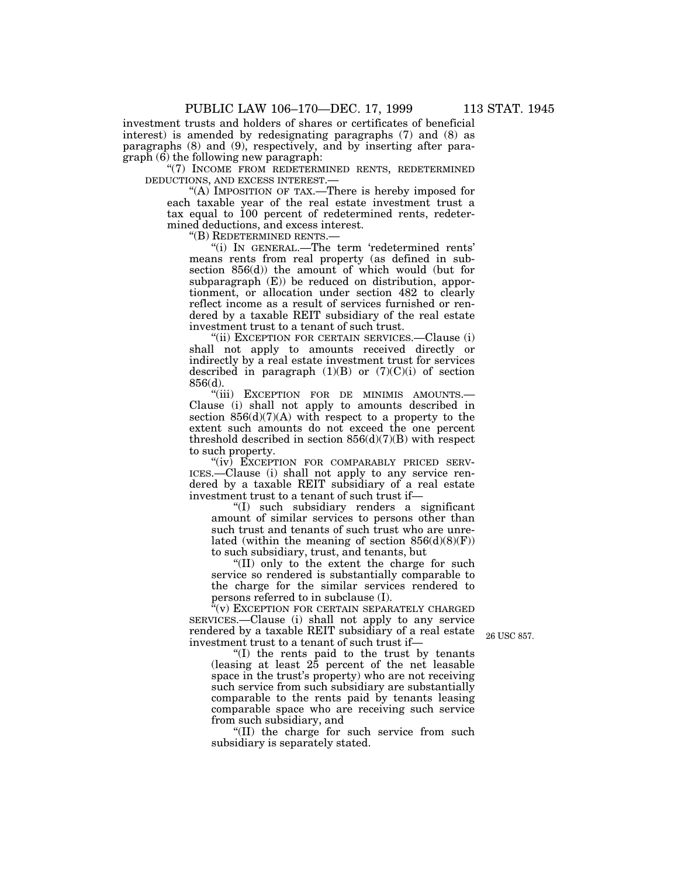investment trusts and holders of shares or certificates of beneficial interest) is amended by redesignating paragraphs (7) and (8) as paragraphs (8) and (9), respectively, and by inserting after para $graph (6)$  the following new paragraph:

"(7) INCOME FROM REDETERMINED RENTS, REDETERMINED DEDUCTIONS, AND EXCESS INTEREST.—

"(A) IMPOSITION OF TAX.—There is hereby imposed for each taxable year of the real estate investment trust a tax equal to 100 percent of redetermined rents, redetermined deductions, and excess interest.

''(B) REDETERMINED RENTS.—

''(i) IN GENERAL.—The term 'redetermined rents' means rents from real property (as defined in subsection 856(d)) the amount of which would (but for subparagraph (E)) be reduced on distribution, apportionment, or allocation under section 482 to clearly reflect income as a result of services furnished or rendered by a taxable REIT subsidiary of the real estate investment trust to a tenant of such trust.

''(ii) EXCEPTION FOR CERTAIN SERVICES.—Clause (i) shall not apply to amounts received directly or indirectly by a real estate investment trust for services described in paragraph  $(1)(B)$  or  $(7)(C)(i)$  of section 856(d).

"(iii) EXCEPTION FOR DE MINIMIS AMOUNTS.-Clause (i) shall not apply to amounts described in section  $856(d)(7)(A)$  with respect to a property to the extent such amounts do not exceed the one percent threshold described in section  $856(d)(7)(B)$  with respect to such property.

"(iv) EXCEPTION FOR COMPARABLY PRICED SERV-ICES.—Clause (i) shall not apply to any service rendered by a taxable REIT subsidiary of a real estate investment trust to a tenant of such trust if—

''(I) such subsidiary renders a significant amount of similar services to persons other than such trust and tenants of such trust who are unrelated (within the meaning of section  $856(d)(8)(F)$ ) to such subsidiary, trust, and tenants, but

''(II) only to the extent the charge for such service so rendered is substantially comparable to the charge for the similar services rendered to persons referred to in subclause (I).

 $\tilde{f}(v)$  Exception for certain separately charged SERVICES.—Clause (i) shall not apply to any service rendered by a taxable REIT subsidiary of a real estate investment trust to a tenant of such trust if—

26 USC 857.

''(I) the rents paid to the trust by tenants (leasing at least 25 percent of the net leasable space in the trust's property) who are not receiving such service from such subsidiary are substantially comparable to the rents paid by tenants leasing comparable space who are receiving such service from such subsidiary, and

''(II) the charge for such service from such subsidiary is separately stated.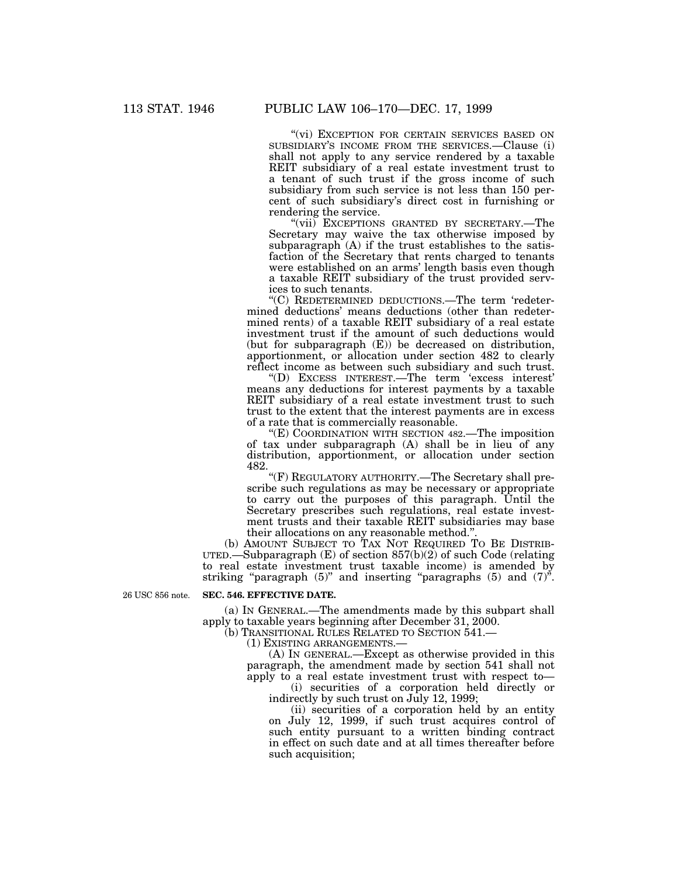"(vi) EXCEPTION FOR CERTAIN SERVICES BASED ON SUBSIDIARY'S INCOME FROM THE SERVICES.—Clause (i) shall not apply to any service rendered by a taxable REIT subsidiary of a real estate investment trust to a tenant of such trust if the gross income of such subsidiary from such service is not less than 150 percent of such subsidiary's direct cost in furnishing or rendering the service.

"(vii) EXCEPTIONS GRANTED BY SECRETARY.—The Secretary may waive the tax otherwise imposed by subparagraph (A) if the trust establishes to the satisfaction of the Secretary that rents charged to tenants were established on an arms' length basis even though a taxable REIT subsidiary of the trust provided services to such tenants.

''(C) REDETERMINED DEDUCTIONS.—The term 'redetermined deductions' means deductions (other than redetermined rents) of a taxable REIT subsidiary of a real estate investment trust if the amount of such deductions would (but for subparagraph (E)) be decreased on distribution, apportionment, or allocation under section 482 to clearly reflect income as between such subsidiary and such trust.

''(D) EXCESS INTEREST.—The term 'excess interest' means any deductions for interest payments by a taxable REIT subsidiary of a real estate investment trust to such trust to the extent that the interest payments are in excess of a rate that is commercially reasonable.

''(E) COORDINATION WITH SECTION 482.—The imposition of tax under subparagraph (A) shall be in lieu of any distribution, apportionment, or allocation under section 482.

''(F) REGULATORY AUTHORITY.—The Secretary shall prescribe such regulations as may be necessary or appropriate to carry out the purposes of this paragraph. Until the Secretary prescribes such regulations, real estate investment trusts and their taxable REIT subsidiaries may base their allocations on any reasonable method.''.

(b) AMOUNT SUBJECT TO TAX NOT REQUIRED TO BE DISTRIB-UTED.—Subparagraph  $(E)$  of section  $857(b)(2)$  of such Code (relating to real estate investment trust taxable income) is amended by striking "paragraph (5)" and inserting "paragraphs (5) and (7)".

26 USC 856 note.

# **SEC. 546. EFFECTIVE DATE.**

(a) IN GENERAL.—The amendments made by this subpart shall apply to taxable years beginning after December 31, 2000.

(b) TRANSITIONAL RULES RELATED TO SECTION 541.—

(1) EXISTING ARRANGEMENTS.—

(A) IN GENERAL.—Except as otherwise provided in this paragraph, the amendment made by section 541 shall not apply to a real estate investment trust with respect to—

(i) securities of a corporation held directly or indirectly by such trust on July 12, 1999;

(ii) securities of a corporation held by an entity on July 12, 1999, if such trust acquires control of such entity pursuant to a written binding contract in effect on such date and at all times thereafter before such acquisition;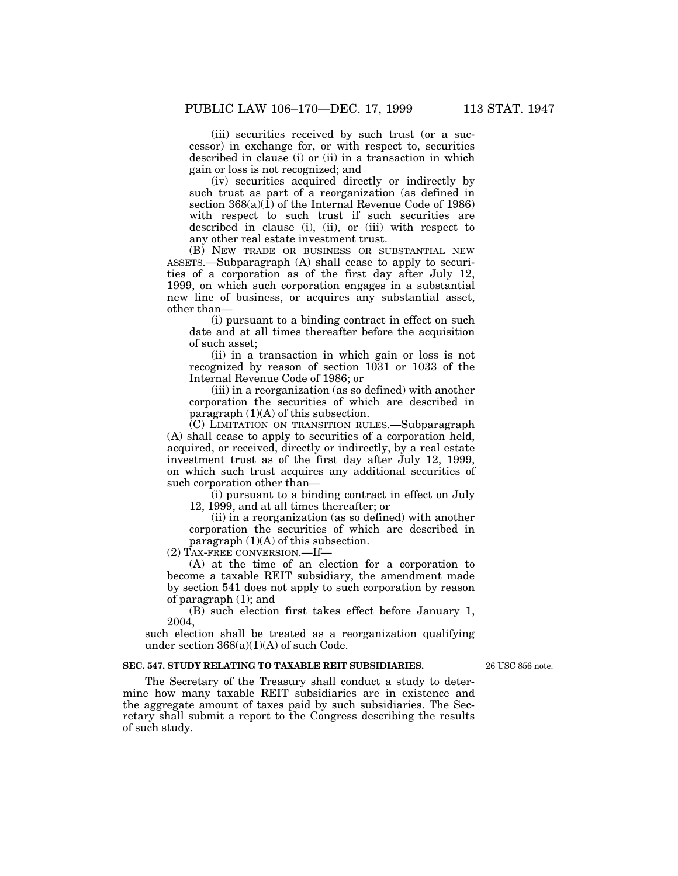(iii) securities received by such trust (or a successor) in exchange for, or with respect to, securities described in clause (i) or (ii) in a transaction in which gain or loss is not recognized; and

(iv) securities acquired directly or indirectly by such trust as part of a reorganization (as defined in section 368(a)(1) of the Internal Revenue Code of 1986) with respect to such trust if such securities are described in clause (i), (ii), or (iii) with respect to any other real estate investment trust.

(B) NEW TRADE OR BUSINESS OR SUBSTANTIAL NEW ASSETS.—Subparagraph (A) shall cease to apply to securities of a corporation as of the first day after July 12, 1999, on which such corporation engages in a substantial new line of business, or acquires any substantial asset, other than—

(i) pursuant to a binding contract in effect on such date and at all times thereafter before the acquisition of such asset;

(ii) in a transaction in which gain or loss is not recognized by reason of section 1031 or 1033 of the Internal Revenue Code of 1986; or

(iii) in a reorganization (as so defined) with another corporation the securities of which are described in paragraph  $(1)(A)$  of this subsection.

(C) LIMITATION ON TRANSITION RULES.—Subparagraph (A) shall cease to apply to securities of a corporation held, acquired, or received, directly or indirectly, by a real estate investment trust as of the first day after July 12, 1999, on which such trust acquires any additional securities of such corporation other than—

(i) pursuant to a binding contract in effect on July 12, 1999, and at all times thereafter; or

(ii) in a reorganization (as so defined) with another corporation the securities of which are described in paragraph (1)(A) of this subsection.

(2) TAX-FREE CONVERSION.—If—

(A) at the time of an election for a corporation to become a taxable REIT subsidiary, the amendment made by section 541 does not apply to such corporation by reason of paragraph (1); and

(B) such election first takes effect before January 1, 2004,

such election shall be treated as a reorganization qualifying under section  $368(a)(1)(A)$  of such Code.

# **SEC. 547. STUDY RELATING TO TAXABLE REIT SUBSIDIARIES.**

26 USC 856 note.

The Secretary of the Treasury shall conduct a study to determine how many taxable REIT subsidiaries are in existence and the aggregate amount of taxes paid by such subsidiaries. The Secretary shall submit a report to the Congress describing the results of such study.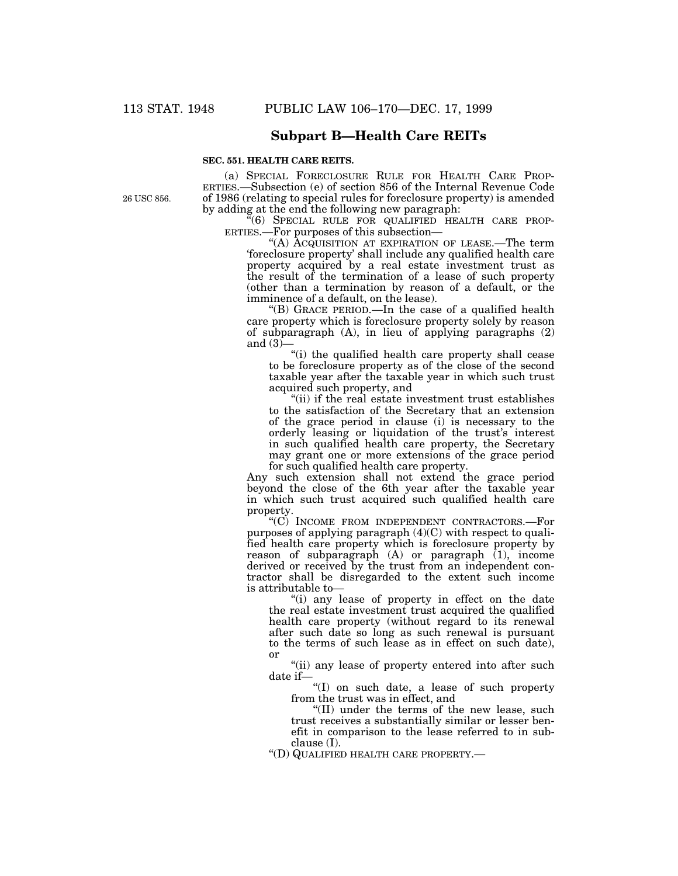# **Subpart B—Health Care REITs**

### **SEC. 551. HEALTH CARE REITS.**

(a) SPECIAL FORECLOSURE RULE FOR HEALTH CARE PROP-ERTIES.—Subsection (e) of section 856 of the Internal Revenue Code of 1986 (relating to special rules for foreclosure property) is amended by adding at the end the following new paragraph:

"(6) SPECIAL RULE FOR QUALIFIED HEALTH CARE PROP-ERTIES.—For purposes of this subsection—

"(A) ACQUISITION AT EXPIRATION OF LEASE.—The term 'foreclosure property' shall include any qualified health care property acquired by a real estate investment trust as the result of the termination of a lease of such property (other than a termination by reason of a default, or the imminence of a default, on the lease).

''(B) GRACE PERIOD.—In the case of a qualified health care property which is foreclosure property solely by reason of subparagraph (A), in lieu of applying paragraphs (2) and  $(3)$ -

''(i) the qualified health care property shall cease to be foreclosure property as of the close of the second taxable year after the taxable year in which such trust acquired such property, and

''(ii) if the real estate investment trust establishes to the satisfaction of the Secretary that an extension of the grace period in clause (i) is necessary to the orderly leasing or liquidation of the trust's interest in such qualified health care property, the Secretary may grant one or more extensions of the grace period for such qualified health care property.

Any such extension shall not extend the grace period beyond the close of the 6th year after the taxable year in which such trust acquired such qualified health care property.

''(C) INCOME FROM INDEPENDENT CONTRACTORS.—For purposes of applying paragraph (4)(C) with respect to qualified health care property which is foreclosure property by reason of subparagraph (A) or paragraph (1), income derived or received by the trust from an independent contractor shall be disregarded to the extent such income is attributable to—

"(i) any lease of property in effect on the date the real estate investment trust acquired the qualified health care property (without regard to its renewal after such date so long as such renewal is pursuant to the terms of such lease as in effect on such date), or

"(ii) any lease of property entered into after such date if—

''(I) on such date, a lease of such property from the trust was in effect, and

''(II) under the terms of the new lease, such trust receives a substantially similar or lesser benefit in comparison to the lease referred to in subclause (I).

''(D) QUALIFIED HEALTH CARE PROPERTY.—

26 USC 856.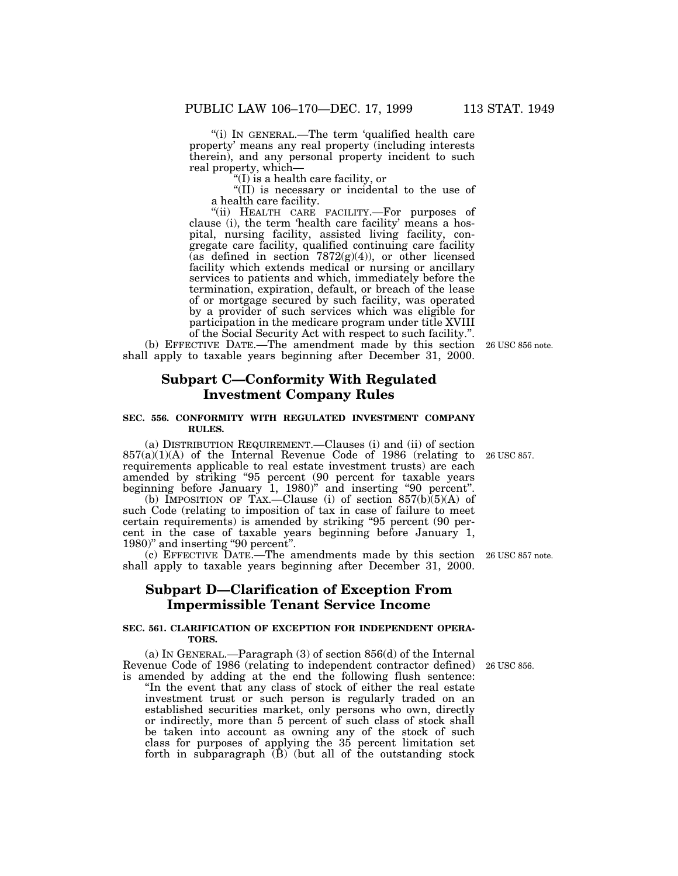''(i) IN GENERAL.—The term 'qualified health care property' means any real property (including interests therein), and any personal property incident to such real property, which—

''(I) is a health care facility, or

''(II) is necessary or incidental to the use of a health care facility.

"(ii) HEALTH CARE FACILITY.-For purposes of clause (i), the term 'health care facility' means a hospital, nursing facility, assisted living facility, congregate care facility, qualified continuing care facility (as defined in section  $7872(g)(4)$ ), or other licensed facility which extends medical or nursing or ancillary services to patients and which, immediately before the termination, expiration, default, or breach of the lease of or mortgage secured by such facility, was operated by a provider of such services which was eligible for participation in the medicare program under title XVIII of the Social Security Act with respect to such facility.''.

(b) EFFECTIVE DATE.—The amendment made by this section 26 USC 856 note. shall apply to taxable years beginning after December 31, 2000.

# **Subpart C—Conformity With Regulated Investment Company Rules**

### **SEC. 556. CONFORMITY WITH REGULATED INVESTMENT COMPANY RULES.**

(a) DISTRIBUTION REQUIREMENT.—Clauses (i) and (ii) of section 857(a)(1)(A) of the Internal Revenue Code of 1986 (relating to requirements applicable to real estate investment trusts) are each amended by striking ''95 percent (90 percent for taxable years beginning before January 1, 1980)" and inserting "90 percent".

(b) IMPOSITION OF TAX.—Clause (i) of section  $857(b)(5)(A)$  of such Code (relating to imposition of tax in case of failure to meet certain requirements) is amended by striking ''95 percent (90 percent in the case of taxable years beginning before January 1, 1980)" and inserting "90 percent".

(c) EFFECTIVE DATE.—The amendments made by this section 26 USC 857 note. shall apply to taxable years beginning after December 31, 2000.

# **Subpart D—Clarification of Exception From Impermissible Tenant Service Income**

### **SEC. 561. CLARIFICATION OF EXCEPTION FOR INDEPENDENT OPERA-TORS.**

(a) IN GENERAL.—Paragraph (3) of section 856(d) of the Internal Revenue Code of 1986 (relating to independent contractor defined) is amended by adding at the end the following flush sentence: ''In the event that any class of stock of either the real estate investment trust or such person is regularly traded on an established securities market, only persons who own, directly or indirectly, more than 5 percent of such class of stock shall be taken into account as owning any of the stock of such class for purposes of applying the 35 percent limitation set

forth in subparagraph (B) (but all of the outstanding stock

26 USC 857.

26 USC 856.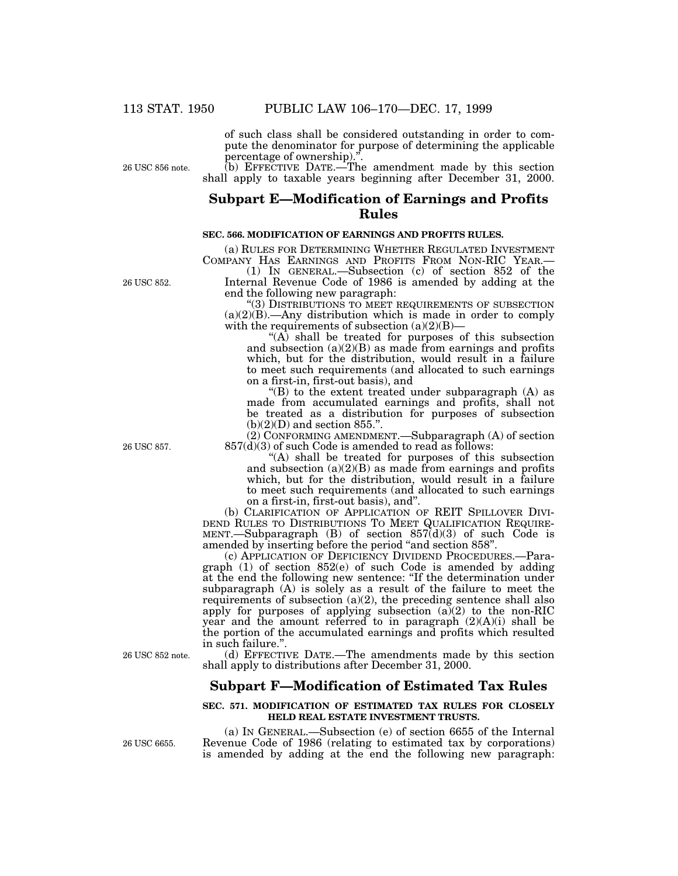of such class shall be considered outstanding in order to compute the denominator for purpose of determining the applicable percentage of ownership).''.

26 USC 856 note.

(b) EFFECTIVE DATE.—The amendment made by this section shall apply to taxable years beginning after December 31, 2000.

# **Subpart E—Modification of Earnings and Profits Rules**

### **SEC. 566. MODIFICATION OF EARNINGS AND PROFITS RULES.**

(a) RULES FOR DETERMINING WHETHER REGULATED INVESTMENT COMPANY HAS EARNINGS AND PROFITS FROM NON-RIC YEAR.— (1) IN GENERAL.—Subsection (c) of section 852 of the

26 USC 852.

Internal Revenue Code of 1986 is amended by adding at the end the following new paragraph:

''(3) DISTRIBUTIONS TO MEET REQUIREMENTS OF SUBSECTION  $(a)(2)(B)$ .—Any distribution which is made in order to comply with the requirements of subsection  $(a)(2)(B)$ —

"(A) shall be treated for purposes of this subsection and subsection  $(a)(2)(B)$  as made from earnings and profits which, but for the distribution, would result in a failure to meet such requirements (and allocated to such earnings on a first-in, first-out basis), and

''(B) to the extent treated under subparagraph (A) as made from accumulated earnings and profits, shall not be treated as a distribution for purposes of subsection  $(b)(2)(D)$  and section 855.".

(2) CONFORMING AMENDMENT.—Subparagraph (A) of section  $857(d)(3)$  of such Code is amended to read as follows:

''(A) shall be treated for purposes of this subsection and subsection  $(a)(2)(B)$  as made from earnings and profits which, but for the distribution, would result in a failure to meet such requirements (and allocated to such earnings on a first-in, first-out basis), and''.

(b) CLARIFICATION OF APPLICATION OF REIT SPILLOVER DIVIDEND RULES TO DISTRIBUTIONS TO MEET QUALIFICATION REQUIRE- $MENT.$  Subparagraph (B) of section 857(d)(3) of such Code is amended by inserting before the period ''and section 858''.

(c) APPLICATION OF DEFICIENCY DIVIDEND PROCEDURES.—Paragraph (1) of section 852(e) of such Code is amended by adding at the end the following new sentence: ''If the determination under subparagraph (A) is solely as a result of the failure to meet the requirements of subsection  $(a)(2)$ , the preceding sentence shall also apply for purposes of applying subsection  $(a)(2)$  to the non-RIC year and the amount referred to in paragraph  $(2)(A)(i)$  shall be the portion of the accumulated earnings and profits which resulted in such failure.''.

26 USC 852 note.

(d) EFFECTIVE DATE.—The amendments made by this section shall apply to distributions after December 31, 2000.

# **Subpart F—Modification of Estimated Tax Rules**

#### **SEC. 571. MODIFICATION OF ESTIMATED TAX RULES FOR CLOSELY HELD REAL ESTATE INVESTMENT TRUSTS.**

(a) IN GENERAL.—Subsection (e) of section 6655 of the Internal Revenue Code of 1986 (relating to estimated tax by corporations) is amended by adding at the end the following new paragraph:

26 USC 857.

26 USC 6655.